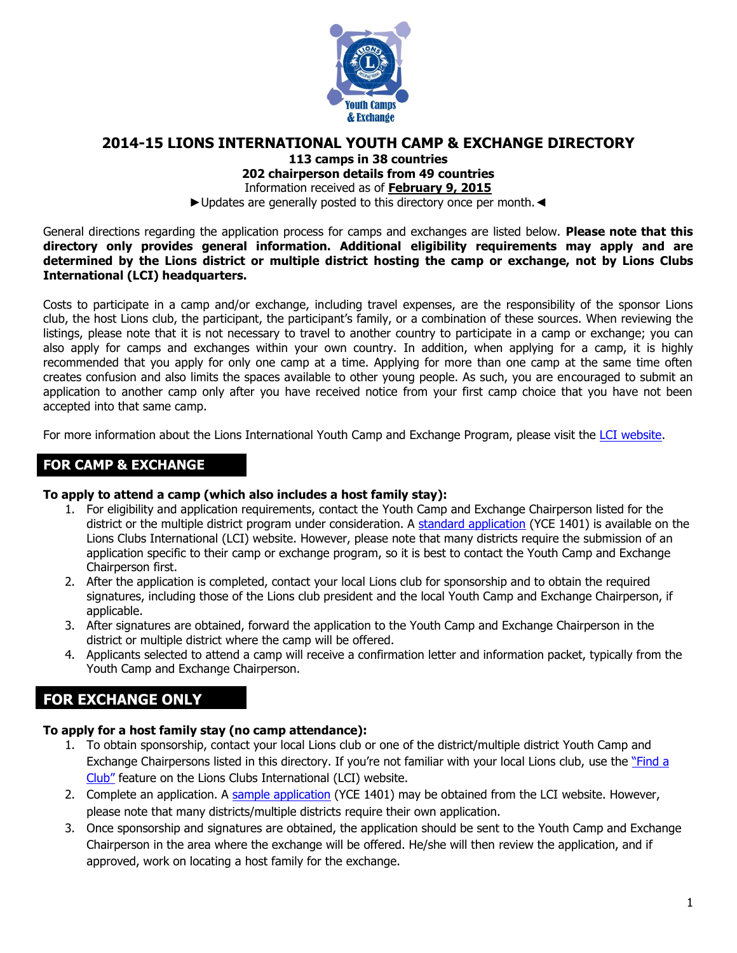

## **2014-15 LIONS INTERNATIONAL YOUTH CAMP & EXCHANGE DIRECTORY**

**113 camps in 38 countries**

**202 chairperson details from 49 countries**

Information received as of **February 9, 2015**

►Updates are generally posted to this directory once per month.◄

General directions regarding the application process for camps and exchanges are listed below. **Please note that this directory only provides general information. Additional eligibility requirements may apply and are determined by the Lions district or multiple district hosting the camp or exchange, not by Lions Clubs International (LCI) headquarters.**

Costs to participate in a camp and/or exchange, including travel expenses, are the responsibility of the sponsor Lions club, the host Lions club, the participant, the participant's family, or a combination of these sources. When reviewing the listings, please note that it is not necessary to travel to another country to participate in a camp or exchange; you can also apply for camps and exchanges within your own country. In addition, when applying for a camp, it is highly recommended that you apply for only one camp at a time. Applying for more than one camp at the same time often creates confusion and also limits the spaces available to other young people. As such, you are encouraged to submit an application to another camp only after you have received notice from your first camp choice that you have not been accepted into that same camp.

For more information about the Lions International Youth Camp and Exchange Program, please visit the [LCI website.](http://www.lionsclubs.org/EN/our-work/youth-programs/youth-camp-and-exchange/index.php)

## **FOR CAMP & EXCHANGE**

## **To apply to attend a camp (which also includes a host family stay):**

- 1. For eligibility and application requirements, contact the Youth Camp and Exchange Chairperson listed for the district or the multiple district program under consideration. A [standard application](http://www.lionsclubs.org/EN/common/pdfs/yce1401.pdf) (YCE 1401) is available on the Lions Clubs International (LCI) website. However, please note that many districts require the submission of an application specific to their camp or exchange program, so it is best to contact the Youth Camp and Exchange Chairperson first.
- 2. After the application is completed, contact your local Lions club for sponsorship and to obtain the required signatures, including those of the Lions club president and the local Youth Camp and Exchange Chairperson, if applicable.
- 3. After signatures are obtained, forward the application to the Youth Camp and Exchange Chairperson in the district or multiple district where the camp will be offered.
- 4. Applicants selected to attend a camp will receive a confirmation letter and information packet, typically from the Youth Camp and Exchange Chairperson.

## **FOR EXCHANGE ONLY**

## **To apply for a host family stay (no camp attendance):**

- 1. To obtain sponsorship, contact your local Lions club or one of the district/multiple district Youth Camp and Exchange Chairpersons listed in this directory. If you're not familiar with your local Lions club, use the ["Find a](http://directory.lionsclubs.org/)  [Club"](http://directory.lionsclubs.org/) feature on the Lions Clubs International (LCI) website.
- 2. Complete an application. A [sample application](http://www.lionsclubs.org/EN/common/pdfs/yce1401.pdf) (YCE 1401) may be obtained from the LCI website. However, please note that many districts/multiple districts require their own application.
- 3. Once sponsorship and signatures are obtained, the application should be sent to the Youth Camp and Exchange Chairperson in the area where the exchange will be offered. He/she will then review the application, and if approved, work on locating a host family for the exchange.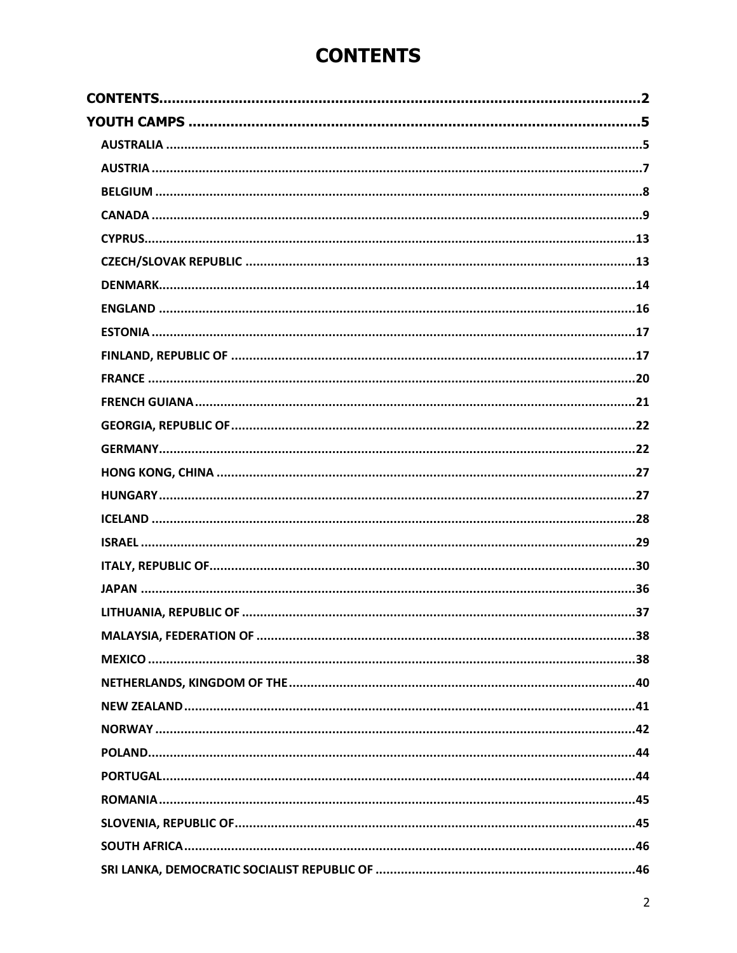# **CONTENTS**

<span id="page-1-0"></span>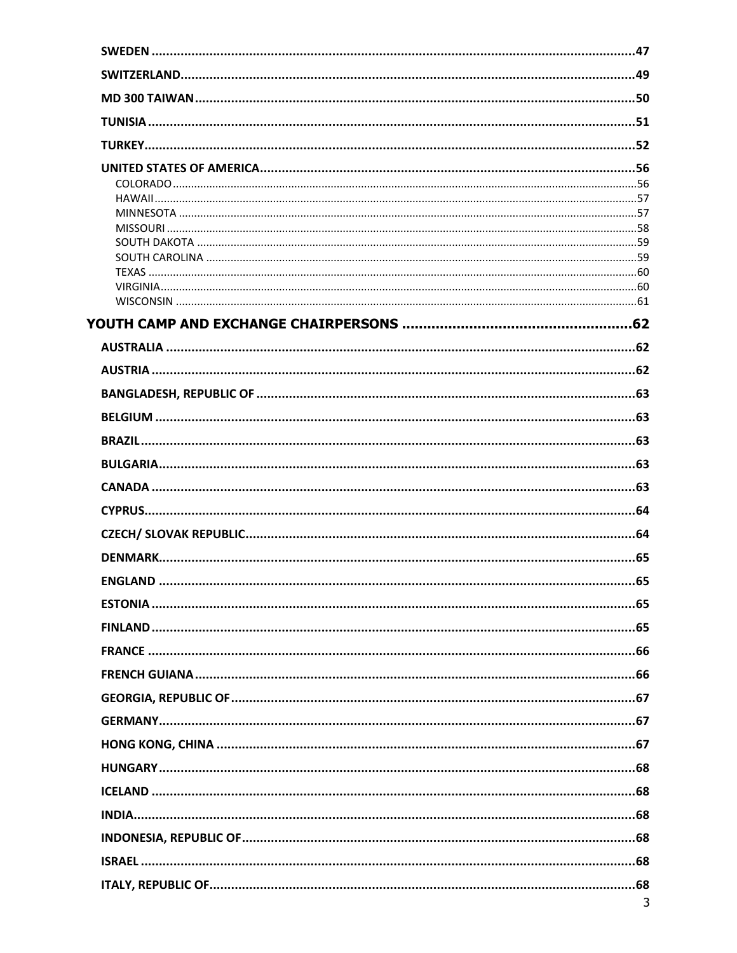| <b>FNGLAND</b> | 65 |
|----------------|----|
|                |    |
|                |    |
|                |    |
|                |    |
|                |    |
|                |    |
|                |    |
|                |    |
|                |    |
|                |    |
|                |    |
|                |    |
|                |    |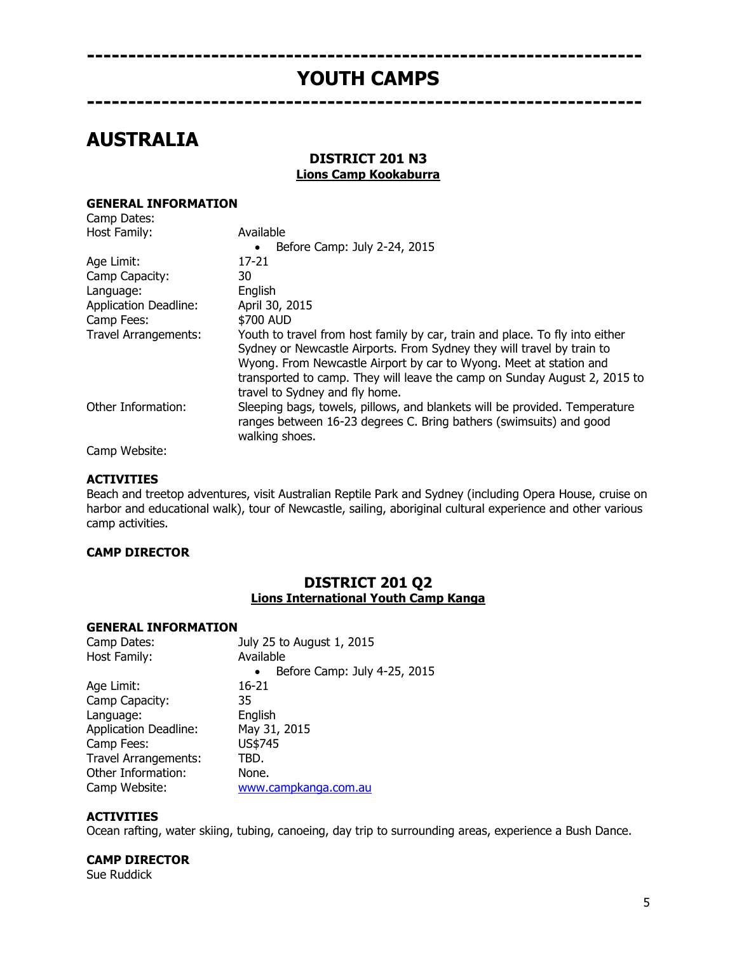## <span id="page-4-0"></span>**------------------------------------------------------------------- YOUTH CAMPS -------------------------------------------------------------------**

# <span id="page-4-1"></span>**AUSTRALIA**

## **DISTRICT 201 N3 Lions Camp Kookaburra**

#### **GENERAL INFORMATION** Camp Dates:

| Callip Dates.                |                                                                                                                                                                                                                                                                                                                                             |
|------------------------------|---------------------------------------------------------------------------------------------------------------------------------------------------------------------------------------------------------------------------------------------------------------------------------------------------------------------------------------------|
| Host Family:                 | Available                                                                                                                                                                                                                                                                                                                                   |
|                              | Before Camp: July 2-24, 2015<br>$\bullet$                                                                                                                                                                                                                                                                                                   |
| Age Limit:                   | 17-21                                                                                                                                                                                                                                                                                                                                       |
| Camp Capacity:               | 30                                                                                                                                                                                                                                                                                                                                          |
| Language:                    | English                                                                                                                                                                                                                                                                                                                                     |
| <b>Application Deadline:</b> | April 30, 2015                                                                                                                                                                                                                                                                                                                              |
| Camp Fees:                   | \$700 AUD                                                                                                                                                                                                                                                                                                                                   |
| Travel Arrangements:         | Youth to travel from host family by car, train and place. To fly into either<br>Sydney or Newcastle Airports. From Sydney they will travel by train to<br>Wyong. From Newcastle Airport by car to Wyong. Meet at station and<br>transported to camp. They will leave the camp on Sunday August 2, 2015 to<br>travel to Sydney and fly home. |
| Other Information:           | Sleeping bags, towels, pillows, and blankets will be provided. Temperature<br>ranges between 16-23 degrees C. Bring bathers (swimsuits) and good<br>walking shoes.                                                                                                                                                                          |

Camp Website:

#### **ACTIVITIES**

Beach and treetop adventures, visit Australian Reptile Park and Sydney (including Opera House, cruise on harbor and educational walk), tour of Newcastle, sailing, aboriginal cultural experience and other various camp activities.

## **CAMP DIRECTOR**

## **DISTRICT 201 Q2 Lions International Youth Camp Kanga**

#### **GENERAL INFORMATION**

| Camp Dates:                  | July 25 to August 1, 2015                 |
|------------------------------|-------------------------------------------|
| Host Family:                 | Available                                 |
|                              | Before Camp: July 4-25, 2015<br>$\bullet$ |
| Age Limit:                   | 16-21                                     |
| Camp Capacity:               | 35                                        |
| Language:                    | English                                   |
| <b>Application Deadline:</b> | May 31, 2015                              |
| Camp Fees:                   | US\$745                                   |
| Travel Arrangements:         | TBD.                                      |
| Other Information:           | None.                                     |
| Camp Website:                | www.campkanga.com.au                      |
|                              |                                           |

## **ACTIVITIES**

Ocean rafting, water skiing, tubing, canoeing, day trip to surrounding areas, experience a Bush Dance.

#### **CAMP DIRECTOR**

Sue Ruddick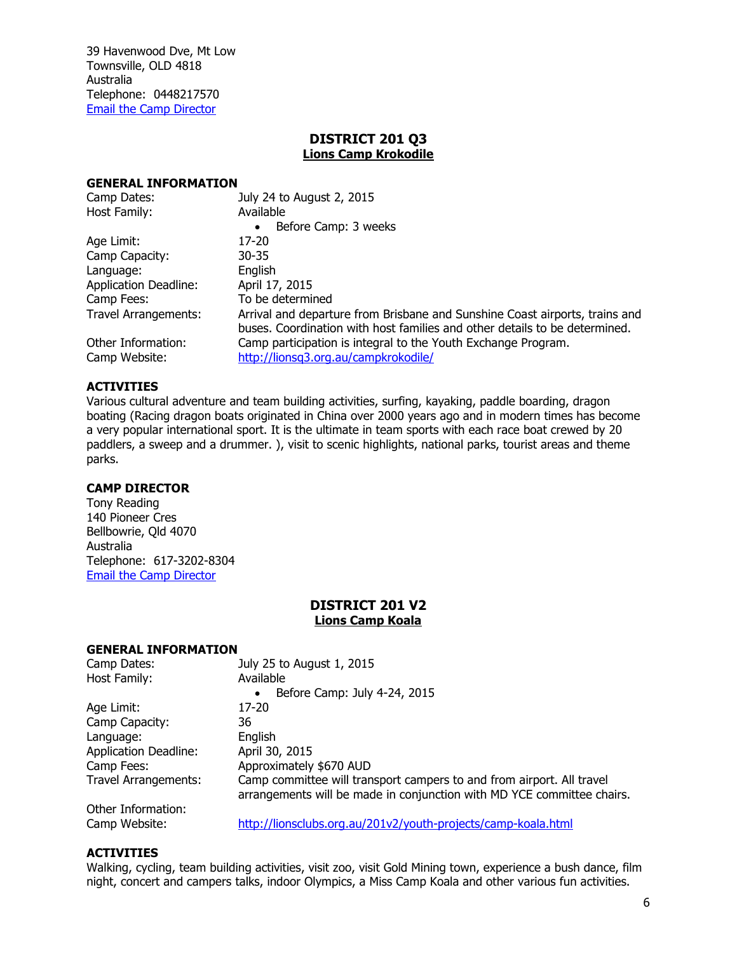39 Havenwood Dve, Mt Low Townsville, OLD 4818 Australia Telephone: 0448217570 [Email the Camp Director](mailto:md201ye@gmail.com)

## **DISTRICT 201 Q3 Lions Camp Krokodile**

#### **GENERAL INFORMATION**

| Camp Dates:                         | July 24 to August 2, 2015                                                                                                                                 |
|-------------------------------------|-----------------------------------------------------------------------------------------------------------------------------------------------------------|
| Host Family:                        | Available                                                                                                                                                 |
|                                     | Before Camp: 3 weeks<br>$\bullet$                                                                                                                         |
| Age Limit:                          | 17-20                                                                                                                                                     |
| Camp Capacity:                      | $30 - 35$                                                                                                                                                 |
| Language:                           | English                                                                                                                                                   |
| <b>Application Deadline:</b>        | April 17, 2015                                                                                                                                            |
| Camp Fees:                          | To be determined                                                                                                                                          |
| Travel Arrangements:                | Arrival and departure from Brisbane and Sunshine Coast airports, trains and<br>buses. Coordination with host families and other details to be determined. |
| Other Information:<br>Camp Website: | Camp participation is integral to the Youth Exchange Program.<br>http://lionsq3.org.au/campkrokodile/                                                     |

## **ACTIVITIES**

Various cultural adventure and team building activities, surfing, kayaking, paddle boarding, dragon boating (Racing dragon boats originated in China over 2000 years ago and in modern times has become a very popular international sport. It is the ultimate in team sports with each race boat crewed by 20 paddlers, a sweep and a drummer. ), visit to scenic highlights, national parks, tourist areas and theme parks.

#### **CAMP DIRECTOR**

Tony Reading 140 Pioneer Cres Bellbowrie, Qld 4070 Australia Telephone: 617-3202-8304 [Email the Camp Director](mailto:md201ye@gmail.com)

## **DISTRICT 201 V2 Lions Camp Koala**

## **GENERAL INFORMATION**

| Camp Dates:                  | July 25 to August 1, 2015                                                                                                                       |
|------------------------------|-------------------------------------------------------------------------------------------------------------------------------------------------|
| Host Family:                 | Available                                                                                                                                       |
|                              | Before Camp: July 4-24, 2015<br>$\bullet$                                                                                                       |
| Age Limit:                   | 17-20                                                                                                                                           |
| Camp Capacity:               | 36                                                                                                                                              |
| Language:                    | English                                                                                                                                         |
| <b>Application Deadline:</b> | April 30, 2015                                                                                                                                  |
| Camp Fees:                   | Approximately \$670 AUD                                                                                                                         |
| <b>Travel Arrangements:</b>  | Camp committee will transport campers to and from airport. All travel<br>arrangements will be made in conjunction with MD YCE committee chairs. |
| Other Information:           |                                                                                                                                                 |
|                              |                                                                                                                                                 |

Camp Website: <http://lionsclubs.org.au/201v2/youth-projects/camp-koala.html>

## **ACTIVITIES**

Walking, cycling, team building activities, visit zoo, visit Gold Mining town, experience a bush dance, film night, concert and campers talks, indoor Olympics, a Miss Camp Koala and other various fun activities.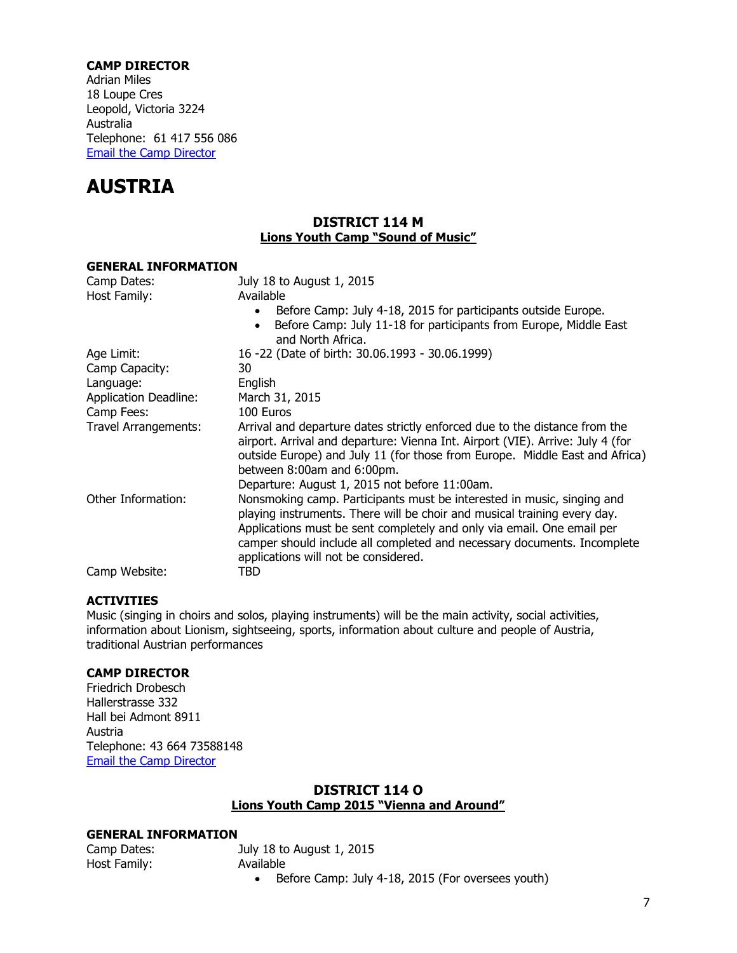## **CAMP DIRECTOR**

Adrian Miles 18 Loupe Cres Leopold, Victoria 3224 Australia Telephone: 61 417 556 086 [Email the Camp Director](mailto:md201ye@gmail.com)

# <span id="page-6-0"></span>**AUSTRIA**

## **DISTRICT 114 M Lions Youth Camp "Sound of Music"**

| <b>GENERAL INFORMATION</b>   |                                                                                                                                                                                                                                                                                                                                                 |
|------------------------------|-------------------------------------------------------------------------------------------------------------------------------------------------------------------------------------------------------------------------------------------------------------------------------------------------------------------------------------------------|
| Camp Dates:                  | July 18 to August 1, 2015                                                                                                                                                                                                                                                                                                                       |
| Host Family:                 | Available<br>Before Camp: July 4-18, 2015 for participants outside Europe.                                                                                                                                                                                                                                                                      |
|                              | Before Camp: July 11-18 for participants from Europe, Middle East<br>and North Africa.                                                                                                                                                                                                                                                          |
| Age Limit:                   | 16 -22 (Date of birth: 30.06.1993 - 30.06.1999)                                                                                                                                                                                                                                                                                                 |
| Camp Capacity:               | 30                                                                                                                                                                                                                                                                                                                                              |
| Language:                    | English                                                                                                                                                                                                                                                                                                                                         |
| <b>Application Deadline:</b> | March 31, 2015                                                                                                                                                                                                                                                                                                                                  |
| Camp Fees:                   | 100 Euros                                                                                                                                                                                                                                                                                                                                       |
| Travel Arrangements:         | Arrival and departure dates strictly enforced due to the distance from the<br>airport. Arrival and departure: Vienna Int. Airport (VIE). Arrive: July 4 (for<br>outside Europe) and July 11 (for those from Europe. Middle East and Africa)<br>between 8:00am and 6:00pm.<br>Departure: August 1, 2015 not before 11:00am.                      |
| Other Information:           | Nonsmoking camp. Participants must be interested in music, singing and<br>playing instruments. There will be choir and musical training every day.<br>Applications must be sent completely and only via email. One email per<br>camper should include all completed and necessary documents. Incomplete<br>applications will not be considered. |
| Camp Website:                | TBD                                                                                                                                                                                                                                                                                                                                             |

## **ACTIVITIES**

Music (singing in choirs and solos, playing instruments) will be the main activity, social activities, information about Lionism, sightseeing, sports, information about culture and people of Austria, traditional Austrian performances

## **CAMP DIRECTOR**

Friedrich Drobesch Hallerstrasse 332 Hall bei Admont 8911 Austria Telephone: 43 664 73588148 [Email the Camp Director](mailto:Yce.austria@gmail.com)

## **DISTRICT 114 O Lions Youth Camp 2015 "Vienna and Around"**

## **GENERAL INFORMATION**

| Camp Dates:  |
|--------------|
| Host Family: |

July 18 to August 1, 2015 Available

Before Camp: July 4-18, 2015 (For oversees youth)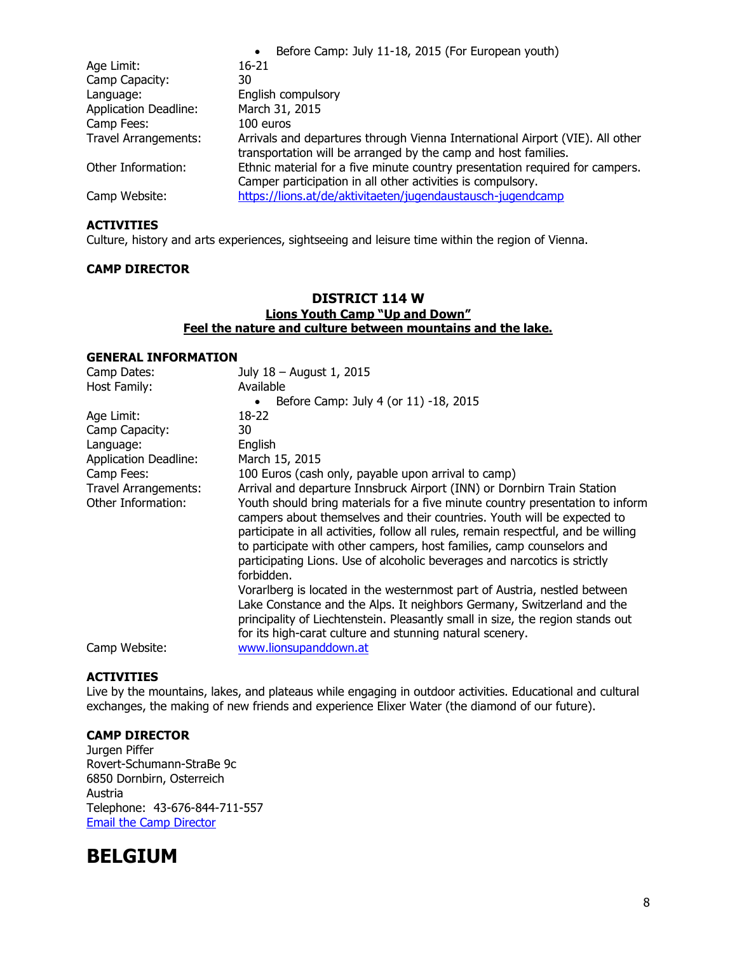|                              | Before Camp: July 11-18, 2015 (For European youth)<br>$\bullet$                                                                                 |
|------------------------------|-------------------------------------------------------------------------------------------------------------------------------------------------|
| Age Limit:                   | 16-21                                                                                                                                           |
| Camp Capacity:               | 30                                                                                                                                              |
| Language:                    | English compulsory                                                                                                                              |
| <b>Application Deadline:</b> | March 31, 2015                                                                                                                                  |
| Camp Fees:                   | 100 euros                                                                                                                                       |
| <b>Travel Arrangements:</b>  | Arrivals and departures through Vienna International Airport (VIE). All other<br>transportation will be arranged by the camp and host families. |
| Other Information:           | Ethnic material for a five minute country presentation required for campers.<br>Camper participation in all other activities is compulsory.     |
| Camp Website:                | https://lions.at/de/aktivitaeten/jugendaustausch-jugendcamp                                                                                     |

Culture, history and arts experiences, sightseeing and leisure time within the region of Vienna.

#### **CAMP DIRECTOR**

## **DISTRICT 114 W Lions Youth Camp "Up and Down" Feel the nature and culture between mountains and the lake.**

### **GENERAL INFORMATION**

| Camp Dates:                  | July 18 - August 1, 2015                                                                                                                                                                                                                                                                                                                                                                                           |
|------------------------------|--------------------------------------------------------------------------------------------------------------------------------------------------------------------------------------------------------------------------------------------------------------------------------------------------------------------------------------------------------------------------------------------------------------------|
| Host Family:                 | Available                                                                                                                                                                                                                                                                                                                                                                                                          |
|                              | Before Camp: July 4 (or 11) -18, 2015                                                                                                                                                                                                                                                                                                                                                                              |
| Age Limit:                   | 18-22                                                                                                                                                                                                                                                                                                                                                                                                              |
| Camp Capacity:               | 30                                                                                                                                                                                                                                                                                                                                                                                                                 |
| Language:                    | English                                                                                                                                                                                                                                                                                                                                                                                                            |
| <b>Application Deadline:</b> | March 15, 2015                                                                                                                                                                                                                                                                                                                                                                                                     |
| Camp Fees:                   | 100 Euros (cash only, payable upon arrival to camp)                                                                                                                                                                                                                                                                                                                                                                |
| Travel Arrangements:         | Arrival and departure Innsbruck Airport (INN) or Dornbirn Train Station                                                                                                                                                                                                                                                                                                                                            |
| Other Information:           | Youth should bring materials for a five minute country presentation to inform<br>campers about themselves and their countries. Youth will be expected to<br>participate in all activities, follow all rules, remain respectful, and be willing<br>to participate with other campers, host families, camp counselors and<br>participating Lions. Use of alcoholic beverages and narcotics is strictly<br>forbidden. |
| Camp Website:                | Vorarlberg is located in the westernmost part of Austria, nestled between<br>Lake Constance and the Alps. It neighbors Germany, Switzerland and the<br>principality of Liechtenstein. Pleasantly small in size, the region stands out<br>for its high-carat culture and stunning natural scenery.<br>www.lionsupanddown.at                                                                                         |
|                              |                                                                                                                                                                                                                                                                                                                                                                                                                    |

## **ACTIVITIES**

Live by the mountains, lakes, and plateaus while engaging in outdoor activities. Educational and cultural exchanges, the making of new friends and experience Elixer Water (the diamond of our future).

## **CAMP DIRECTOR**

Jurgen Piffer Rovert-Schumann-StraBe 9c 6850 Dornbirn, Osterreich Austria Telephone: 43-676-844-711-557 [Email the Camp Director](mailto:Juergen.piffer@lions-bregenzerwald.at)

## <span id="page-7-0"></span>**BELGIUM**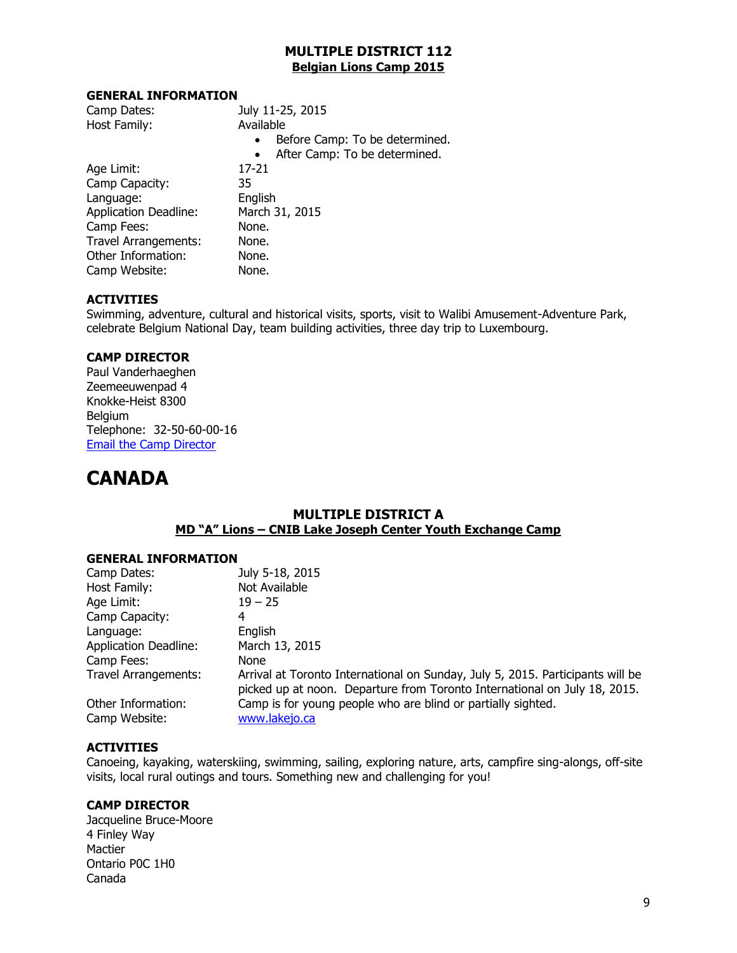## **MULTIPLE DISTRICT 112 Belgian Lions Camp 2015**

#### **GENERAL INFORMATION**

| Camp Dates:                  | July 11-25, 2015                            |
|------------------------------|---------------------------------------------|
| Host Family:                 | Available                                   |
|                              | Before Camp: To be determined.<br>$\bullet$ |
|                              | After Camp: To be determined.<br>$\bullet$  |
| Age Limit:                   | 17-21                                       |
| Camp Capacity:               | 35                                          |
| Language:                    | English                                     |
| <b>Application Deadline:</b> | March 31, 2015                              |
| Camp Fees:                   | None.                                       |
| <b>Travel Arrangements:</b>  | None.                                       |
| Other Information:           | None.                                       |
| Camp Website:                | None.                                       |

#### **ACTIVITIES**

Swimming, adventure, cultural and historical visits, sports, visit to Walibi Amusement-Adventure Park, celebrate Belgium National Day, team building activities, three day trip to Luxembourg.

## **CAMP DIRECTOR**

Paul Vanderhaeghen Zeemeeuwenpad 4 Knokke-Heist 8300 Belgium Telephone: 32-50-60-00-16 [Email the Camp Director](mailto:paulvdh@skynet.be)

## <span id="page-8-0"></span>**CANADA**

## **MULTIPLE DISTRICT A MD "A" Lions – CNIB Lake Joseph Center Youth Exchange Camp**

#### **GENERAL INFORMATION**

| Camp Dates:                         | July 5-18, 2015                                                                                                                                             |
|-------------------------------------|-------------------------------------------------------------------------------------------------------------------------------------------------------------|
| Host Family:                        | Not Available                                                                                                                                               |
| Age Limit:                          | $19 - 25$                                                                                                                                                   |
| Camp Capacity:                      | 4                                                                                                                                                           |
| Language:                           | English                                                                                                                                                     |
| <b>Application Deadline:</b>        | March 13, 2015                                                                                                                                              |
| Camp Fees:                          | None                                                                                                                                                        |
| <b>Travel Arrangements:</b>         | Arrival at Toronto International on Sunday, July 5, 2015. Participants will be<br>picked up at noon. Departure from Toronto International on July 18, 2015. |
| Other Information:<br>Camp Website: | Camp is for young people who are blind or partially sighted.<br>www.lakejo.ca                                                                               |

## **ACTIVITIES**

Canoeing, kayaking, waterskiing, swimming, sailing, exploring nature, arts, campfire sing-alongs, off-site visits, local rural outings and tours. Something new and challenging for you!

## **CAMP DIRECTOR**

Jacqueline Bruce-Moore 4 Finley Way Mactier Ontario P0C 1H0 Canada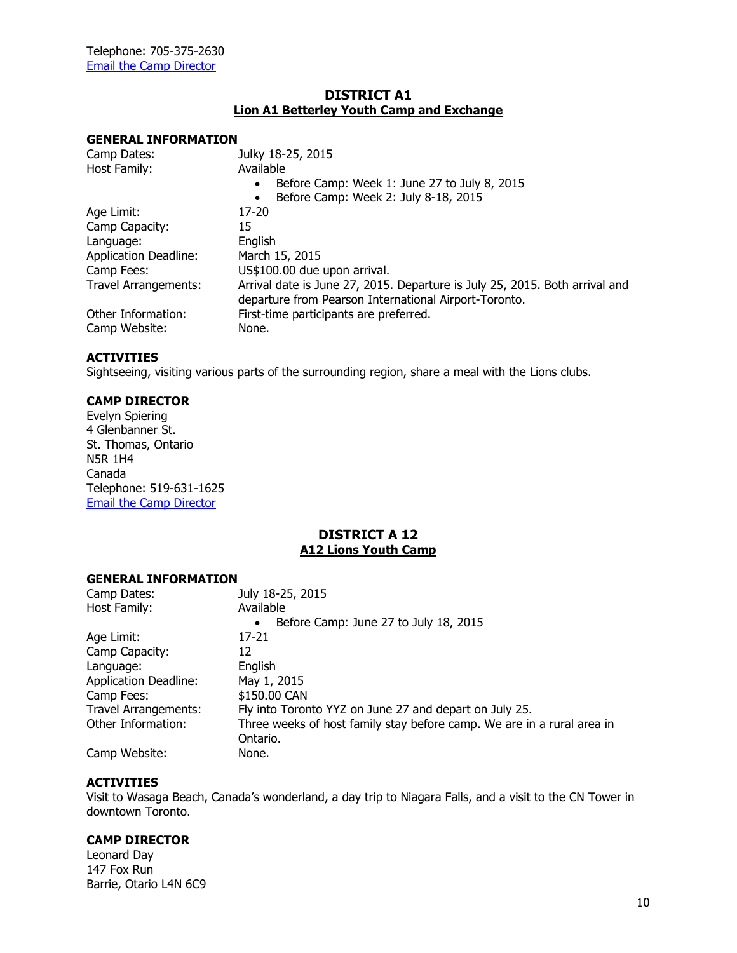## **DISTRICT A1 Lion A1 Betterley Youth Camp and Exchange**

#### **GENERAL INFORMATION**

| Julky 18-25, 2015                                                           |
|-----------------------------------------------------------------------------|
| Available                                                                   |
| Before Camp: Week 1: June 27 to July 8, 2015<br>$\bullet$                   |
| Before Camp: Week 2: July 8-18, 2015<br>$\bullet$                           |
| 17-20                                                                       |
| 15                                                                          |
| English                                                                     |
| March 15, 2015                                                              |
| US\$100.00 due upon arrival.                                                |
| Arrival date is June 27, 2015. Departure is July 25, 2015. Both arrival and |
| departure from Pearson International Airport-Toronto.                       |
| First-time participants are preferred.                                      |
| None.                                                                       |
|                                                                             |

## **ACTIVITIES**

Sightseeing, visiting various parts of the surrounding region, share a meal with the Lions clubs.

#### **CAMP DIRECTOR**

Evelyn Spiering 4 Glenbanner St. St. Thomas, Ontario N5R 1H4 Canada Telephone: 519-631-1625 [Email the Camp Director](mailto:pdglionev@gmail.com)

## **DISTRICT A 12 A12 Lions Youth Camp**

#### **GENERAL INFORMATION**

| Camp Dates:                  | July 18-25, 2015                                                       |
|------------------------------|------------------------------------------------------------------------|
| Host Family:                 | Available                                                              |
|                              | Before Camp: June 27 to July 18, 2015<br>$\bullet$                     |
| Age Limit:                   | 17-21                                                                  |
| Camp Capacity:               | 12                                                                     |
| Language:                    | English                                                                |
| <b>Application Deadline:</b> | May 1, 2015                                                            |
| Camp Fees:                   | \$150.00 CAN                                                           |
| <b>Travel Arrangements:</b>  | Fly into Toronto YYZ on June 27 and depart on July 25.                 |
| Other Information:           | Three weeks of host family stay before camp. We are in a rural area in |
|                              | Ontario.                                                               |
| Camp Website:                | None.                                                                  |

#### **ACTIVITIES**

Visit to Wasaga Beach, Canada's wonderland, a day trip to Niagara Falls, and a visit to the CN Tower in downtown Toronto.

## **CAMP DIRECTOR**

Leonard Day 147 Fox Run Barrie, Otario L4N 6C9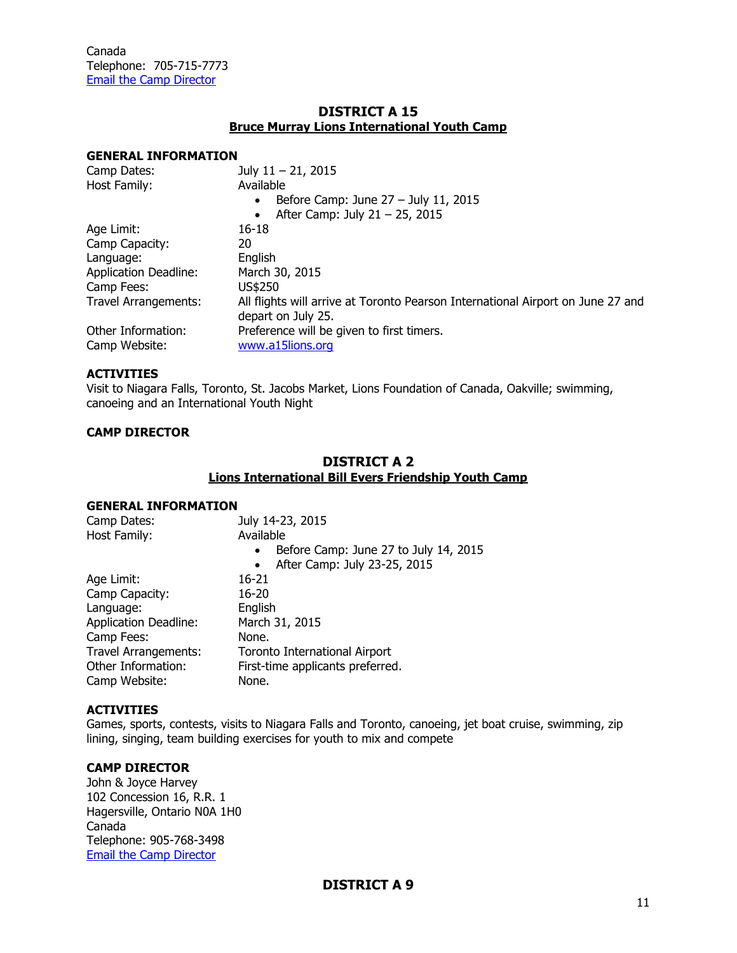## **DISTRICT A 15 Bruce Murray Lions International Youth Camp**

#### **GENERAL INFORMATION**

| Camp Dates:                  | July $11 - 21$ , 2015                                                           |
|------------------------------|---------------------------------------------------------------------------------|
| Host Family:                 | Available                                                                       |
|                              | Before Camp: June $27 -$ July 11, 2015<br>$\bullet$                             |
|                              | After Camp: July $21 - 25$ , 2015                                               |
| Age Limit:                   | $16 - 18$                                                                       |
| Camp Capacity:               | 20                                                                              |
| Language:                    | English                                                                         |
| <b>Application Deadline:</b> | March 30, 2015                                                                  |
| Camp Fees:                   | US\$250                                                                         |
| Travel Arrangements:         | All flights will arrive at Toronto Pearson International Airport on June 27 and |
|                              | depart on July 25.                                                              |
| Other Information:           | Preference will be given to first timers.                                       |
| Camp Website:                | www.a15lions.org                                                                |

### **ACTIVITIES**

Visit to Niagara Falls, Toronto, St. Jacobs Market, Lions Foundation of Canada, Oakville; swimming, canoeing and an International Youth Night

#### **CAMP DIRECTOR**

## **DISTRICT A 2 Lions International Bill Evers Friendship Youth Camp**

#### **GENERAL INFORMATION**

| Camp Dates:                  | July 14-23, 2015                                   |
|------------------------------|----------------------------------------------------|
| Host Family:                 | Available                                          |
|                              | Before Camp: June 27 to July 14, 2015<br>$\bullet$ |
|                              | After Camp: July 23-25, 2015<br>$\bullet$          |
| Age Limit:                   | $16 - 21$                                          |
| Camp Capacity:               | $16 - 20$                                          |
| Language:                    | English                                            |
| <b>Application Deadline:</b> | March 31, 2015                                     |
| Camp Fees:                   | None.                                              |
| <b>Travel Arrangements:</b>  | Toronto International Airport                      |
| Other Information:           | First-time applicants preferred.                   |
| Camp Website:                | None.                                              |
|                              |                                                    |

#### **ACTIVITIES**

Games, sports, contests, visits to Niagara Falls and Toronto, canoeing, jet boat cruise, swimming, zip lining, singing, team building exercises for youth to mix and compete

## **CAMP DIRECTOR**

John & Joyce Harvey 102 Concession 16, R.R. 1 Hagersville, Ontario N0A 1H0 Canada Telephone: 905-768-3498 [Email the Camp Director](mailto:harv@optionsdsl.ca)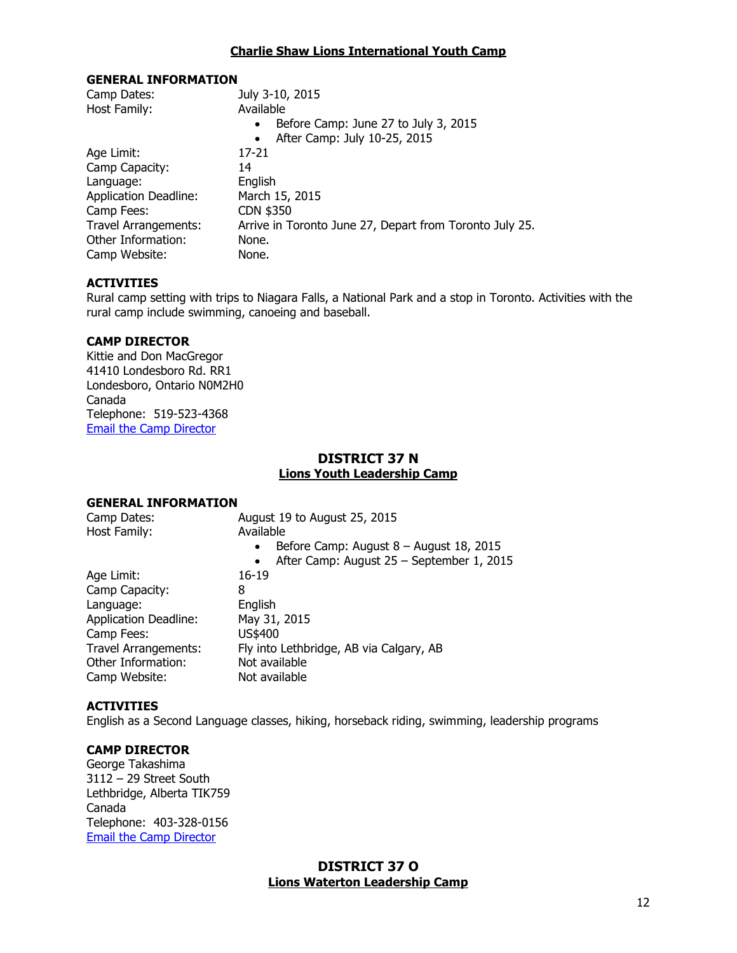#### **Charlie Shaw Lions International Youth Camp**

#### **GENERAL INFORMATION**

| Camp Dates:                  | July 3-10, 2015                                         |
|------------------------------|---------------------------------------------------------|
| Host Family:                 | Available                                               |
|                              | Before Camp: June 27 to July 3, 2015<br>$\bullet$       |
|                              | After Camp: July 10-25, 2015<br>$\bullet$               |
| Age Limit:                   | 17-21                                                   |
| Camp Capacity:               | 14                                                      |
| Language:                    | English                                                 |
| <b>Application Deadline:</b> | March 15, 2015                                          |
| Camp Fees:                   | CDN \$350                                               |
| Travel Arrangements:         | Arrive in Toronto June 27, Depart from Toronto July 25. |
| Other Information:           | None.                                                   |
| Camp Website:                | None.                                                   |

#### **ACTIVITIES**

Rural camp setting with trips to Niagara Falls, a National Park and a stop in Toronto. Activities with the rural camp include swimming, canoeing and baseball.

#### **CAMP DIRECTOR**

Kittie and Don MacGregor 41410 Londesboro Rd. RR1 Londesboro, Ontario N0M2H0 Canada Telephone: 519-523-4368 [Email the Camp Director](mailto:kitmacg@tcc.on.ca)

## **DISTRICT 37 N Lions Youth Leadership Camp**

#### **GENERAL INFORMATION**

| Camp Dates:<br>Host Family:  | August 19 to August 25, 2015<br>Available<br>Before Camp: August $8 -$ August 18, 2015<br>$\bullet$<br>After Camp: August 25 - September 1, 2015<br>$\bullet$ |
|------------------------------|---------------------------------------------------------------------------------------------------------------------------------------------------------------|
| Age Limit:                   | $16 - 19$                                                                                                                                                     |
| Camp Capacity:               | 8                                                                                                                                                             |
| Language:                    | English                                                                                                                                                       |
| <b>Application Deadline:</b> | May 31, 2015                                                                                                                                                  |
| Camp Fees:                   | US\$400                                                                                                                                                       |
| <b>Travel Arrangements:</b>  | Fly into Lethbridge, AB via Calgary, AB                                                                                                                       |
| Other Information:           | Not available                                                                                                                                                 |
| Camp Website:                | Not available                                                                                                                                                 |
|                              |                                                                                                                                                               |

#### **ACTIVITIES**

English as a Second Language classes, hiking, horseback riding, swimming, leadership programs

#### **CAMP DIRECTOR**

George Takashima 3112 – 29 Street South Lethbridge, Alberta TIK759 Canada Telephone: 403-328-0156 [Email the Camp Director](mailto:gptak@shaw.ca)

## **DISTRICT 37 O Lions Waterton Leadership Camp**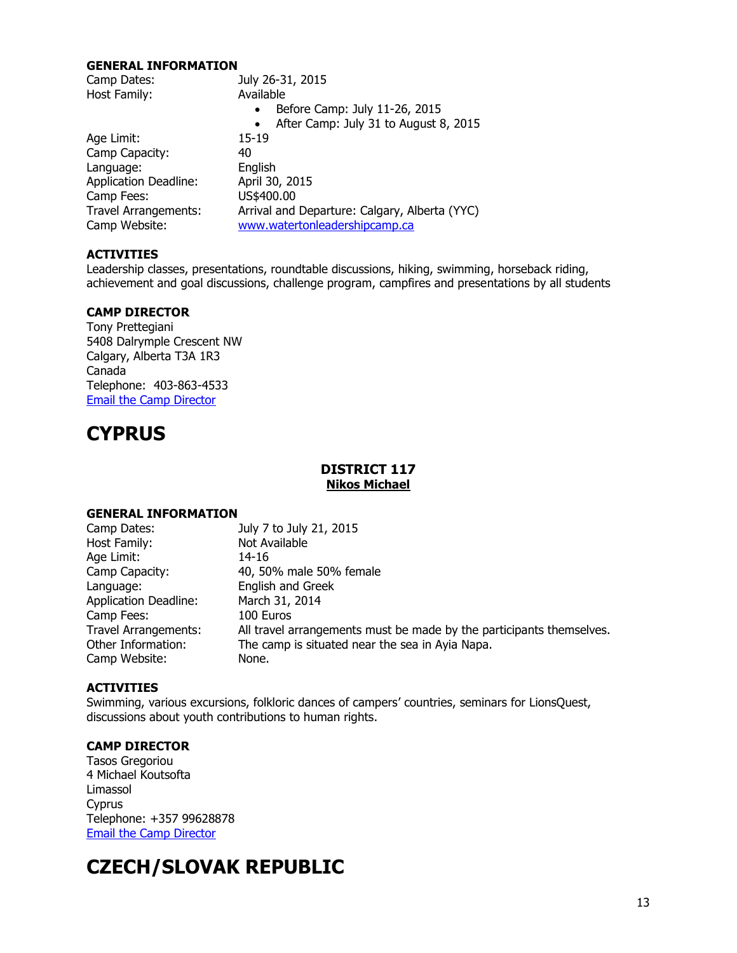#### **GENERAL INFORMATION**

| Camp Dates:                  | July 26-31, 2015                                   |
|------------------------------|----------------------------------------------------|
| Host Family:                 | Available                                          |
|                              | Before Camp: July 11-26, 2015                      |
|                              | After Camp: July 31 to August 8, 2015<br>$\bullet$ |
| Age Limit:                   | 15-19                                              |
| Camp Capacity:               | 40                                                 |
| Language:                    | English                                            |
| <b>Application Deadline:</b> | April 30, 2015                                     |
| Camp Fees:                   | US\$400.00                                         |
| <b>Travel Arrangements:</b>  | Arrival and Departure: Calgary, Alberta (YYC)      |
| Camp Website:                | www.watertonleadershipcamp.ca                      |

## **ACTIVITIES**

Leadership classes, presentations, roundtable discussions, hiking, swimming, horseback riding, achievement and goal discussions, challenge program, campfires and presentations by all students

## **CAMP DIRECTOR**

Tony Prettegiani 5408 Dalrymple Crescent NW Calgary, Alberta T3A 1R3 Canada Telephone: 403-863-4533 [Email the Camp Director](mailto:tonyp@pretteg.com?subject=YCE%20Directory%20Request)

# <span id="page-12-0"></span>**CYPRUS**

## **DISTRICT 117 Nikos Michael**

#### **GENERAL INFORMATION**

| Camp Dates:                  | July 7 to July 21, 2015                                              |
|------------------------------|----------------------------------------------------------------------|
| Host Family:                 | Not Available                                                        |
| Age Limit:                   | 14-16                                                                |
| Camp Capacity:               | 40, 50% male 50% female                                              |
| Language:                    | English and Greek                                                    |
| <b>Application Deadline:</b> | March 31, 2014                                                       |
| Camp Fees:                   | 100 Euros                                                            |
| <b>Travel Arrangements:</b>  | All travel arrangements must be made by the participants themselves. |
| Other Information:           | The camp is situated near the sea in Ayia Napa.                      |
| Camp Website:                | None.                                                                |

#### **ACTIVITIES**

Swimming, various excursions, folkloric dances of campers' countries, seminars for LionsQuest, discussions about youth contributions to human rights.

## **CAMP DIRECTOR**

Tasos Gregoriou 4 Michael Koutsofta Limassol Cyprus Telephone: +357 99628878 [Email the Camp Director](mailto:tasosgregoriou@hotmail.com)

# <span id="page-12-1"></span>**CZECH/SLOVAK REPUBLIC**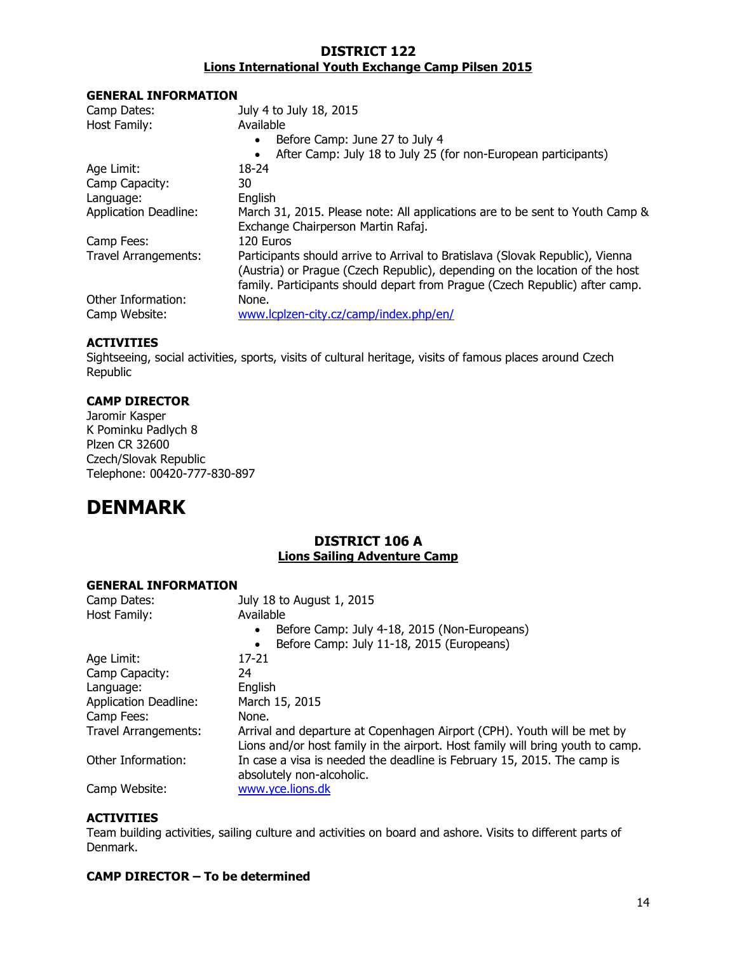## **DISTRICT 122 Lions International Youth Exchange Camp Pilsen 2015**

#### **GENERAL INFORMATION**

| Camp Dates:                  | July 4 to July 18, 2015                                                       |
|------------------------------|-------------------------------------------------------------------------------|
| Host Family:                 | Available                                                                     |
|                              | Before Camp: June 27 to July 4<br>$\bullet$                                   |
|                              | After Camp: July 18 to July 25 (for non-European participants)<br>٠           |
| Age Limit:                   | 18-24                                                                         |
| Camp Capacity:               | 30                                                                            |
| Language:                    | English                                                                       |
| <b>Application Deadline:</b> | March 31, 2015. Please note: All applications are to be sent to Youth Camp &  |
|                              | Exchange Chairperson Martin Rafaj.                                            |
| Camp Fees:                   | 120 Euros                                                                     |
| <b>Travel Arrangements:</b>  | Participants should arrive to Arrival to Bratislava (Slovak Republic), Vienna |
|                              | (Austria) or Prague (Czech Republic), depending on the location of the host   |
|                              | family. Participants should depart from Prague (Czech Republic) after camp.   |
| Other Information:           | None.                                                                         |
| Camp Website:                | www.lcplzen-city.cz/camp/index.php/en/                                        |

## **ACTIVITIES**

Sightseeing, social activities, sports, visits of cultural heritage, visits of famous places around Czech Republic

## **CAMP DIRECTOR**

Jaromir Kasper K Pominku Padlych 8 Plzen CR 32600 Czech/Slovak Republic Telephone: 00420-777-830-897

## <span id="page-13-0"></span>**DENMARK**

## **DISTRICT 106 A Lions Sailing Adventure Camp**

#### **GENERAL INFORMATION**

| Camp Dates:                  | July 18 to August 1, 2015                                                                                                                                 |
|------------------------------|-----------------------------------------------------------------------------------------------------------------------------------------------------------|
| Host Family:                 | Available                                                                                                                                                 |
|                              | Before Camp: July 4-18, 2015 (Non-Europeans)                                                                                                              |
|                              | Before Camp: July 11-18, 2015 (Europeans)                                                                                                                 |
| Age Limit:                   | 17-21                                                                                                                                                     |
| Camp Capacity:               | 24                                                                                                                                                        |
| Language:                    | English                                                                                                                                                   |
| <b>Application Deadline:</b> | March 15, 2015                                                                                                                                            |
| Camp Fees:                   | None.                                                                                                                                                     |
| <b>Travel Arrangements:</b>  | Arrival and departure at Copenhagen Airport (CPH). Youth will be met by<br>Lions and/or host family in the airport. Host family will bring youth to camp. |
| Other Information:           | In case a visa is needed the deadline is February 15, 2015. The camp is<br>absolutely non-alcoholic.                                                      |
| Camp Website:                | www.yce.lions.dk                                                                                                                                          |

## **ACTIVITIES**

Team building activities, sailing culture and activities on board and ashore. Visits to different parts of Denmark.

## **CAMP DIRECTOR – To be determined**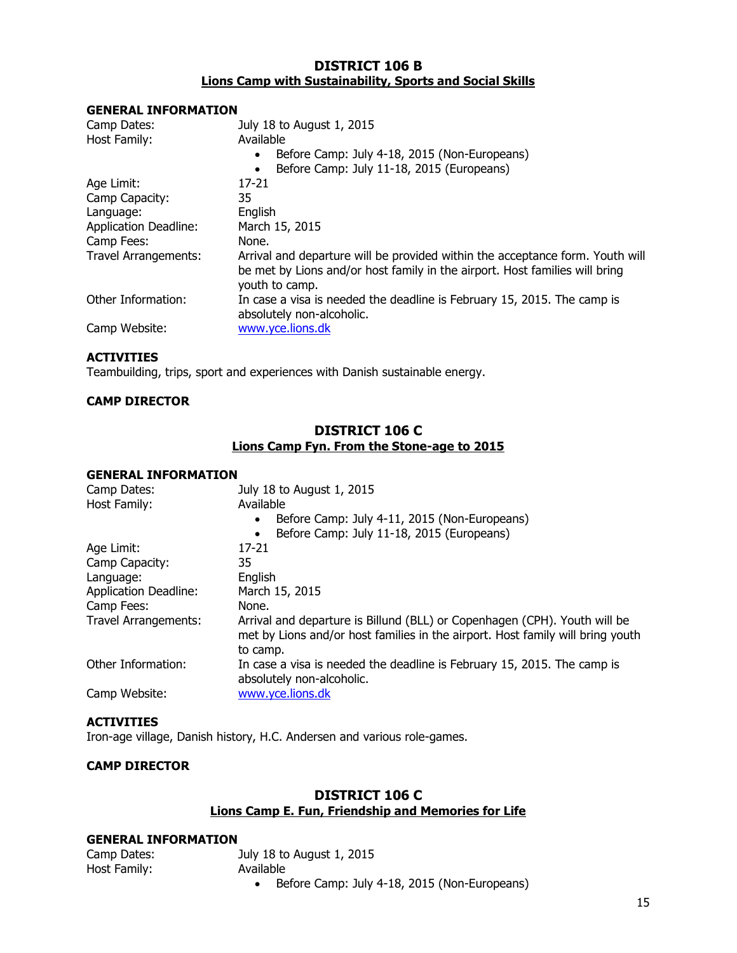## **DISTRICT 106 B Lions Camp with Sustainability, Sports and Social Skills**

#### **GENERAL INFORMATION**

| Camp Dates:<br>Host Family:  | July 18 to August 1, 2015<br>Available<br>Before Camp: July 4-18, 2015 (Non-Europeans)<br>$\bullet$<br>Before Camp: July 11-18, 2015 (Europeans)<br>$\bullet$                  |
|------------------------------|--------------------------------------------------------------------------------------------------------------------------------------------------------------------------------|
| Age Limit:                   | $17 - 21$                                                                                                                                                                      |
| Camp Capacity:               | 35                                                                                                                                                                             |
| Language:                    | English                                                                                                                                                                        |
| <b>Application Deadline:</b> | March 15, 2015                                                                                                                                                                 |
| Camp Fees:                   | None.                                                                                                                                                                          |
| <b>Travel Arrangements:</b>  | Arrival and departure will be provided within the acceptance form. Youth will<br>be met by Lions and/or host family in the airport. Host families will bring<br>youth to camp. |
| Other Information:           | In case a visa is needed the deadline is February 15, 2015. The camp is<br>absolutely non-alcoholic.                                                                           |
| Camp Website:                | www.yce.lions.dk                                                                                                                                                               |

## **ACTIVITIES**

Teambuilding, trips, sport and experiences with Danish sustainable energy.

## **CAMP DIRECTOR**

## **DISTRICT 106 C Lions Camp Fyn. From the Stone-age to 2015**

#### **GENERAL INFORMATION**

| Camp Dates:                  | July 18 to August 1, 2015                                                                                                                                               |
|------------------------------|-------------------------------------------------------------------------------------------------------------------------------------------------------------------------|
| Host Family:                 | Available                                                                                                                                                               |
|                              | Before Camp: July 4-11, 2015 (Non-Europeans)                                                                                                                            |
|                              | Before Camp: July 11-18, 2015 (Europeans)                                                                                                                               |
| Age Limit:                   | $17 - 21$                                                                                                                                                               |
| Camp Capacity:               | 35                                                                                                                                                                      |
| Language:                    | English                                                                                                                                                                 |
| <b>Application Deadline:</b> | March 15, 2015                                                                                                                                                          |
| Camp Fees:                   | None.                                                                                                                                                                   |
| <b>Travel Arrangements:</b>  | Arrival and departure is Billund (BLL) or Copenhagen (CPH). Youth will be<br>met by Lions and/or host families in the airport. Host family will bring youth<br>to camp. |
| Other Information:           | In case a visa is needed the deadline is February 15, 2015. The camp is<br>absolutely non-alcoholic.                                                                    |
| Camp Website:                | www.yce.lions.dk                                                                                                                                                        |

## **ACTIVITIES**

Iron-age village, Danish history, H.C. Andersen and various role-games.

## **CAMP DIRECTOR**

## **DISTRICT 106 C Lions Camp E. Fun, Friendship and Memories for Life**

#### **GENERAL INFORMATION**

| Camp Dates:  | July 18 to August 1, 2015 |
|--------------|---------------------------|
| Host Family: | Available                 |
|              |                           |

• Before Camp: July 4-18, 2015 (Non-Europeans)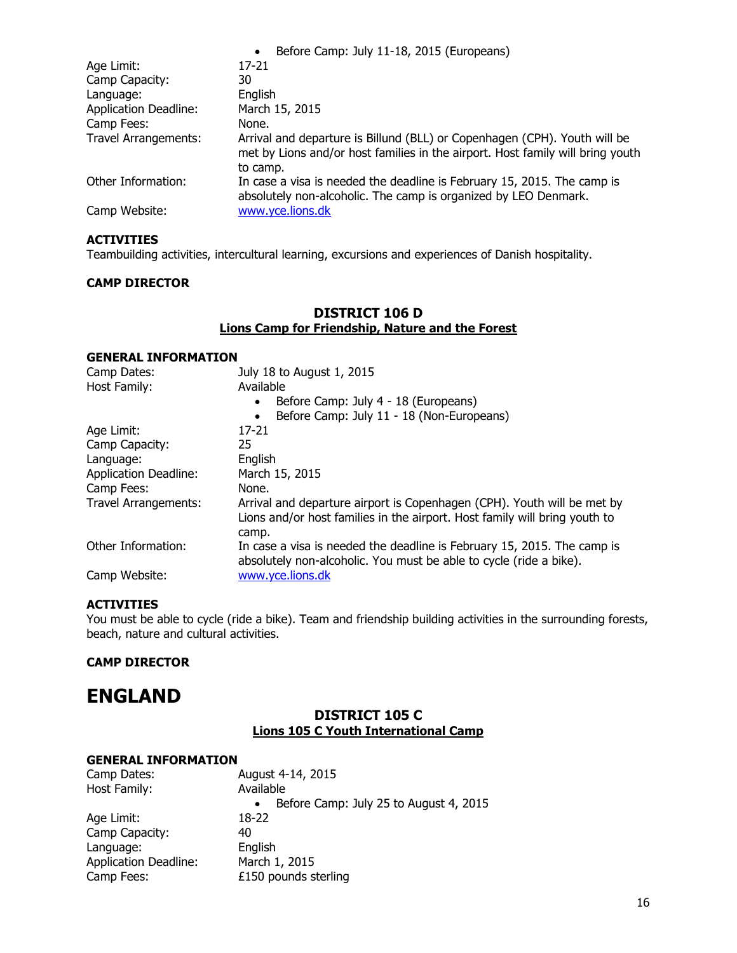|                              | Before Camp: July 11-18, 2015 (Europeans)<br>$\bullet$                                                                                                                  |
|------------------------------|-------------------------------------------------------------------------------------------------------------------------------------------------------------------------|
| Age Limit:                   | 17-21                                                                                                                                                                   |
| Camp Capacity:               | 30                                                                                                                                                                      |
| Language:                    | English                                                                                                                                                                 |
| <b>Application Deadline:</b> | March 15, 2015                                                                                                                                                          |
| Camp Fees:                   | None.                                                                                                                                                                   |
| <b>Travel Arrangements:</b>  | Arrival and departure is Billund (BLL) or Copenhagen (CPH). Youth will be<br>met by Lions and/or host families in the airport. Host family will bring youth<br>to camp. |
| Other Information:           | In case a visa is needed the deadline is February 15, 2015. The camp is<br>absolutely non-alcoholic. The camp is organized by LEO Denmark.                              |
| Camp Website:                | www.yce.lions.dk                                                                                                                                                        |

Teambuilding activities, intercultural learning, excursions and experiences of Danish hospitality.

#### **CAMP DIRECTOR**

## **DISTRICT 106 D Lions Camp for Friendship, Nature and the Forest**

#### **GENERAL INFORMATION**

| Camp Dates:                  | July 18 to August 1, 2015                                                                                                                             |
|------------------------------|-------------------------------------------------------------------------------------------------------------------------------------------------------|
| Host Family:                 | Available                                                                                                                                             |
|                              | Before Camp: July 4 - 18 (Europeans)<br>$\bullet$                                                                                                     |
|                              | Before Camp: July 11 - 18 (Non-Europeans)<br>$\bullet$                                                                                                |
| Age Limit:                   | $17 - 21$                                                                                                                                             |
| Camp Capacity:               | 25                                                                                                                                                    |
| Language:                    | English                                                                                                                                               |
| <b>Application Deadline:</b> | March 15, 2015                                                                                                                                        |
| Camp Fees:                   | None.                                                                                                                                                 |
| Travel Arrangements:         | Arrival and departure airport is Copenhagen (CPH). Youth will be met by<br>Lions and/or host families in the airport. Host family will bring youth to |
|                              | camp.                                                                                                                                                 |
| Other Information:           | In case a visa is needed the deadline is February 15, 2015. The camp is<br>absolutely non-alcoholic. You must be able to cycle (ride a bike).         |
| Camp Website:                | www.yce.lions.dk                                                                                                                                      |

#### **ACTIVITIES**

You must be able to cycle (ride a bike). Team and friendship building activities in the surrounding forests, beach, nature and cultural activities.

## **CAMP DIRECTOR**

## <span id="page-15-0"></span>**ENGLAND**

## **DISTRICT 105 C Lions 105 C Youth International Camp**

| Camp Dates:                  | August 4-14, 2015                                   |
|------------------------------|-----------------------------------------------------|
| Host Family:                 | Available                                           |
|                              | Before Camp: July 25 to August 4, 2015<br>$\bullet$ |
| Age Limit:                   | 18-22                                               |
| Camp Capacity:               | 40                                                  |
| Language:                    | English                                             |
| <b>Application Deadline:</b> | March 1, 2015                                       |
| Camp Fees:                   | £150 pounds sterling                                |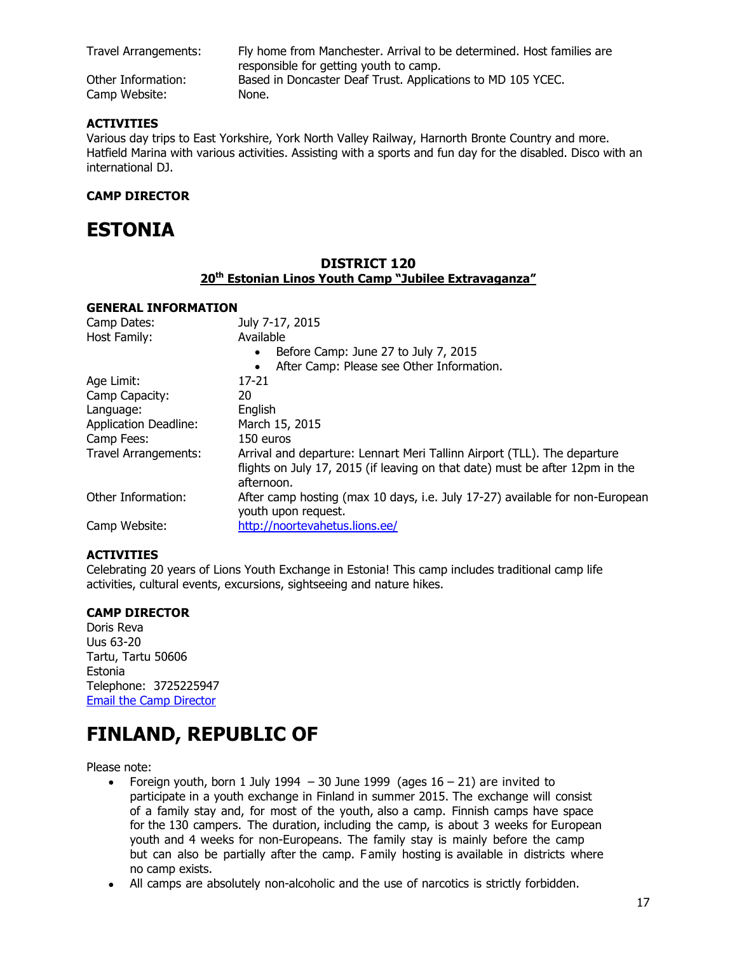Travel Arrangements: Fly home from Manchester. Arrival to be determined. Host families are responsible for getting youth to camp. Other Information: Based in Doncaster Deaf Trust. Applications to MD 105 YCEC.

Camp Website: None.

## **ACTIVITIES**

Various day trips to East Yorkshire, York North Valley Railway, Harnorth Bronte Country and more. Hatfield Marina with various activities. Assisting with a sports and fun day for the disabled. Disco with an international DJ.

## **CAMP DIRECTOR**

## <span id="page-16-0"></span>**ESTONIA**

## **DISTRICT 120 20th Estonian Linos Youth Camp "Jubilee Extravaganza"**

#### **GENERAL INFORMATION**

| Camp Dates:                  | July 7-17, 2015                                                                                                                                                        |
|------------------------------|------------------------------------------------------------------------------------------------------------------------------------------------------------------------|
| Host Family:                 | Available                                                                                                                                                              |
|                              | Before Camp: June 27 to July 7, 2015<br>$\bullet$                                                                                                                      |
|                              | After Camp: Please see Other Information.<br>$\bullet$                                                                                                                 |
| Age Limit:                   | 17-21                                                                                                                                                                  |
| Camp Capacity:               | 20                                                                                                                                                                     |
| Language:                    | English                                                                                                                                                                |
| <b>Application Deadline:</b> | March 15, 2015                                                                                                                                                         |
| Camp Fees:                   | 150 euros                                                                                                                                                              |
| Travel Arrangements:         | Arrival and departure: Lennart Meri Tallinn Airport (TLL). The departure<br>flights on July 17, 2015 (if leaving on that date) must be after 12pm in the<br>afternoon. |
| Other Information:           | After camp hosting (max 10 days, i.e. July 17-27) available for non-European<br>youth upon request.                                                                    |
| Camp Website:                | http://noortevahetus.lions.ee/                                                                                                                                         |

## **ACTIVITIES**

Celebrating 20 years of Lions Youth Exchange in Estonia! This camp includes traditional camp life activities, cultural events, excursions, sightseeing and nature hikes.

## **CAMP DIRECTOR**

Doris Reva Uus 63-20 Tartu, Tartu 50606 Estonia Telephone: 3725225947 [Email the Camp Director](mailto:yce.estonia@gmail.com)

# <span id="page-16-1"></span>**FINLAND, REPUBLIC OF**

Please note:

- Foreign youth, born 1 July 1994 30 June 1999 (ages  $16 21$ ) are invited to participate in a youth exchange in Finland in summer 2015. The exchange will consist of a family stay and, for most of the youth, also a camp. Finnish camps have space for the 130 campers. The duration, including the camp, is about 3 weeks for European youth and 4 weeks for non-Europeans. The family stay is mainly before the camp but can also be partially after the camp. F amily hosting is available in districts where no camp exists.
- All camps are absolutely non-alcoholic and the use of narcotics is strictly forbidden.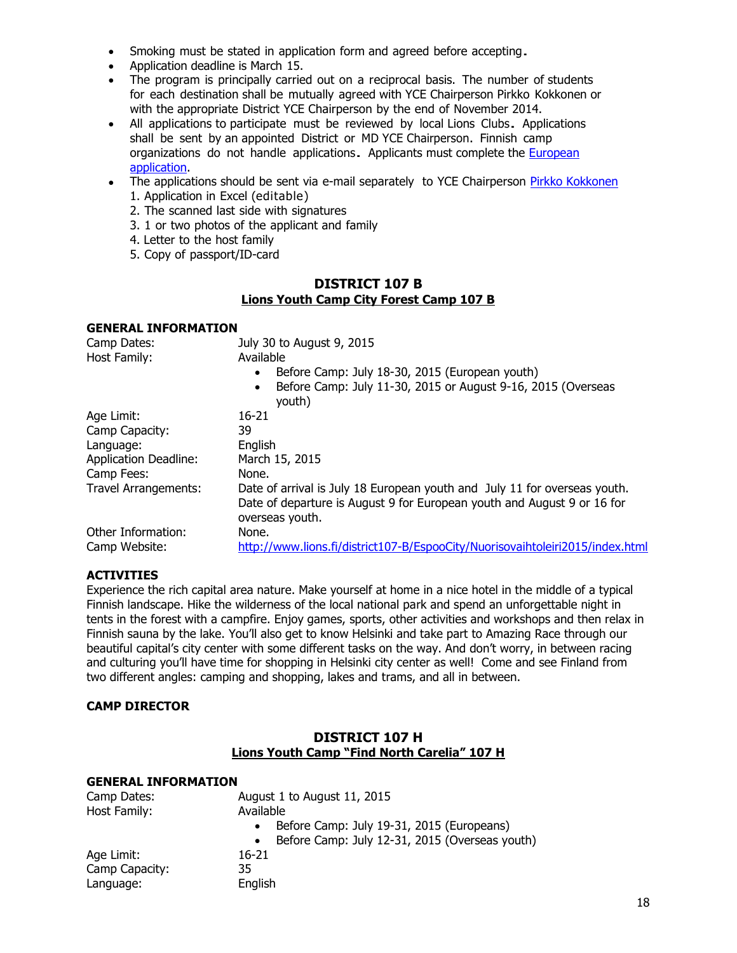- Smoking must be stated in application form and agreed before accepting.
- Application deadline is March 15.
- The program is principally carried out on a reciprocal basis. The number of students for each destination shall be mutually agreed with YCE Chairperson Pirkko Kokkonen or with the appropriate District YCE Chairperson by the end of November 2014.
- All applications to participate must be reviewed by local Lions Clubs. Applications shall be sent by an appointed District or MD YCE Chairperson. Finnish camp organizations do not handle applications. Applicants must complete the [European](http://www.lionsclubs.org/EN/our-work/youth-programs/youth-camp-and-exchange/applications.php)  [application.](http://www.lionsclubs.org/EN/our-work/youth-programs/youth-camp-and-exchange/applications.php)
- The applications should be sent via e-mail separately to YCE Chairperson [Pirkko Kokkonen](mailto:pirkko.kokkonen@lions.fi) 1. Application in Excel (editable)
	- 2. The scanned last side with signatures
	- 3. 1 or two photos of the applicant and family
	- 4. Letter to the host family
	- 5. Copy of passport/ID-card

## **DISTRICT 107 B Lions Youth Camp City Forest Camp 107 B**

#### **GENERAL INFORMATION**

| Camp Dates:                  | July 30 to August 9, 2015                                                           |
|------------------------------|-------------------------------------------------------------------------------------|
| Host Family:                 | Available                                                                           |
|                              | Before Camp: July 18-30, 2015 (European youth)<br>$\bullet$                         |
|                              | Before Camp: July 11-30, 2015 or August 9-16, 2015 (Overseas<br>$\bullet$<br>youth) |
| Age Limit:                   | $16-21$                                                                             |
| Camp Capacity:               | 39                                                                                  |
| Language:                    | English                                                                             |
| <b>Application Deadline:</b> | March 15, 2015                                                                      |
| Camp Fees:                   | None.                                                                               |
| Travel Arrangements:         | Date of arrival is July 18 European youth and July 11 for overseas youth.           |
|                              | Date of departure is August 9 for European youth and August 9 or 16 for             |
|                              | overseas youth.                                                                     |
| Other Information:           | None.                                                                               |
| Camp Website:                | http://www.lions.fi/district107-B/EspooCity/Nuorisovaihtoleiri2015/index.html       |
|                              |                                                                                     |

## **ACTIVITIES**

Experience the rich capital area nature. Make yourself at home in a nice hotel in the middle of a typical Finnish landscape. Hike the wilderness of the local national park and spend an unforgettable night in tents in the forest with a campfire. Enjoy games, sports, other activities and workshops and then relax in Finnish sauna by the lake. You'll also get to know Helsinki and take part to Amazing Race through our beautiful capital's city center with some different tasks on the way. And don't worry, in between racing and culturing you'll have time for shopping in Helsinki city center as well! Come and see Finland from two different angles: camping and shopping, lakes and trams, and all in between.

## **CAMP DIRECTOR**

## **DISTRICT 107 H Lions Youth Camp "Find North Carelia" 107 H**

| Camp Dates:    | August 1 to August 11, 2015                                 |
|----------------|-------------------------------------------------------------|
| Host Family:   | Available                                                   |
|                | Before Camp: July 19-31, 2015 (Europeans)                   |
|                | Before Camp: July 12-31, 2015 (Overseas youth)<br>$\bullet$ |
| Age Limit:     | 16-21                                                       |
| Camp Capacity: | 35                                                          |
| Language:      | English                                                     |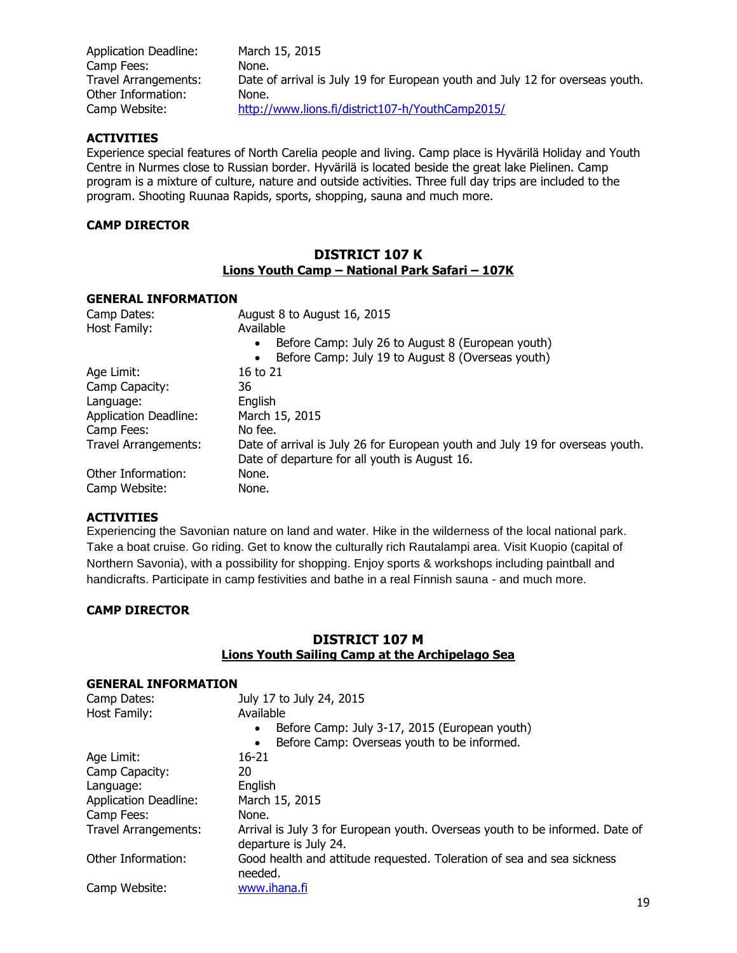| Application Deadline: | March 15, 2015                                                                |
|-----------------------|-------------------------------------------------------------------------------|
| Camp Fees:            | None.                                                                         |
| Travel Arrangements:  | Date of arrival is July 19 for European youth and July 12 for overseas youth. |
| Other Information:    | None.                                                                         |
| Camp Website:         | http://www.lions.fi/district107-h/YouthCamp2015/                              |

Experience special features of North Carelia people and living. Camp place is Hyvärilä Holiday and Youth Centre in Nurmes close to Russian border. Hyvärilä is located beside the great lake Pielinen. Camp program is a mixture of culture, nature and outside activities. Three full day trips are included to the program. Shooting Ruunaa Rapids, sports, shopping, sauna and much more.

### **CAMP DIRECTOR**

### **DISTRICT 107 K Lions Youth Camp – National Park Safari – 107K**

#### **GENERAL INFORMATION**

| Camp Dates:                  | August 8 to August 16, 2015                                                   |
|------------------------------|-------------------------------------------------------------------------------|
| Host Family:                 | Available                                                                     |
|                              | Before Camp: July 26 to August 8 (European youth)<br>$\bullet$                |
|                              | Before Camp: July 19 to August 8 (Overseas youth)                             |
| Age Limit:                   | 16 to 21                                                                      |
| Camp Capacity:               | 36                                                                            |
| Language:                    | English                                                                       |
| <b>Application Deadline:</b> | March 15, 2015                                                                |
| Camp Fees:                   | No fee.                                                                       |
| Travel Arrangements:         | Date of arrival is July 26 for European youth and July 19 for overseas youth. |
|                              | Date of departure for all youth is August 16.                                 |
| Other Information:           | None.                                                                         |
| Camp Website:                | None.                                                                         |

#### **ACTIVITIES**

Experiencing the Savonian nature on land and water. Hike in the wilderness of the local national park. Take a boat cruise. Go riding. Get to know the culturally rich Rautalampi area. Visit Kuopio (capital of Northern Savonia), with a possibility for shopping. Enjoy sports & workshops including paintball and handicrafts. Participate in camp festivities and bathe in a real Finnish sauna - and much more.

#### **CAMP DIRECTOR**

## **DISTRICT 107 M Lions Youth Sailing Camp at the Archipelago Sea**

| <b>GENERAL INFORMATION</b>   |                                                                                                       |  |
|------------------------------|-------------------------------------------------------------------------------------------------------|--|
| Camp Dates:                  | July 17 to July 24, 2015                                                                              |  |
| Host Family:                 | Available                                                                                             |  |
|                              | Before Camp: July 3-17, 2015 (European youth)<br>$\bullet$                                            |  |
|                              | Before Camp: Overseas youth to be informed.                                                           |  |
| Age Limit:                   | $16-21$                                                                                               |  |
| Camp Capacity:               | 20                                                                                                    |  |
| Language:                    | English                                                                                               |  |
| <b>Application Deadline:</b> | March 15, 2015                                                                                        |  |
| Camp Fees:                   | None.                                                                                                 |  |
| Travel Arrangements:         | Arrival is July 3 for European youth. Overseas youth to be informed. Date of<br>departure is July 24. |  |
| Other Information:           | Good health and attitude requested. Toleration of sea and sea sickness<br>needed.                     |  |
| Camp Website:                | www.ihana.fi                                                                                          |  |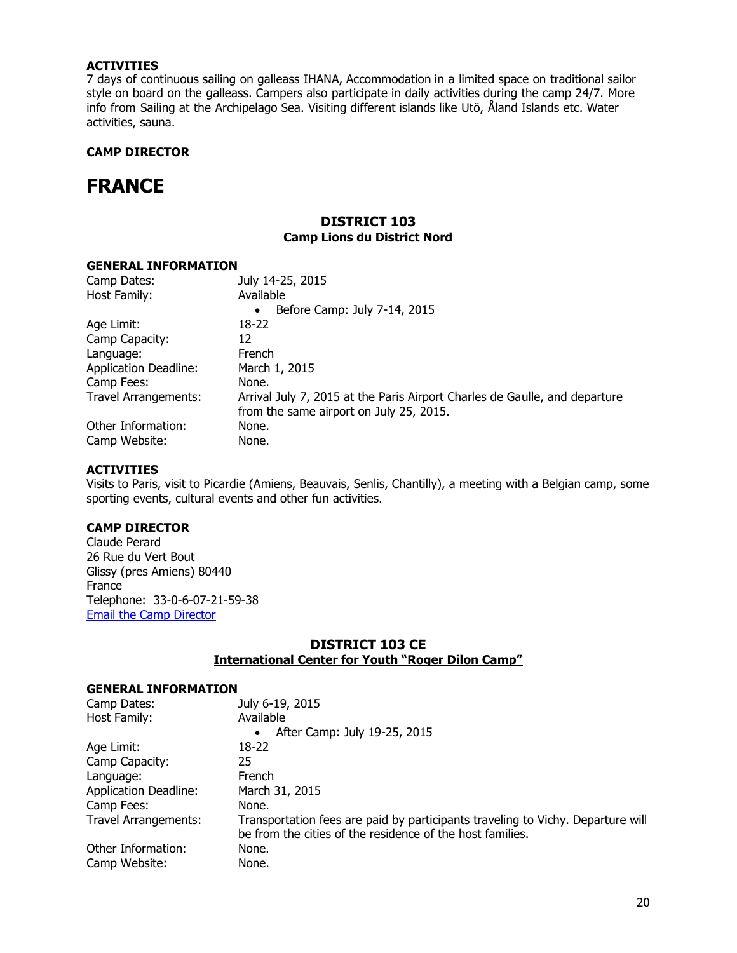7 days of continuous sailing on galleass IHANA, Accommodation in a limited space on traditional sailor style on board on the galleass. Campers also participate in daily activities during the camp 24/7. More info from Sailing at the Archipelago Sea. Visiting different islands like Utö, Åland Islands etc. Water activities, sauna.

## **CAMP DIRECTOR**

## <span id="page-19-0"></span>**FRANCE**

## **DISTRICT 103 Camp Lions du District Nord**

#### **GENERAL INFORMATION**

| Camp Dates:                  | July 14-25, 2015                                                                                                      |
|------------------------------|-----------------------------------------------------------------------------------------------------------------------|
| Host Family:                 | Available                                                                                                             |
|                              | Before Camp: July 7-14, 2015<br>$\bullet$                                                                             |
| Age Limit:                   | 18-22                                                                                                                 |
| Camp Capacity:               | 12                                                                                                                    |
| Language:                    | French                                                                                                                |
| <b>Application Deadline:</b> | March 1, 2015                                                                                                         |
| Camp Fees:                   | None.                                                                                                                 |
| <b>Travel Arrangements:</b>  | Arrival July 7, 2015 at the Paris Airport Charles de Gaulle, and departure<br>from the same airport on July 25, 2015. |
| Other Information:           | None.                                                                                                                 |
| Camp Website:                | None.                                                                                                                 |

#### **ACTIVITIES**

Visits to Paris, visit to Picardie (Amiens, Beauvais, Senlis, Chantilly), a meeting with a Belgian camp, some sporting events, cultural events and other fun activities.

#### **CAMP DIRECTOR**

Claude Perard 26 Rue du Vert Bout Glissy (pres Amiens) 80440 France Telephone: 33-0-6-07-21-59-38 [Email the Camp Director](mailto:perardclaude@orange.fr)

## **DISTRICT 103 CE International Center for Youth "Roger Dilon Camp"**

| Camp Dates:                  | July 6-19, 2015                                                                                                                              |
|------------------------------|----------------------------------------------------------------------------------------------------------------------------------------------|
| Host Family:                 | Available                                                                                                                                    |
|                              | After Camp: July 19-25, 2015                                                                                                                 |
| Age Limit:                   | 18-22                                                                                                                                        |
| Camp Capacity:               | 25                                                                                                                                           |
| Language:                    | French                                                                                                                                       |
| <b>Application Deadline:</b> | March 31, 2015                                                                                                                               |
| Camp Fees:                   | None.                                                                                                                                        |
| Travel Arrangements:         | Transportation fees are paid by participants traveling to Vichy. Departure will<br>be from the cities of the residence of the host families. |
| Other Information:           | None.                                                                                                                                        |
| Camp Website:                | None.                                                                                                                                        |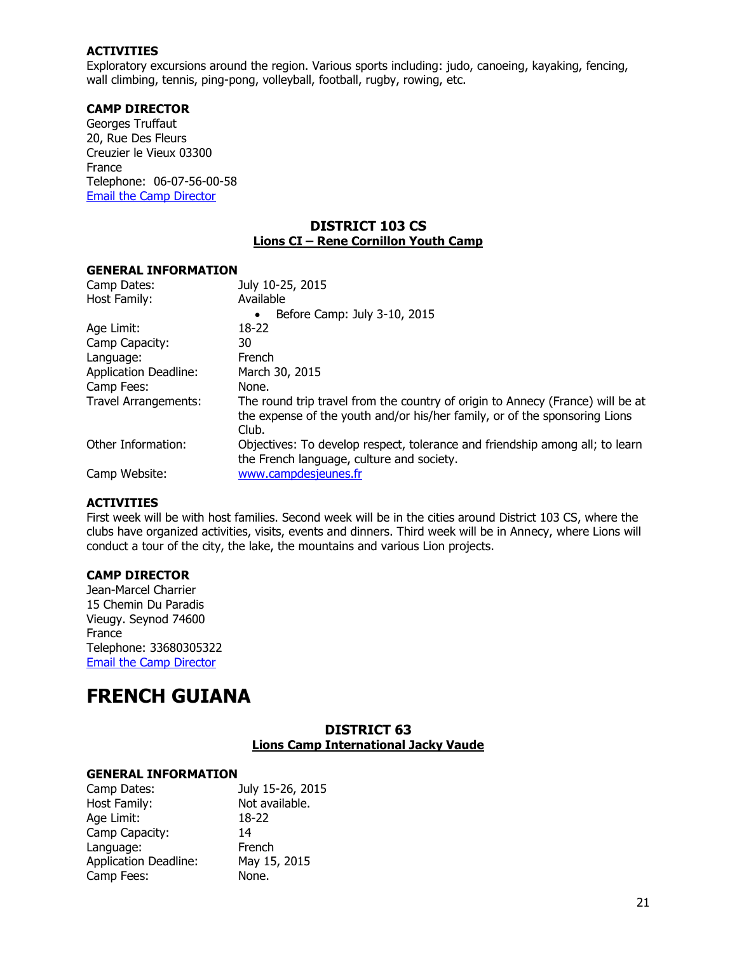Exploratory excursions around the region. Various sports including: judo, canoeing, kayaking, fencing, wall climbing, tennis, ping-pong, volleyball, football, rugby, rowing, etc.

#### **CAMP DIRECTOR**

Georges Truffaut 20, Rue Des Fleurs Creuzier le Vieux 03300 France Telephone: 06-07-56-00-58 [Email the Camp Director](mailto:Georges.truffaut@wanadoo.fr)

## **DISTRICT 103 CS Lions CI – Rene Cornillon Youth Camp**

#### **GENERAL INFORMATION**

| Camp Dates:                  | July 10-25, 2015                                                                                                                                                      |
|------------------------------|-----------------------------------------------------------------------------------------------------------------------------------------------------------------------|
| Host Family:                 | Available                                                                                                                                                             |
|                              | Before Camp: July 3-10, 2015<br>$\bullet$                                                                                                                             |
| Age Limit:                   | 18-22                                                                                                                                                                 |
| Camp Capacity:               | 30                                                                                                                                                                    |
| Language:                    | French                                                                                                                                                                |
| <b>Application Deadline:</b> | March 30, 2015                                                                                                                                                        |
| Camp Fees:                   | None.                                                                                                                                                                 |
| Travel Arrangements:         | The round trip travel from the country of origin to Annecy (France) will be at<br>the expense of the youth and/or his/her family, or of the sponsoring Lions<br>Club. |
| Other Information:           | Objectives: To develop respect, tolerance and friendship among all; to learn<br>the French language, culture and society.                                             |
| Camp Website:                | www.campdesjeunes.fr                                                                                                                                                  |

#### **ACTIVITIES**

First week will be with host families. Second week will be in the cities around District 103 CS, where the clubs have organized activities, visits, events and dinners. Third week will be in Annecy, where Lions will conduct a tour of the city, the lake, the mountains and various Lion projects.

## **CAMP DIRECTOR**

Jean-Marcel Charrier 15 Chemin Du Paradis Vieugy. Seynod 74600 France Telephone: 33680305322 [Email the Camp Director](mailto:jmcharrier@charrier.fr)

## <span id="page-20-0"></span>**FRENCH GUIANA**

## **DISTRICT 63 Lions Camp International Jacky Vaude**

| Camp Dates:                  | July 15-26, 2015 |
|------------------------------|------------------|
| Host Family:                 | Not available.   |
| Age Limit:                   | 18-22            |
| Camp Capacity:               | 14               |
| Language:                    | French           |
| <b>Application Deadline:</b> | May 15, 2015     |
| Camp Fees:                   | None.            |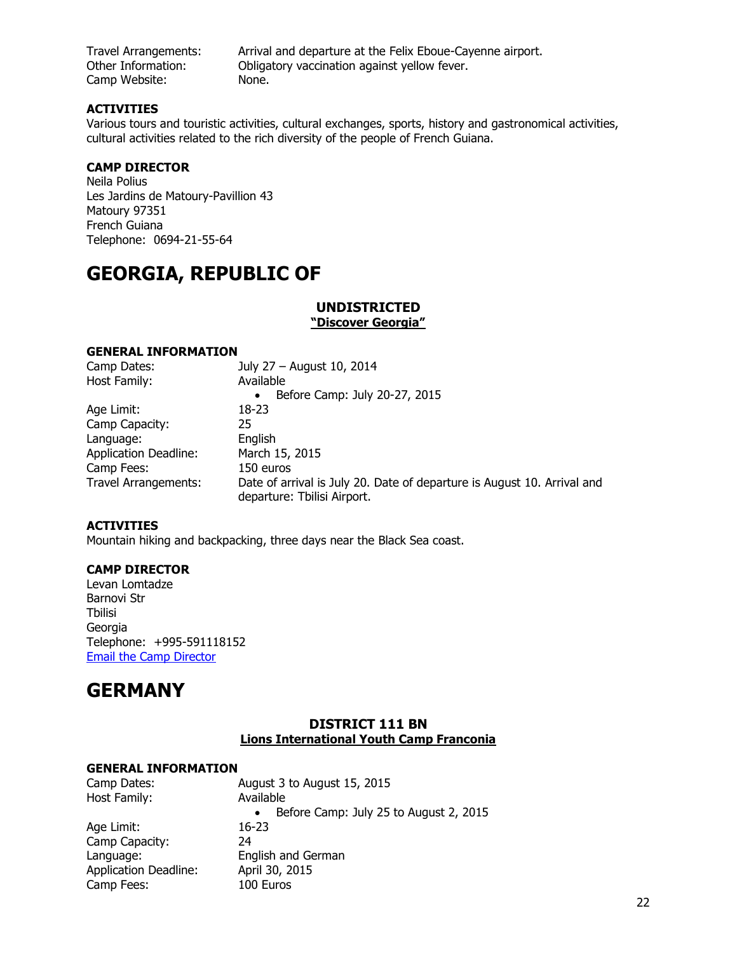Camp Website: None.

Travel Arrangements: Arrival and departure at the Felix Eboue-Cayenne airport. Other Information: Obligatory vaccination against yellow fever.

## **ACTIVITIES**

Various tours and touristic activities, cultural exchanges, sports, history and gastronomical activities, cultural activities related to the rich diversity of the people of French Guiana.

## **CAMP DIRECTOR**

Neila Polius Les Jardins de Matoury-Pavillion 43 Matoury 97351 French Guiana Telephone: 0694-21-55-64

# <span id="page-21-0"></span>**GEORGIA, REPUBLIC OF**

## **UNDISTRICTED**

**"Discover Georgia"**

## **GENERAL INFORMATION**

| Camp Dates:                  | July 27 - August 10, 2014                                                                              |
|------------------------------|--------------------------------------------------------------------------------------------------------|
| Host Family:                 | Available                                                                                              |
|                              | Before Camp: July 20-27, 2015<br>$\bullet$                                                             |
| Age Limit:                   | 18-23                                                                                                  |
| Camp Capacity:               | 25                                                                                                     |
| Language:                    | English                                                                                                |
| <b>Application Deadline:</b> | March 15, 2015                                                                                         |
| Camp Fees:                   | 150 euros                                                                                              |
| <b>Travel Arrangements:</b>  | Date of arrival is July 20. Date of departure is August 10. Arrival and<br>departure: Tbilisi Airport. |

## **ACTIVITIES**

Mountain hiking and backpacking, three days near the Black Sea coast.

#### **CAMP DIRECTOR**

Levan Lomtadze Barnovi Str Tbilisi Georgia Telephone: +995-591118152 [Email the Camp Director](mailto:l.lomtadze@labeaute.ge?subject=YCE%20Directory%20Request)

## <span id="page-21-1"></span>**GERMANY**

## **DISTRICT 111 BN Lions International Youth Camp Franconia**

| Camp Dates:                  | August 3 to August 15, 2015                         |
|------------------------------|-----------------------------------------------------|
| Host Family:                 | Available                                           |
|                              | Before Camp: July 25 to August 2, 2015<br>$\bullet$ |
| Age Limit:                   | 16-23                                               |
| Camp Capacity:               | 24                                                  |
| Language:                    | English and German                                  |
| <b>Application Deadline:</b> | April 30, 2015                                      |
| Camp Fees:                   | 100 Euros                                           |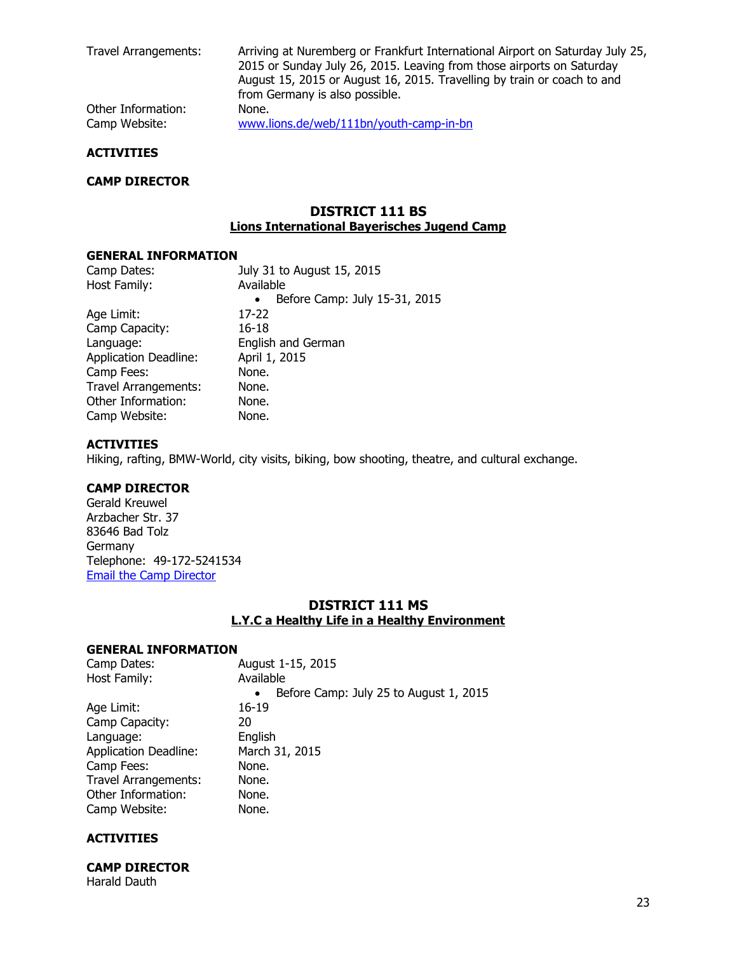Travel Arrangements: Arriving at Nuremberg or Frankfurt International Airport on Saturday July 25, 2015 or Sunday July 26, 2015. Leaving from those airports on Saturday August 15, 2015 or August 16, 2015. Travelling by train or coach to and from Germany is also possible. Other Information: None. Camp Website: [www.lions.de/web/111bn/youth-camp-in-bn](http://www.lions.de/web/111bn/youth-camp-in-bn)

#### **ACTIVITIES**

#### **CAMP DIRECTOR**

## **DISTRICT 111 BS Lions International Bayerisches Jugend Camp**

#### **GENERAL INFORMATION**

| Camp Dates:                  | July 31 to August 15, 2015                 |
|------------------------------|--------------------------------------------|
| Host Family:                 | Available                                  |
|                              | Before Camp: July 15-31, 2015<br>$\bullet$ |
| Age Limit:                   | 17-22                                      |
| Camp Capacity:               | $16 - 18$                                  |
| Language:                    | English and German                         |
| <b>Application Deadline:</b> | April 1, 2015                              |
| Camp Fees:                   | None.                                      |
| <b>Travel Arrangements:</b>  | None.                                      |
| Other Information:           | None.                                      |
| Camp Website:                | None.                                      |
|                              |                                            |

#### **ACTIVITIES**

Hiking, rafting, BMW-World, city visits, biking, bow shooting, theatre, and cultural exchange.

#### **CAMP DIRECTOR**

Gerald Kreuwel Arzbacher Str. 37 83646 Bad Tolz Germany Telephone: 49-172-5241534 [Email the Camp Director](mailto:Gerald.kreuwel@lions-bayern-sued.de)

## **DISTRICT 111 MS L.Y.C a Healthy Life in a Healthy Environment**

## **GENERAL INFORMATION**

| Camp Dates:                  | August 1-15, 2015                                   |
|------------------------------|-----------------------------------------------------|
| Host Family:                 | Available                                           |
|                              | Before Camp: July 25 to August 1, 2015<br>$\bullet$ |
| Age Limit:                   | 16-19                                               |
| Camp Capacity:               | 20                                                  |
| Language:                    | English                                             |
| <b>Application Deadline:</b> | March 31, 2015                                      |
| Camp Fees:                   | None.                                               |
| <b>Travel Arrangements:</b>  | None.                                               |
| Other Information:           | None.                                               |
| Camp Website:                | None.                                               |
|                              |                                                     |

#### **ACTIVITIES**

**CAMP DIRECTOR** Harald Dauth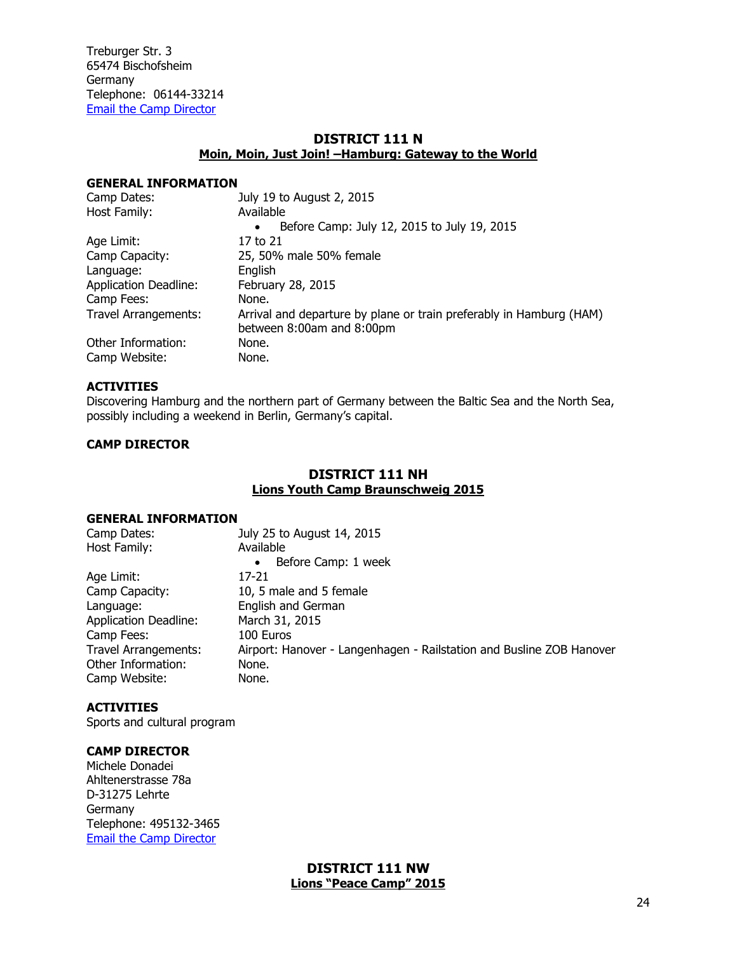Treburger Str. 3 65474 Bischofsheim Germany Telephone: 06144-33214 [Email the Camp Director](mailto:Harald.dauth@googlemail.com)

## **DISTRICT 111 N Moin, Moin, Just Join! –Hamburg: Gateway to the World**

#### **GENERAL INFORMATION**

| Camp Dates:                  | July 19 to August 2, 2015                                                                        |
|------------------------------|--------------------------------------------------------------------------------------------------|
| Host Family:                 | Available                                                                                        |
|                              | Before Camp: July 12, 2015 to July 19, 2015<br>$\bullet$                                         |
| Age Limit:                   | 17 to 21                                                                                         |
| Camp Capacity:               | 25, 50% male 50% female                                                                          |
| Language:                    | Enalish                                                                                          |
| <b>Application Deadline:</b> | February 28, 2015                                                                                |
| Camp Fees:                   | None.                                                                                            |
| <b>Travel Arrangements:</b>  | Arrival and departure by plane or train preferably in Hamburg (HAM)<br>between 8:00am and 8:00pm |
| Other Information:           | None.                                                                                            |
| Camp Website:                | None.                                                                                            |

#### **ACTIVITIES**

Discovering Hamburg and the northern part of Germany between the Baltic Sea and the North Sea, possibly including a weekend in Berlin, Germany's capital.

## **CAMP DIRECTOR**

## **DISTRICT 111 NH Lions Youth Camp Braunschweig 2015**

#### **GENERAL INFORMATION**

| Camp Dates:                  | July 25 to August 14, 2015                                           |
|------------------------------|----------------------------------------------------------------------|
| Host Family:                 | Available                                                            |
|                              | Before Camp: 1 week<br>$\bullet$                                     |
| Age Limit:                   | 17-21                                                                |
| Camp Capacity:               | 10, 5 male and 5 female                                              |
| Language:                    | English and German                                                   |
| <b>Application Deadline:</b> | March 31, 2015                                                       |
| Camp Fees:                   | 100 Euros                                                            |
| <b>Travel Arrangements:</b>  | Airport: Hanover - Langenhagen - Railstation and Busline ZOB Hanover |
| Other Information:           | None.                                                                |
| Camp Website:                | None.                                                                |

## **ACTIVITIES**

Sports and cultural program

## **CAMP DIRECTOR**

Michele Donadei Ahltenerstrasse 78a D-31275 Lehrte Germany Telephone: 495132-3465 [Email the Camp Director](mailto:ginosa@live.de)

> **DISTRICT 111 NW Lions "Peace Camp" 2015**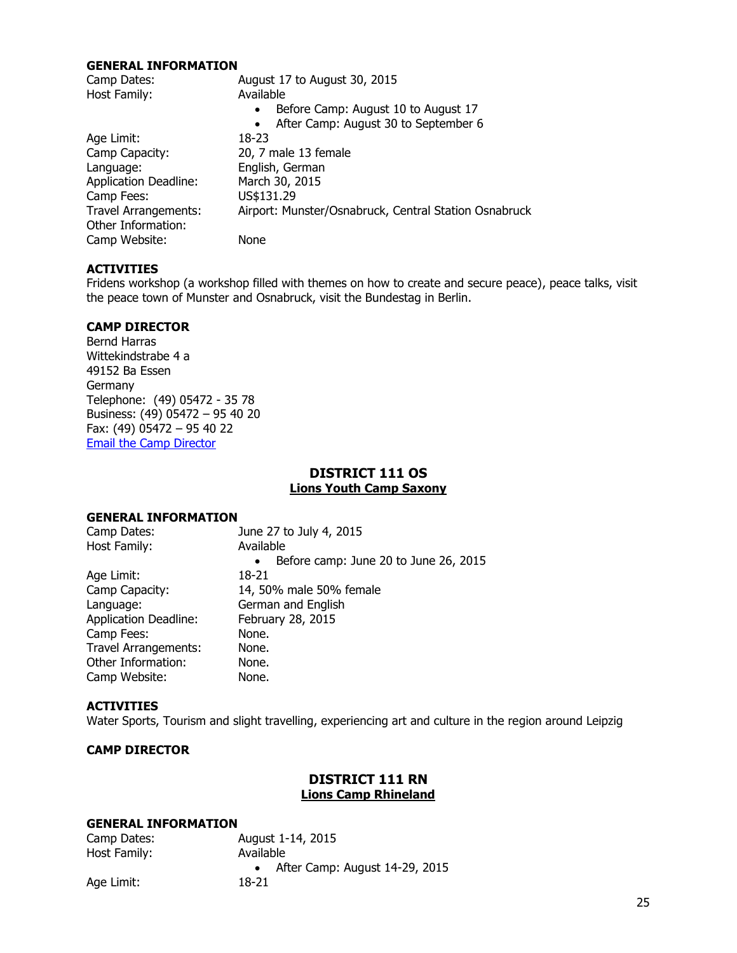#### **GENERAL INFORMATION**

| Camp Dates:                  | August 17 to August 30, 2015                          |
|------------------------------|-------------------------------------------------------|
| Host Family:                 | Available                                             |
|                              | Before Camp: August 10 to August 17                   |
|                              | After Camp: August 30 to September 6                  |
| Age Limit:                   | 18-23                                                 |
| Camp Capacity:               | 20, 7 male 13 female                                  |
| Language:                    | English, German                                       |
| <b>Application Deadline:</b> | March 30, 2015                                        |
| Camp Fees:                   | US\$131.29                                            |
| <b>Travel Arrangements:</b>  | Airport: Munster/Osnabruck, Central Station Osnabruck |
| Other Information:           |                                                       |
| Camp Website:                | None                                                  |
|                              |                                                       |

#### **ACTIVITIES**

Fridens workshop (a workshop filled with themes on how to create and secure peace), peace talks, visit the peace town of Munster and Osnabruck, visit the Bundestag in Berlin.

## **CAMP DIRECTOR**

Bernd Harras Wittekindstrabe 4 a 49152 Ba Essen Germany Telephone: (49) 05472 - 35 78 Business: (49) 05472 – 95 40 20 Fax: (49) 05472 – 95 40 22 [Email the Camp Director](mailto:Bernd.harras@t-online.de)

## **DISTRICT 111 OS Lions Youth Camp Saxony**

#### **GENERAL INFORMATION**

| Camp Dates:                  | June 27 to July 4, 2015                            |
|------------------------------|----------------------------------------------------|
| Host Family:                 | Available                                          |
|                              | Before camp: June 20 to June 26, 2015<br>$\bullet$ |
| Age Limit:                   | 18-21                                              |
| Camp Capacity:               | 14, 50% male 50% female                            |
| Language:                    | German and English                                 |
| <b>Application Deadline:</b> | February 28, 2015                                  |
| Camp Fees:                   | None.                                              |
| <b>Travel Arrangements:</b>  | None.                                              |
| Other Information:           | None.                                              |
| Camp Website:                | None.                                              |

#### **ACTIVITIES**

Water Sports, Tourism and slight travelling, experiencing art and culture in the region around Leipzig

#### **CAMP DIRECTOR**

## **DISTRICT 111 RN Lions Camp Rhineland**

| Camp Dates:  | August 1-14, 2015              |  |
|--------------|--------------------------------|--|
| Host Family: | Available                      |  |
|              | After Camp: August 14-29, 2015 |  |
| Age Limit:   | 18-21                          |  |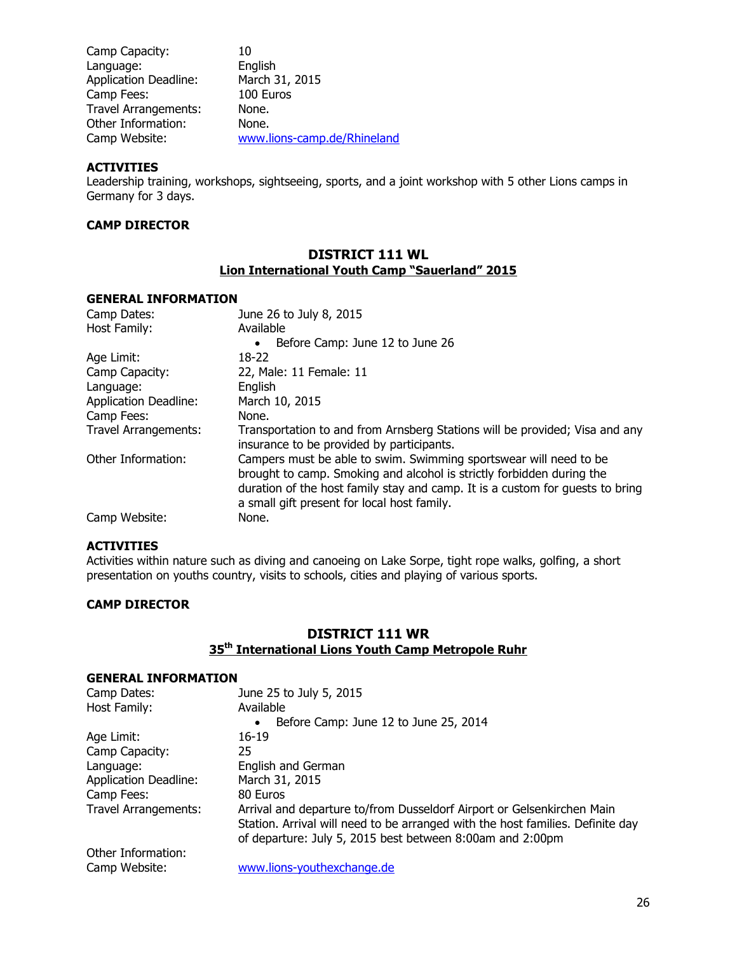| Camp Capacity:               | 10                          |
|------------------------------|-----------------------------|
| Language:                    | English                     |
| <b>Application Deadline:</b> | March 31, 2015              |
| Camp Fees:                   | 100 Euros                   |
| <b>Travel Arrangements:</b>  | None.                       |
| Other Information:           | None.                       |
| Camp Website:                | www.lions-camp.de/Rhineland |

Leadership training, workshops, sightseeing, sports, and a joint workshop with 5 other Lions camps in Germany for 3 days.

## **CAMP DIRECTOR**

#### **DISTRICT 111 WL Lion International Youth Camp "Sauerland" 2015**

#### **GENERAL INFORMATION**

| Camp Dates:                  | June 26 to July 8, 2015                                                                                                                                                                                                                                                    |
|------------------------------|----------------------------------------------------------------------------------------------------------------------------------------------------------------------------------------------------------------------------------------------------------------------------|
| Host Family:                 | Available                                                                                                                                                                                                                                                                  |
|                              | Before Camp: June 12 to June 26<br>$\bullet$                                                                                                                                                                                                                               |
| Age Limit:                   | 18-22                                                                                                                                                                                                                                                                      |
| Camp Capacity:               | 22, Male: 11 Female: 11                                                                                                                                                                                                                                                    |
| Language:                    | English                                                                                                                                                                                                                                                                    |
| <b>Application Deadline:</b> | March 10, 2015                                                                                                                                                                                                                                                             |
| Camp Fees:                   | None.                                                                                                                                                                                                                                                                      |
| <b>Travel Arrangements:</b>  | Transportation to and from Arnsberg Stations will be provided; Visa and any<br>insurance to be provided by participants.                                                                                                                                                   |
| Other Information:           | Campers must be able to swim. Swimming sportswear will need to be<br>brought to camp. Smoking and alcohol is strictly forbidden during the<br>duration of the host family stay and camp. It is a custom for guests to bring<br>a small gift present for local host family. |
| Camp Website:                | None.                                                                                                                                                                                                                                                                      |

#### **ACTIVITIES**

Activities within nature such as diving and canoeing on Lake Sorpe, tight rope walks, golfing, a short presentation on youths country, visits to schools, cities and playing of various sports.

#### **CAMP DIRECTOR**

## **DISTRICT 111 WR 35th International Lions Youth Camp Metropole Ruhr**

#### **GENERAL INFORMATION** Camp Dates: June 25 to July 5, 2015 Host Family: Available Before Camp: June 12 to June 25, 2014<br>16-19 Age Limit: Camp Capacity: 25 Language: English and German Application Deadline: March 31, 2015 Camp Fees: 80 Euros Travel Arrangements: Arrival and departure to/from Dusseldorf Airport or Gelsenkirchen Main Station. Arrival will need to be arranged with the host families. Definite day of departure: July 5, 2015 best between 8:00am and 2:00pm Other Information: Camp Website: [www.lions-youthexchange.de](http://www.lions-youthexchange.de/)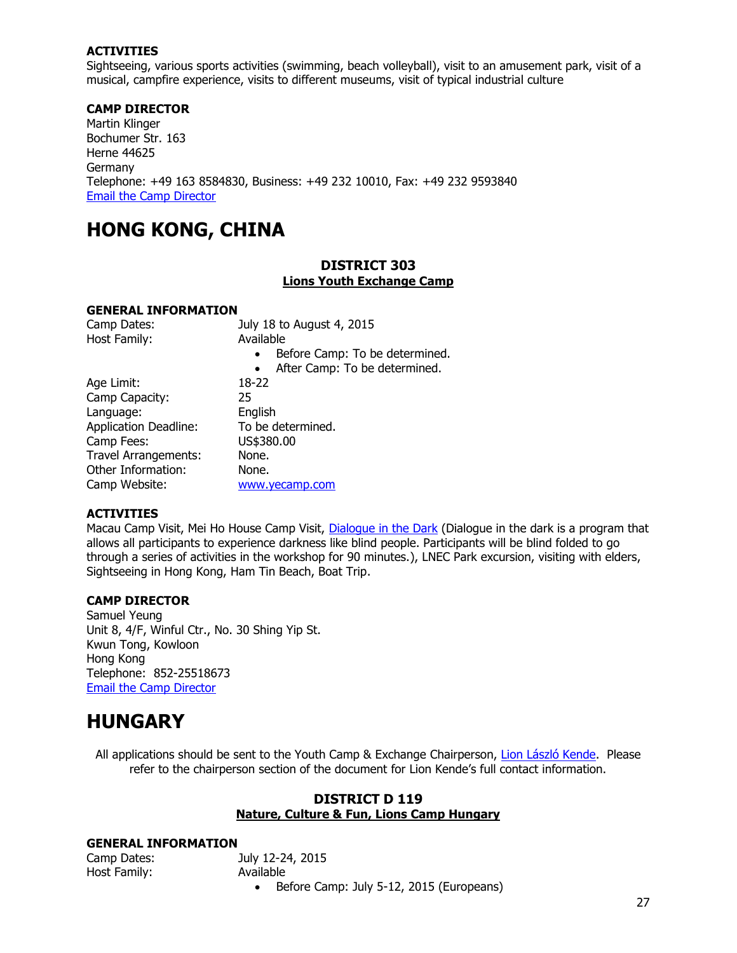Sightseeing, various sports activities (swimming, beach volleyball), visit to an amusement park, visit of a musical, campfire experience, visits to different museums, visit of typical industrial culture

## **CAMP DIRECTOR**

Martin Klinger Bochumer Str. 163 Herne 44625 Germany Telephone: +49 163 8584830, Business: +49 232 10010, Fax: +49 232 9593840 [Email the Camp Director](mailto:klinger-mail@t-online.de)

## <span id="page-26-0"></span>**HONG KONG, CHINA**

## **DISTRICT 303 Lions Youth Exchange Camp**

#### **GENERAL INFORMATION**

| Camp Dates:                  | July 18 to August 4, 2015                   |
|------------------------------|---------------------------------------------|
| Host Family:                 | Available                                   |
|                              | Before Camp: To be determined.<br>$\bullet$ |
|                              | After Camp: To be determined.<br>$\bullet$  |
| Age Limit:                   | 18-22                                       |
| Camp Capacity:               | 25                                          |
| Language:                    | English                                     |
| <b>Application Deadline:</b> | To be determined.                           |
| Camp Fees:                   | US\$380.00                                  |
| <b>Travel Arrangements:</b>  | None.                                       |
| Other Information:           | None.                                       |
| Camp Website:                | www.yecamp.com                              |

#### **ACTIVITIES**

Macau Camp Visit, Mei Ho House Camp Visit, Dialoque in the Dark (Dialogue in the dark is a program that allows all participants to experience darkness like blind people. Participants will be blind folded to go through a series of activities in the workshop for 90 minutes.), LNEC Park excursion, visiting with elders, Sightseeing in Hong Kong, Ham Tin Beach, Boat Trip.

## **CAMP DIRECTOR**

Samuel Yeung Unit 8, 4/F, Winful Ctr., No. 30 Shing Yip St. Kwun Tong, Kowloon Hong Kong Telephone: 852-25518673 [Email the Camp Director](mailto:Youthexchange2015@gmail.com)

## <span id="page-26-1"></span>**HUNGARY**

All applications should be sent to the Youth Camp & Exchange Chairperson, [Lion László Kende.](mailto:kende-Laszlo@t-online.hu?subject=YCE%20Directory%20Request%20) Please refer to the chairperson section of the document for Lion Kende's full contact information.

## **DISTRICT D 119 Nature, Culture & Fun, Lions Camp Hungary**

#### **GENERAL INFORMATION**

| Camp Dates:  |  |
|--------------|--|
| Host Family: |  |

July 12-24, 2015 Available • Before Camp: July 5-12, 2015 (Europeans)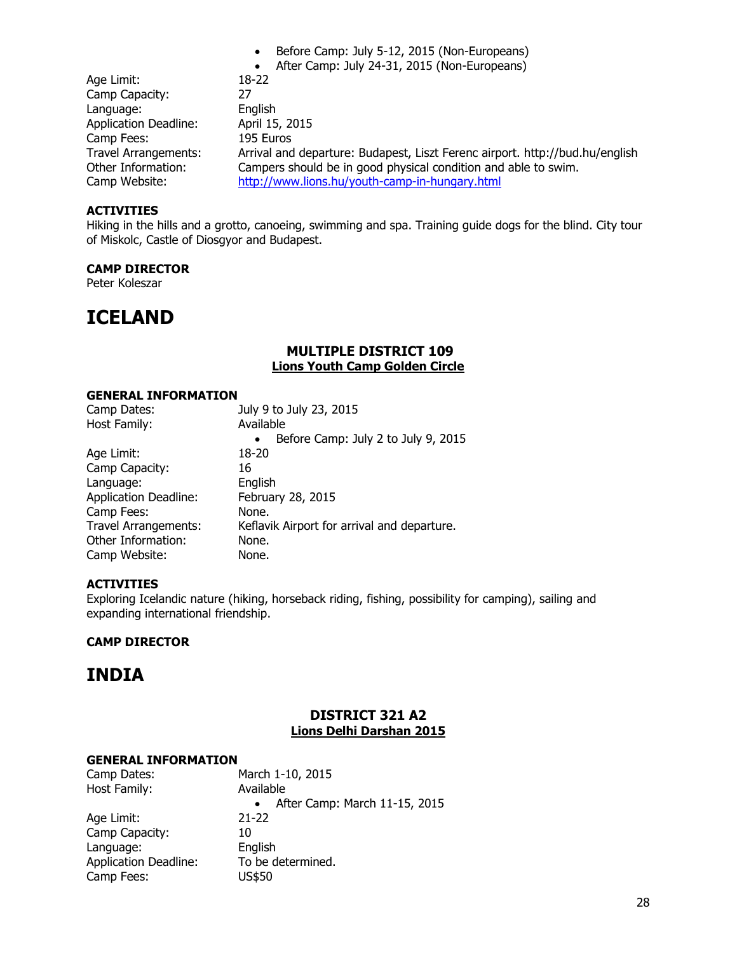• After Camp: July 24-31, 2015 (Non-Europeans) Age Limit: 18-22 Camp Capacity: 27 Language: English Application Deadline: April 15, 2015 Camp Fees: 195 Euros Travel Arrangements: Arrival and departure: Budapest, Liszt Ferenc airport. http://bud.hu/english Campers should be in good physical condition and able to swim. Camp Website: <http://www.lions.hu/youth-camp-in-hungary.html>

• Before Camp: July 5-12, 2015 (Non-Europeans)

#### **ACTIVITIES**

Hiking in the hills and a grotto, canoeing, swimming and spa. Training guide dogs for the blind. City tour of Miskolc, Castle of Diosgyor and Budapest.

#### **CAMP DIRECTOR**

Peter Koleszar

## <span id="page-27-0"></span>**ICELAND**

## **MULTIPLE DISTRICT 109 Lions Youth Camp Golden Circle**

#### **GENERAL INFORMATION**

| July 9 to July 23, 2015                          |
|--------------------------------------------------|
| Available                                        |
| Before Camp: July 2 to July 9, 2015<br>$\bullet$ |
| 18-20                                            |
| 16                                               |
| English                                          |
| February 28, 2015                                |
| None.                                            |
| Keflavik Airport for arrival and departure.      |
| None.                                            |
| None.                                            |
|                                                  |

## **ACTIVITIES**

Exploring Icelandic nature (hiking, horseback riding, fishing, possibility for camping), sailing and expanding international friendship.

#### **CAMP DIRECTOR**

## **INDIA**

## **DISTRICT 321 A2 Lions Delhi Darshan 2015**

| Camp Dates:                  | March 1-10, 2015              |
|------------------------------|-------------------------------|
| Host Family:                 | Available                     |
|                              | After Camp: March 11-15, 2015 |
| Age Limit:                   | $21 - 22$                     |
| Camp Capacity:               | 10                            |
| Language:                    | English                       |
| <b>Application Deadline:</b> | To be determined.             |
| Camp Fees:                   | US\$50                        |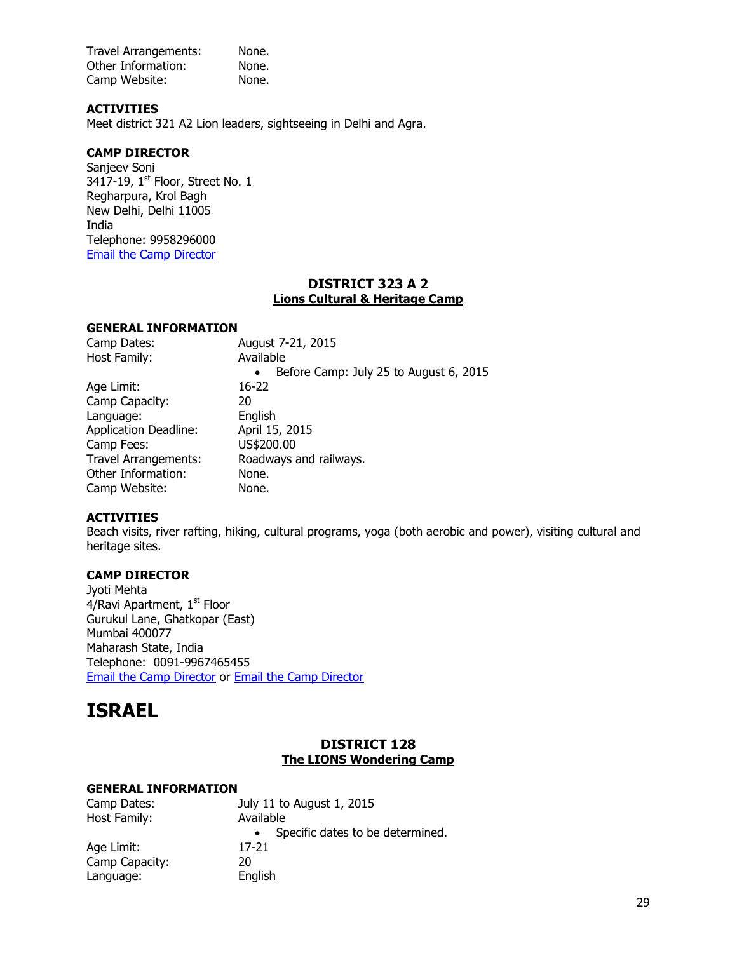Travel Arrangements: None. Other Information: None. Camp Website: None.

## **ACTIVITIES**

Meet district 321 A2 Lion leaders, sightseeing in Delhi and Agra.

### **CAMP DIRECTOR**

Sanjeev Soni 3417-19,  $1<sup>st</sup>$  Floor, Street No. 1 Regharpura, Krol Bagh New Delhi, Delhi 11005 India Telephone: 9958296000 [Email the Camp Director](mailto:Sanjeev007soni@gmail.com)

## **DISTRICT 323 A 2 Lions Cultural & Heritage Camp**

#### **GENERAL INFORMATION**

| August 7-21, 2015                                   |
|-----------------------------------------------------|
| Available                                           |
| Before Camp: July 25 to August 6, 2015<br>$\bullet$ |
| 16-22                                               |
| 20                                                  |
| English                                             |
| April 15, 2015                                      |
| US\$200.00                                          |
| Roadways and railways.                              |
| None.                                               |
| None.                                               |
|                                                     |

#### **ACTIVITIES**

Beach visits, river rafting, hiking, cultural programs, yoga (both aerobic and power), visiting cultural and heritage sites.

## **CAMP DIRECTOR**

Jyoti Mehta  $4/R$ avi Apartment,  $1<sup>st</sup>$  Floor Gurukul Lane, Ghatkopar (East) Mumbai 400077 Maharash State, India Telephone: 0091-9967465455 [Email the Camp Director](mailto:audreyroseg4jyoti@gmail.com) or [Email the Camp Director](mailto:mjflionjyoti@gmail.com)

## <span id="page-28-0"></span>**ISRAEL**

## **DISTRICT 128 The LIONS Wondering Camp**

| Camp Dates:    | July 11 to August 1, 2015        |  |  |
|----------------|----------------------------------|--|--|
| Host Family:   | Available                        |  |  |
|                | Specific dates to be determined. |  |  |
| Age Limit:     | 17-21                            |  |  |
| Camp Capacity: | 20                               |  |  |
| Language:      | English                          |  |  |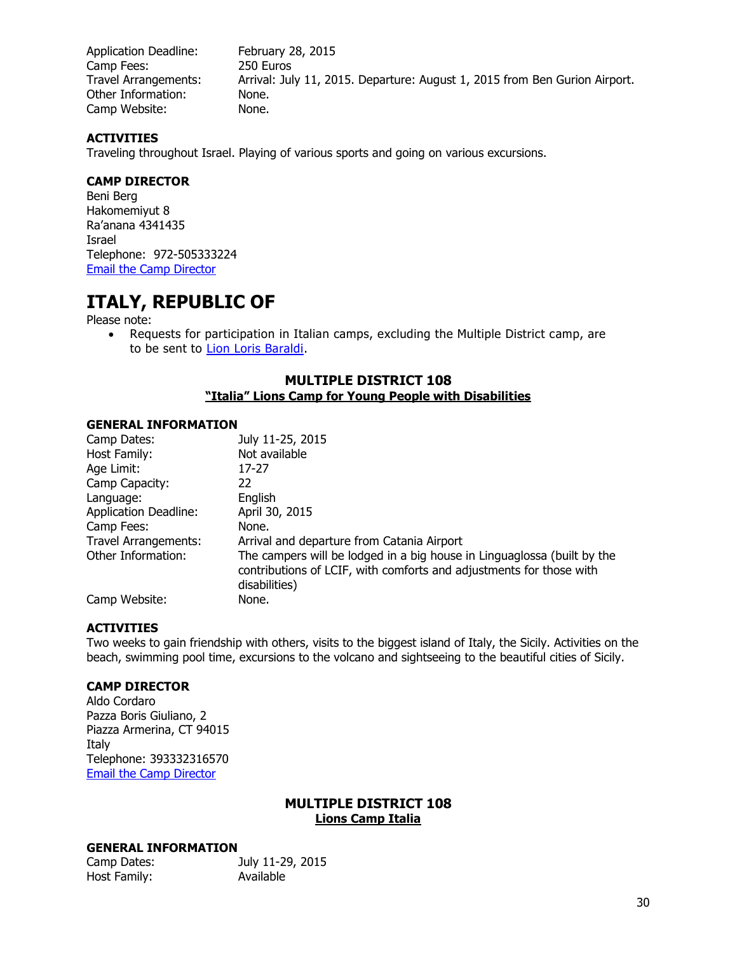Application Deadline: February 28, 2015 Camp Fees: 250 Euros Travel Arrangements: Arrival: July 11, 2015. Departure: August 1, 2015 from Ben Gurion Airport. Other Information: None. Camp Website: None.

## **ACTIVITIES**

Traveling throughout Israel. Playing of various sports and going on various excursions.

## **CAMP DIRECTOR**

Beni Berg Hakomemiyut 8 Ra'anana 4341435 Israel Telephone: 972-505333224 [Email the Camp Director](mailto:Beny.berg@gmail.com)

## <span id="page-29-0"></span>**ITALY, REPUBLIC OF**

Please note:

 Requests for participation in Italian camps, excluding the Multiple District camp, are to be sent to [Lion Loris Baraldi.](mailto:lorisbaraldi@gmail.com)

## **MULTIPLE DISTRICT 108 "Italia" Lions Camp for Young People with Disabilities**

#### **GENERAL INFORMATION**

| Camp Dates:                  | July 11-25, 2015                                                                                                                                                |
|------------------------------|-----------------------------------------------------------------------------------------------------------------------------------------------------------------|
| Host Family:                 | Not available                                                                                                                                                   |
| Age Limit:                   | 17-27                                                                                                                                                           |
| Camp Capacity:               | 22                                                                                                                                                              |
| Language:                    | English                                                                                                                                                         |
| <b>Application Deadline:</b> | April 30, 2015                                                                                                                                                  |
| Camp Fees:                   | None.                                                                                                                                                           |
| Travel Arrangements:         | Arrival and departure from Catania Airport                                                                                                                      |
| Other Information:           | The campers will be lodged in a big house in Linguaglossa (built by the<br>contributions of LCIF, with comforts and adjustments for those with<br>disabilities) |
| Camp Website:                | None.                                                                                                                                                           |

## **ACTIVITIES**

Two weeks to gain friendship with others, visits to the biggest island of Italy, the Sicily. Activities on the beach, swimming pool time, excursions to the volcano and sightseeing to the beautiful cities of Sicily.

#### **CAMP DIRECTOR**

Aldo Cordaro Pazza Boris Giuliano, 2 Piazza Armerina, CT 94015 Italy Telephone: 393332316570 [Email the Camp Director](mailto:campolionsdisabili@gmail.com)

## **MULTIPLE DISTRICT 108 Lions Camp Italia**

| Camp Dates:  | July 11-29, 2015 |
|--------------|------------------|
| Host Family: | Available        |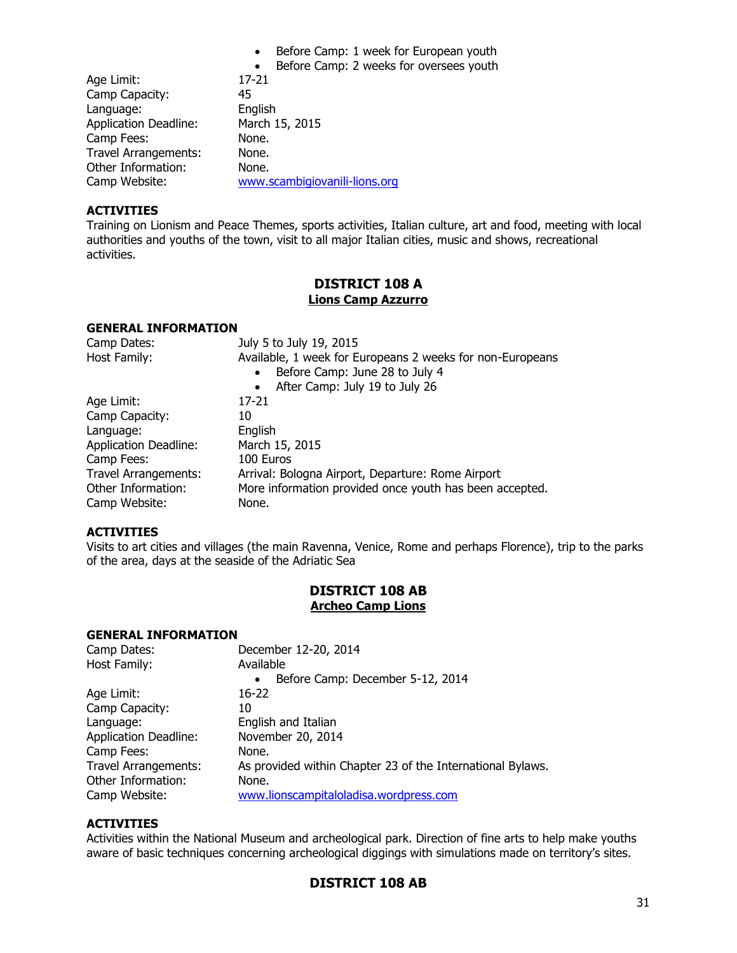| Before Camp: 1 week for European youth |  |  |  |  |  |  |  |  |
|----------------------------------------|--|--|--|--|--|--|--|--|
|----------------------------------------|--|--|--|--|--|--|--|--|

• Before Camp: 2 weeks for oversees youth

| Age Limit:                   | $17 - 21$                     |
|------------------------------|-------------------------------|
| Camp Capacity:               | 45                            |
| Language:                    | English                       |
| <b>Application Deadline:</b> | March 15, 2015                |
| Camp Fees:                   | None.                         |
| <b>Travel Arrangements:</b>  | None.                         |
| Other Information:           | None.                         |
| Camp Website:                | www.scambigiovanili-lions.org |

## **ACTIVITIES**

Training on Lionism and Peace Themes, sports activities, Italian culture, art and food, meeting with local authorities and youths of the town, visit to all major Italian cities, music and shows, recreational activities.

## **DISTRICT 108 A Lions Camp Azzurro**

## **GENERAL INFORMATION**

| Camp Dates:                  | July 5 to July 19, 2015                                   |
|------------------------------|-----------------------------------------------------------|
| Host Family:                 | Available, 1 week for Europeans 2 weeks for non-Europeans |
|                              | Before Camp: June 28 to July 4<br>$\bullet$               |
|                              | After Camp: July 19 to July 26                            |
| Age Limit:                   | 17-21                                                     |
| Camp Capacity:               | 10                                                        |
| Language:                    | English                                                   |
| <b>Application Deadline:</b> | March 15, 2015                                            |
| Camp Fees:                   | 100 Euros                                                 |
| Travel Arrangements:         | Arrival: Bologna Airport, Departure: Rome Airport         |
| Other Information:           | More information provided once youth has been accepted.   |
| Camp Website:                | None.                                                     |

## **ACTIVITIES**

Visits to art cities and villages (the main Ravenna, Venice, Rome and perhaps Florence), trip to the parks of the area, days at the seaside of the Adriatic Sea

## **DISTRICT 108 AB Archeo Camp Lions**

#### **GENERAL INFORMATION**

| Camp Dates:                  | December 12-20, 2014                                       |
|------------------------------|------------------------------------------------------------|
| Host Family:                 | Available                                                  |
|                              | Before Camp: December 5-12, 2014<br>$\bullet$              |
| Age Limit:                   | 16-22                                                      |
| Camp Capacity:               | 10                                                         |
| Language:                    | English and Italian                                        |
| <b>Application Deadline:</b> | November 20, 2014                                          |
| Camp Fees:                   | None.                                                      |
| <b>Travel Arrangements:</b>  | As provided within Chapter 23 of the International Bylaws. |
| Other Information:           | None.                                                      |
| Camp Website:                | www.lionscampitaloladisa.wordpress.com                     |

## **ACTIVITIES**

Activities within the National Museum and archeological park. Direction of fine arts to help make youths aware of basic techniques concerning archeological diggings with simulations made on territory's sites.

## **DISTRICT 108 AB**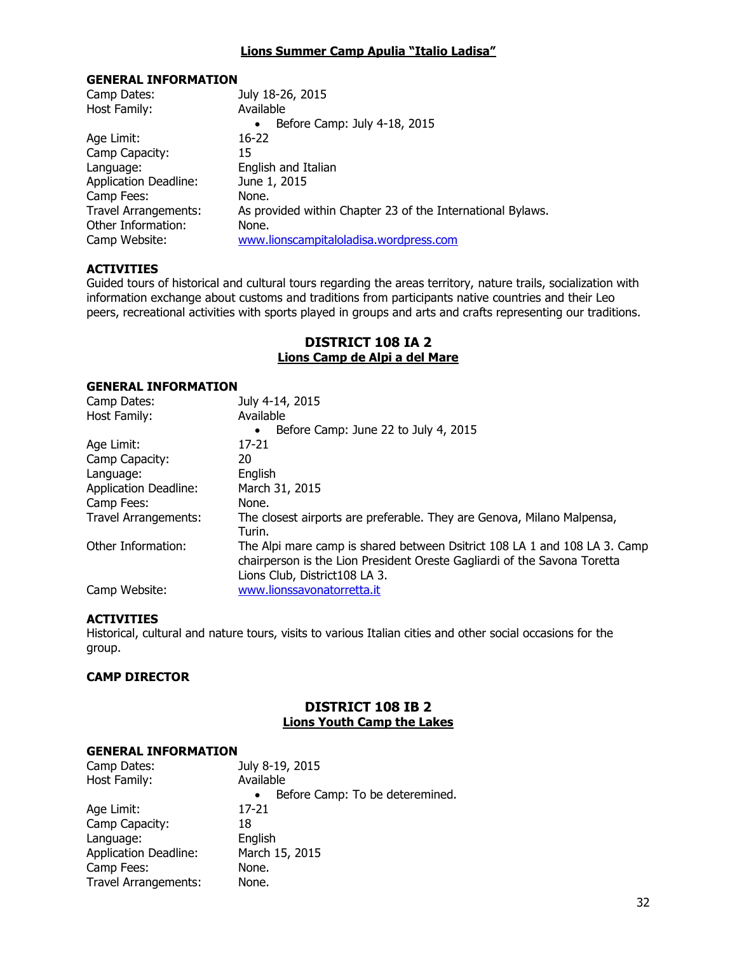#### **Lions Summer Camp Apulia "Italio Ladisa"**

#### **GENERAL INFORMATION**

| As provided within Chapter 23 of the International Bylaws. |
|------------------------------------------------------------|
|                                                            |
|                                                            |
|                                                            |

## **ACTIVITIES**

Guided tours of historical and cultural tours regarding the areas territory, nature trails, socialization with information exchange about customs and traditions from participants native countries and their Leo peers, recreational activities with sports played in groups and arts and crafts representing our traditions.

## **DISTRICT 108 IA 2 Lions Camp de Alpi a del Mare**

## **GENERAL INFORMATION**

| Camp Dates:                  | July 4-14, 2015                                                                                                                                                                        |
|------------------------------|----------------------------------------------------------------------------------------------------------------------------------------------------------------------------------------|
| Host Family:                 | Available                                                                                                                                                                              |
|                              | Before Camp: June 22 to July 4, 2015<br>$\bullet$                                                                                                                                      |
| Age Limit:                   | 17-21                                                                                                                                                                                  |
| Camp Capacity:               | 20                                                                                                                                                                                     |
| Language:                    | English                                                                                                                                                                                |
| <b>Application Deadline:</b> | March 31, 2015                                                                                                                                                                         |
| Camp Fees:                   | None.                                                                                                                                                                                  |
| Travel Arrangements:         | The closest airports are preferable. They are Genova, Milano Malpensa,<br>Turin.                                                                                                       |
| Other Information:           | The Alpi mare camp is shared between Dsitrict 108 LA 1 and 108 LA 3. Camp<br>chairperson is the Lion President Oreste Gagliardi of the Savona Toretta<br>Lions Club, District108 LA 3. |
| Camp Website:                | www.lionssavonatorretta.it                                                                                                                                                             |

#### **ACTIVITIES**

Historical, cultural and nature tours, visits to various Italian cities and other social occasions for the group.

#### **CAMP DIRECTOR**

## **DISTRICT 108 IB 2 Lions Youth Camp the Lakes**

| Camp Dates:                  | July 8-19, 2015                 |
|------------------------------|---------------------------------|
| Host Family:                 | Available                       |
|                              | Before Camp: To be deteremined. |
| Age Limit:                   | 17-21                           |
| Camp Capacity:               | 18                              |
| Language:                    | English                         |
| <b>Application Deadline:</b> | March 15, 2015                  |
| Camp Fees:                   | None.                           |
| <b>Travel Arrangements:</b>  | None.                           |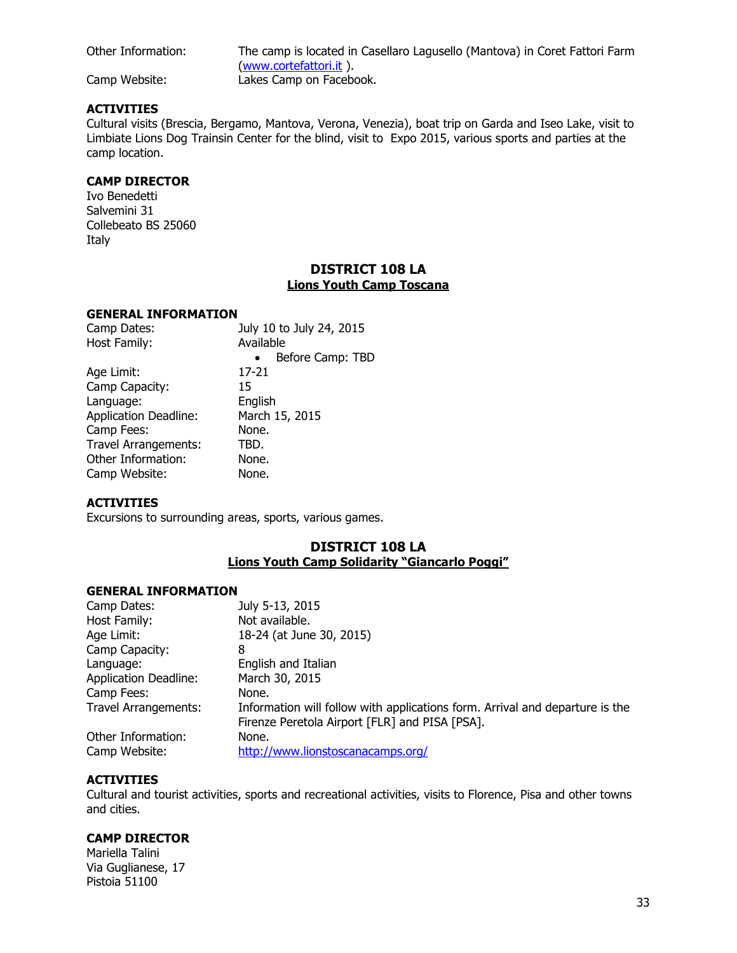Other Information: The camp is located in Casellaro Lagusello (Mantova) in Coret Fattori Farm [\(www.cortefattori.it](http://www.cortefattori.it/) ). Camp Website: Lakes Camp on Facebook.

## **ACTIVITIES**

Cultural visits (Brescia, Bergamo, Mantova, Verona, Venezia), boat trip on Garda and Iseo Lake, visit to Limbiate Lions Dog Trainsin Center for the blind, visit to Expo 2015, various sports and parties at the camp location.

## **CAMP DIRECTOR**

Ivo Benedetti Salvemini 31 Collebeato BS 25060 Italy

## **DISTRICT 108 LA Lions Youth Camp Toscana**

#### **GENERAL INFORMATION**

| Camp Dates:                  | July 10 to July 24, 2015      |
|------------------------------|-------------------------------|
| Host Family:                 | Available                     |
|                              | Before Camp: TBD<br>$\bullet$ |
| Age Limit:                   | 17-21                         |
| Camp Capacity:               | 15                            |
| Language:                    | English                       |
| <b>Application Deadline:</b> | March 15, 2015                |
| Camp Fees:                   | None.                         |
| <b>Travel Arrangements:</b>  | TBD.                          |
| Other Information:           | None.                         |
| Camp Website:                | None.                         |

## **ACTIVITIES**

Excursions to surrounding areas, sports, various games.

## **DISTRICT 108 LA Lions Youth Camp Solidarity "Giancarlo Poggi"**

#### **GENERAL INFORMATION**

| Camp Dates:                  | July 5-13, 2015                                                              |
|------------------------------|------------------------------------------------------------------------------|
| Host Family:                 | Not available.                                                               |
| Age Limit:                   | 18-24 (at June 30, 2015)                                                     |
| Camp Capacity:               | 8                                                                            |
| Language:                    | English and Italian                                                          |
| <b>Application Deadline:</b> | March 30, 2015                                                               |
| Camp Fees:                   | None.                                                                        |
| <b>Travel Arrangements:</b>  | Information will follow with applications form. Arrival and departure is the |
|                              | Firenze Peretola Airport [FLR] and PISA [PSA].                               |
| Other Information:           | None.                                                                        |
| Camp Website:                | http://www.lionstoscanacamps.org/                                            |

#### **ACTIVITIES**

Cultural and tourist activities, sports and recreational activities, visits to Florence, Pisa and other towns and cities.

#### **CAMP DIRECTOR**

Mariella Talini Via Guglianese, 17 Pistoia 51100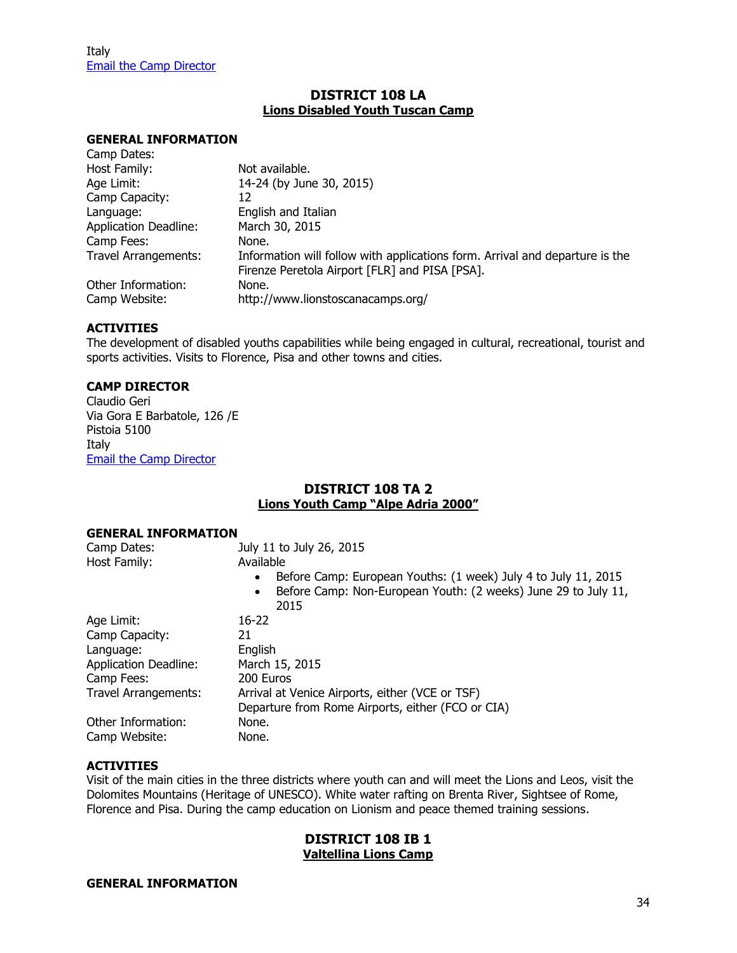## **DISTRICT 108 LA Lions Disabled Youth Tuscan Camp**

#### **GENERAL INFORMATION**

| Camp Dates:                  |                                                                              |
|------------------------------|------------------------------------------------------------------------------|
| Host Family:                 | Not available.                                                               |
| Age Limit:                   | 14-24 (by June 30, 2015)                                                     |
| Camp Capacity:               | 12                                                                           |
| Language:                    | English and Italian                                                          |
| <b>Application Deadline:</b> | March 30, 2015                                                               |
| Camp Fees:                   | None.                                                                        |
| <b>Travel Arrangements:</b>  | Information will follow with applications form. Arrival and departure is the |
|                              | Firenze Peretola Airport [FLR] and PISA [PSA].                               |
| Other Information:           | None.                                                                        |
| Camp Website:                | http://www.lionstoscanacamps.org/                                            |
|                              |                                                                              |

#### **ACTIVITIES**

The development of disabled youths capabilities while being engaged in cultural, recreational, tourist and sports activities. Visits to Florence, Pisa and other towns and cities.

#### **CAMP DIRECTOR**

Claudio Geri Via Gora E Barbatole, 126 /E Pistoia 5100 Italy [Email the Camp Director](mailto:claudio.geri@svra.it)

#### **DISTRICT 108 TA 2 Lions Youth Camp "Alpe Adria 2000"**

#### **GENERAL INFORMATION**

| Camp Dates:                  | July 11 to July 26, 2015                                                            |
|------------------------------|-------------------------------------------------------------------------------------|
| Host Family:                 | Available                                                                           |
|                              | Before Camp: European Youths: (1 week) July 4 to July 11, 2015<br>$\bullet$         |
|                              | Before Camp: Non-European Youth: (2 weeks) June 29 to July 11,<br>$\bullet$<br>2015 |
| Age Limit:                   | 16-22                                                                               |
| Camp Capacity:               | 21                                                                                  |
| Language:                    | English                                                                             |
| <b>Application Deadline:</b> | March 15, 2015                                                                      |
| Camp Fees:                   | 200 Euros                                                                           |
| <b>Travel Arrangements:</b>  | Arrival at Venice Airports, either (VCE or TSF)                                     |
|                              | Departure from Rome Airports, either (FCO or CIA)                                   |
| Other Information:           | None.                                                                               |
| Camp Website:                | None.                                                                               |

#### **ACTIVITIES**

Visit of the main cities in the three districts where youth can and will meet the Lions and Leos, visit the Dolomites Mountains (Heritage of UNESCO). White water rafting on Brenta River, Sightsee of Rome, Florence and Pisa. During the camp education on Lionism and peace themed training sessions.

#### **DISTRICT 108 IB 1 Valtellina Lions Camp**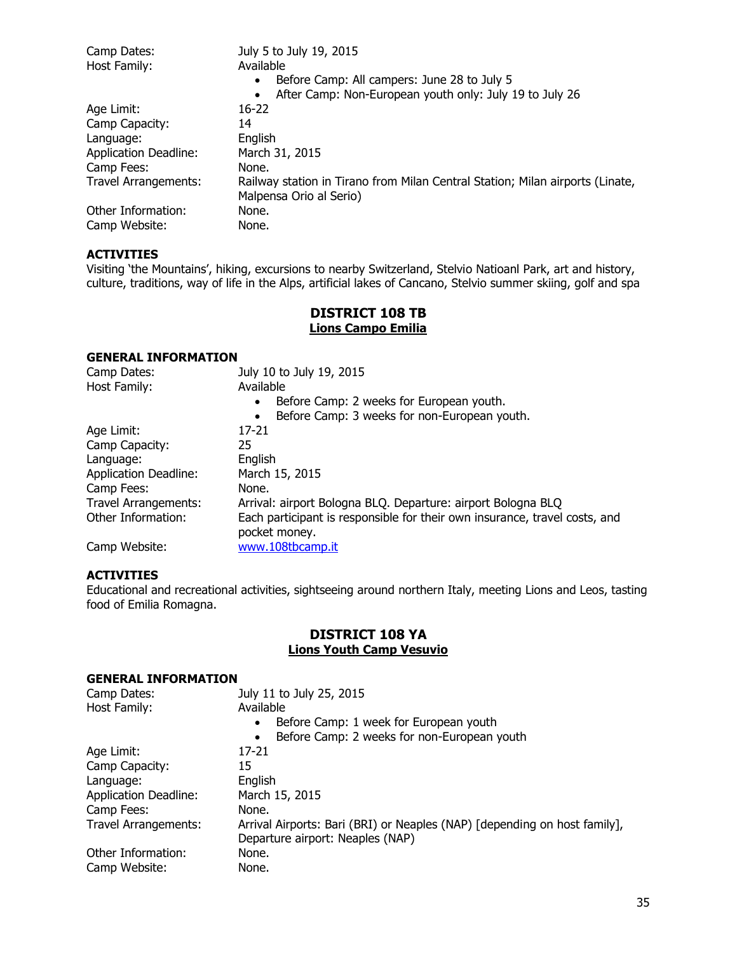| Camp Dates:                  | July 5 to July 19, 2015                                                       |
|------------------------------|-------------------------------------------------------------------------------|
| Host Family:                 | Available                                                                     |
|                              | Before Camp: All campers: June 28 to July 5<br>$\bullet$                      |
|                              | After Camp: Non-European youth only: July 19 to July 26<br>$\bullet$          |
| Age Limit:                   | $16-22$                                                                       |
| Camp Capacity:               | 14                                                                            |
| Language:                    | English                                                                       |
| <b>Application Deadline:</b> | March 31, 2015                                                                |
| Camp Fees:                   | None.                                                                         |
| <b>Travel Arrangements:</b>  | Railway station in Tirano from Milan Central Station; Milan airports (Linate, |
|                              | Malpensa Orio al Serio)                                                       |
| Other Information:           | None.                                                                         |
| Camp Website:                | None.                                                                         |

Visiting 'the Mountains', hiking, excursions to nearby Switzerland, Stelvio Natioanl Park, art and history, culture, traditions, way of life in the Alps, artificial lakes of Cancano, Stelvio summer skiing, golf and spa

## **DISTRICT 108 TB Lions Campo Emilia**

## **GENERAL INFORMATION**

| Camp Dates:                  | July 10 to July 19, 2015                                                   |
|------------------------------|----------------------------------------------------------------------------|
| Host Family:                 | Available                                                                  |
|                              | Before Camp: 2 weeks for European youth.<br>$\bullet$                      |
|                              | Before Camp: 3 weeks for non-European youth.<br>$\bullet$                  |
| Age Limit:                   | 17-21                                                                      |
| Camp Capacity:               | 25                                                                         |
| Language:                    | English                                                                    |
| <b>Application Deadline:</b> | March 15, 2015                                                             |
| Camp Fees:                   | None.                                                                      |
| <b>Travel Arrangements:</b>  | Arrival: airport Bologna BLQ. Departure: airport Bologna BLQ               |
| Other Information:           | Each participant is responsible for their own insurance, travel costs, and |
|                              | pocket money.                                                              |
| Camp Website:                | www.108tbcamp.it                                                           |

#### **ACTIVITIES**

Educational and recreational activities, sightseeing around northern Italy, meeting Lions and Leos, tasting food of Emilia Romagna.

## **DISTRICT 108 YA Lions Youth Camp Vesuvio**

| Camp Dates:                  | July 11 to July 25, 2015                                                  |
|------------------------------|---------------------------------------------------------------------------|
| Host Family:                 | Available                                                                 |
|                              | Before Camp: 1 week for European youth<br>$\bullet$                       |
|                              | Before Camp: 2 weeks for non-European youth<br>$\bullet$                  |
| Age Limit:                   | $17 - 21$                                                                 |
| Camp Capacity:               | 15                                                                        |
| Language:                    | English                                                                   |
| <b>Application Deadline:</b> | March 15, 2015                                                            |
| Camp Fees:                   | None.                                                                     |
| Travel Arrangements:         | Arrival Airports: Bari (BRI) or Neaples (NAP) [depending on host family], |
|                              | Departure airport: Neaples (NAP)                                          |
| Other Information:           | None.                                                                     |
| Camp Website:                | None.                                                                     |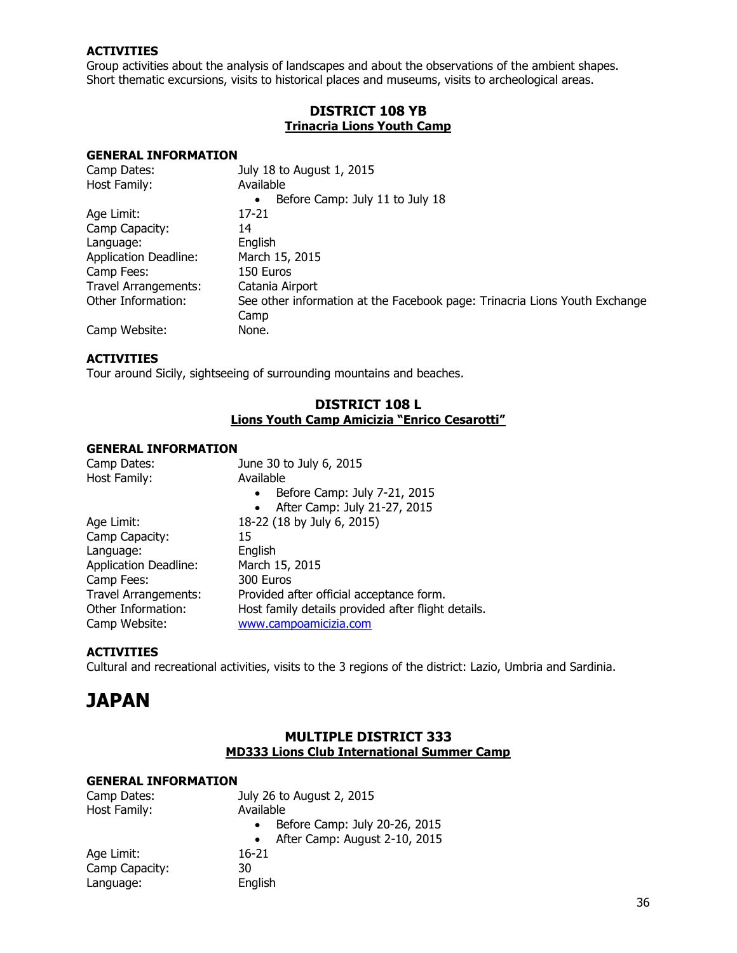Group activities about the analysis of landscapes and about the observations of the ambient shapes. Short thematic excursions, visits to historical places and museums, visits to archeological areas.

## **DISTRICT 108 YB Trinacria Lions Youth Camp**

#### **GENERAL INFORMATION**

| Camp Dates:                  | July 18 to August 1, 2015                                                  |
|------------------------------|----------------------------------------------------------------------------|
| Host Family:                 | Available                                                                  |
|                              | Before Camp: July 11 to July 18<br>$\bullet$                               |
| Age Limit:                   | 17-21                                                                      |
| Camp Capacity:               | 14                                                                         |
| Language:                    | English                                                                    |
| <b>Application Deadline:</b> | March 15, 2015                                                             |
| Camp Fees:                   | 150 Euros                                                                  |
| Travel Arrangements:         | Catania Airport                                                            |
| Other Information:           | See other information at the Facebook page: Trinacria Lions Youth Exchange |
|                              | Camp                                                                       |
| Camp Website:                | None.                                                                      |

#### **ACTIVITIES**

Tour around Sicily, sightseeing of surrounding mountains and beaches.

## **DISTRICT 108 L Lions Youth Camp Amicizia "Enrico Cesarotti"**

#### **GENERAL INFORMATION**

| Camp Dates:                  | June 30 to July 6, 2015                            |
|------------------------------|----------------------------------------------------|
| Host Family:                 | Available                                          |
|                              | Before Camp: July 7-21, 2015<br>$\bullet$          |
|                              | After Camp: July 21-27, 2015<br>$\bullet$          |
| Age Limit:                   | 18-22 (18 by July 6, 2015)                         |
| Camp Capacity:               | 15                                                 |
| Language:                    | English                                            |
| <b>Application Deadline:</b> | March 15, 2015                                     |
| Camp Fees:                   | 300 Euros                                          |
| <b>Travel Arrangements:</b>  | Provided after official acceptance form.           |
| Other Information:           | Host family details provided after flight details. |
| Camp Website:                | www.campoamicizia.com                              |

#### **ACTIVITIES**

Cultural and recreational activities, visits to the 3 regions of the district: Lazio, Umbria and Sardinia.

## <span id="page-35-0"></span>**JAPAN**

## **MULTIPLE DISTRICT 333 MD333 Lions Club International Summer Camp**

| Camp Dates:    | July 26 to August 2, 2015                  |
|----------------|--------------------------------------------|
| Host Family:   | Available                                  |
|                | Before Camp: July 20-26, 2015<br>$\bullet$ |
|                | After Camp: August 2-10, 2015<br>$\bullet$ |
| Age Limit:     | 16-21                                      |
| Camp Capacity: | 30                                         |
| Language:      | English                                    |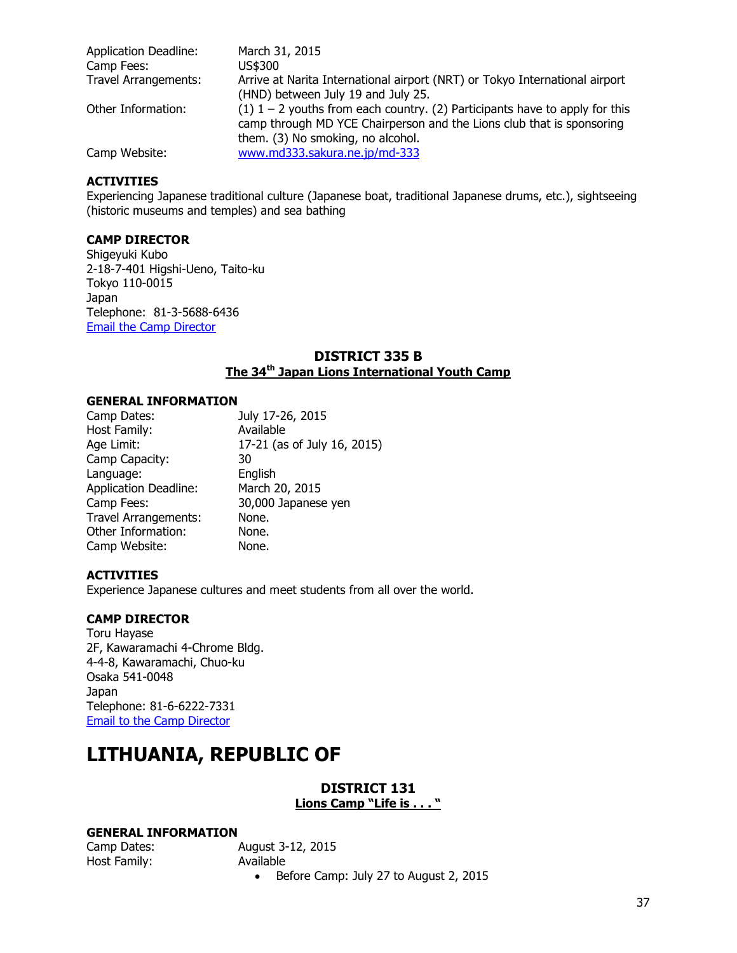| <b>Application Deadline:</b><br>Camp Fees: | March 31, 2015<br>US\$300                                                                                                                                                                   |
|--------------------------------------------|---------------------------------------------------------------------------------------------------------------------------------------------------------------------------------------------|
| <b>Travel Arrangements:</b>                | Arrive at Narita International airport (NRT) or Tokyo International airport<br>(HND) between July 19 and July 25.                                                                           |
| Other Information:                         | (1) $1 - 2$ youths from each country. (2) Participants have to apply for this<br>camp through MD YCE Chairperson and the Lions club that is sponsoring<br>them. (3) No smoking, no alcohol. |
| Camp Website:                              | www.md333.sakura.ne.jp/md-333                                                                                                                                                               |

Experiencing Japanese traditional culture (Japanese boat, traditional Japanese drums, etc.), sightseeing (historic museums and temples) and sea bathing

## **CAMP DIRECTOR**

Shigeyuki Kubo 2-18-7-401 Higshi-Ueno, Taito-ku Tokyo 110-0015 Japan Telephone: 81-3-5688-6436 [Email the Camp Director](mailto:333camp@mbr.nifty.com)

#### **DISTRICT 335 B The 34th Japan Lions International Youth Camp**

#### **GENERAL INFORMATION**

| July 17-26, 2015            |
|-----------------------------|
| Available                   |
| 17-21 (as of July 16, 2015) |
| 30                          |
| English                     |
| March 20, 2015              |
| 30,000 Japanese yen         |
| None.                       |
| None.                       |
| None.                       |
|                             |

#### **ACTIVITIES**

Experience Japanese cultures and meet students from all over the world.

## **CAMP DIRECTOR**

Toru Hayase 2F, Kawaramachi 4-Chrome Bldg. 4-4-8, Kawaramachi, Chuo-ku Osaka 541-0048 Japan Telephone: 81-6-6222-7331 [Email to the Camp Director](mailto:ye@lc335b.gr.jp)

## **LITHUANIA, REPUBLIC OF**

#### **DISTRICT 131 Lions Camp "Life is . . . "**

#### **GENERAL INFORMATION**

| Camp Dates:  |   |
|--------------|---|
| Host Family: | Д |

**August 3-12, 2015** Available Before Camp: July 27 to August 2, 2015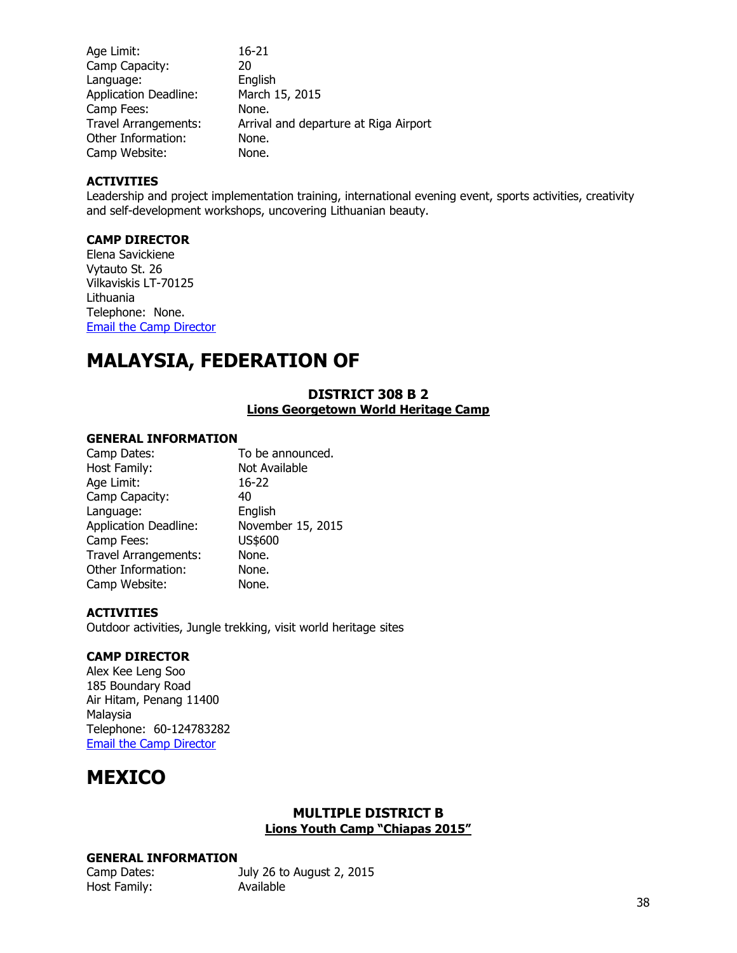| Age Limit:                   | 16-21                                 |
|------------------------------|---------------------------------------|
| Camp Capacity:               | 20                                    |
| Language:                    | English                               |
| <b>Application Deadline:</b> | March 15, 2015                        |
| Camp Fees:                   | None.                                 |
| <b>Travel Arrangements:</b>  | Arrival and departure at Riga Airport |
| Other Information:           | None.                                 |
| Camp Website:                | None.                                 |

Leadership and project implementation training, international evening event, sports activities, creativity and self-development workshops, uncovering Lithuanian beauty.

### **CAMP DIRECTOR**

Elena Savickiene Vytauto St. 26 Vilkaviskis LT-70125 Lithuania Telephone: None. [Email the Camp Director](mailto:yce@lionsclubs.lt)

## **MALAYSIA, FEDERATION OF**

## **DISTRICT 308 B 2 Lions Georgetown World Heritage Camp**

#### **GENERAL INFORMATION**

| Camp Dates:                  | To be announced.  |
|------------------------------|-------------------|
| Host Family:                 | Not Available     |
| Age Limit:                   | 16-22             |
| Camp Capacity:               | 40                |
| Language:                    | English           |
| <b>Application Deadline:</b> | November 15, 2015 |
| Camp Fees:                   | US\$600           |
| <b>Travel Arrangements:</b>  | None.             |
| Other Information:           | None.             |
| Camp Website:                | None.             |
|                              |                   |

#### **ACTIVITIES**

Outdoor activities, Jungle trekking, visit world heritage sites

### **CAMP DIRECTOR**

Alex Kee Leng Soo 185 Boundary Road Air Hitam, Penang 11400 Malaysia Telephone: 60-124783282 [Email the Camp Director](mailto:Yce308b2@gamil.com)

## **MEXICO**

#### **MULTIPLE DISTRICT B Lions Youth Camp "Chiapas 2015"**

| Camp Dates:  | July 26 to August 2, 2015 |
|--------------|---------------------------|
| Host Family: | Available                 |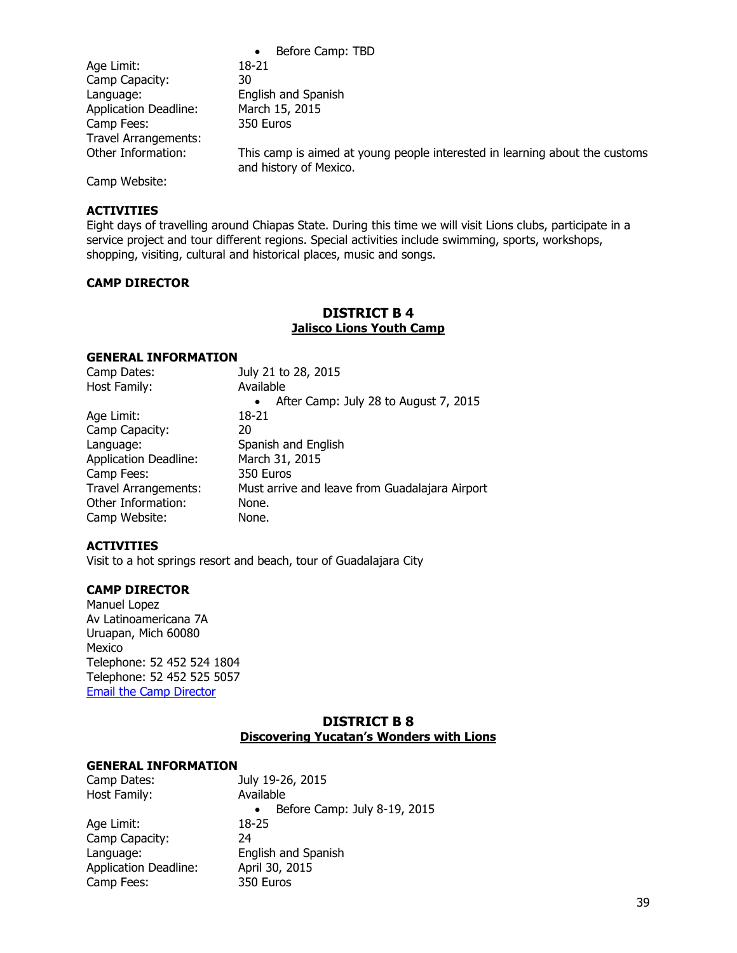|                              | Before Camp: TBD<br>$\bullet$                                                                         |
|------------------------------|-------------------------------------------------------------------------------------------------------|
| Age Limit:                   | 18-21                                                                                                 |
| Camp Capacity:               | 30                                                                                                    |
| Language:                    | English and Spanish                                                                                   |
| <b>Application Deadline:</b> | March 15, 2015                                                                                        |
| Camp Fees:                   | 350 Euros                                                                                             |
| Travel Arrangements:         |                                                                                                       |
| Other Information:           | This camp is aimed at young people interested in learning about the customs<br>and history of Mexico. |

Camp Website:

#### **ACTIVITIES**

Eight days of travelling around Chiapas State. During this time we will visit Lions clubs, participate in a service project and tour different regions. Special activities include swimming, sports, workshops, shopping, visiting, cultural and historical places, music and songs.

#### **CAMP DIRECTOR**

## **DISTRICT B 4 Jalisco Lions Youth Camp**

#### **GENERAL INFORMATION**

| July 21 to 28, 2015                                |
|----------------------------------------------------|
| Available                                          |
| After Camp: July 28 to August 7, 2015<br>$\bullet$ |
| 18-21                                              |
| 20                                                 |
| Spanish and English                                |
| March 31, 2015                                     |
| 350 Euros                                          |
| Must arrive and leave from Guadalajara Airport     |
| None.                                              |
| None.                                              |
|                                                    |

#### **ACTIVITIES**

Visit to a hot springs resort and beach, tour of Guadalajara City

#### **CAMP DIRECTOR**

Manuel Lopez Av Latinoamericana 7A Uruapan, Mich 60080 Mexico Telephone: 52 452 524 1804 Telephone: 52 452 525 5057 [Email the Camp Director](mailto:viajescupaseo@prodigy.net.mx)

#### **DISTRICT B 8 Discovering Yucatan's Wonders with Lions**

| Camp Dates:                  | July 19-26, 2015                          |
|------------------------------|-------------------------------------------|
| Host Family:                 | Available                                 |
|                              | Before Camp: July 8-19, 2015<br>$\bullet$ |
| Age Limit:                   | 18-25                                     |
| Camp Capacity:               | 24                                        |
| Language:                    | English and Spanish                       |
| <b>Application Deadline:</b> | April 30, 2015                            |
| Camp Fees:                   | 350 Euros                                 |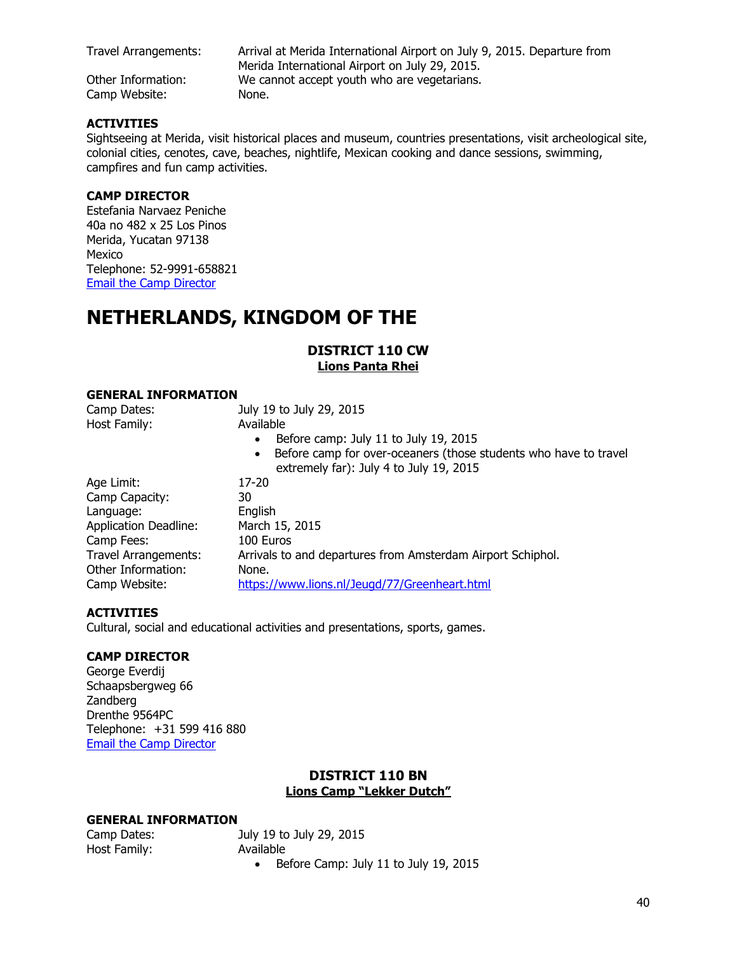Camp Website: None.

Travel Arrangements: Arrival at Merida International Airport on July 9, 2015. Departure from Merida International Airport on July 29, 2015. Other Information: We cannot accept youth who are vegetarians.

#### **ACTIVITIES**

Sightseeing at Merida, visit historical places and museum, countries presentations, visit archeological site, colonial cities, cenotes, cave, beaches, nightlife, Mexican cooking and dance sessions, swimming, campfires and fun camp activities.

#### **CAMP DIRECTOR**

Estefania Narvaez Peniche 40a no 482 x 25 Los Pinos Merida, Yucatan 97138 Mexico Telephone: 52-9991-658821 [Email the Camp Director](mailto:Estefania_np91@hotmail.com)

## **NETHERLANDS, KINGDOM OF THE**

#### **DISTRICT 110 CW Lions Panta Rhei**

#### **GENERAL INFORMATION**

| Camp Dates:                  | July 19 to July 29, 2015                                                                                                 |
|------------------------------|--------------------------------------------------------------------------------------------------------------------------|
| Host Family:                 | Available                                                                                                                |
|                              | Before camp: July 11 to July 19, 2015<br>$\bullet$                                                                       |
|                              | Before camp for over-oceaners (those students who have to travel<br>$\bullet$<br>extremely far): July 4 to July 19, 2015 |
| Age Limit:                   | $17-20$                                                                                                                  |
| Camp Capacity:               | 30                                                                                                                       |
| Language:                    | English                                                                                                                  |
| <b>Application Deadline:</b> | March 15, 2015                                                                                                           |
| Camp Fees:                   | 100 Euros                                                                                                                |
| <b>Travel Arrangements:</b>  | Arrivals to and departures from Amsterdam Airport Schiphol.                                                              |
| Other Information:           | None.                                                                                                                    |
| Camp Website:                | https://www.lions.nl/Jeugd/77/Greenheart.html                                                                            |

#### **ACTIVITIES**

Cultural, social and educational activities and presentations, sports, games.

#### **CAMP DIRECTOR**

George Everdij Schaapsbergweg 66 Zandberg Drenthe 9564PC Telephone: +31 599 416 880 [Email the Camp Director](mailto:George.everdij@kpnmail.nl)

## **DISTRICT 110 BN Lions Camp "Lekker Dutch"**

#### **GENERAL INFORMATION**

Host Family: Available

Camp Dates: July 19 to July 29, 2015

• Before Camp: July 11 to July 19, 2015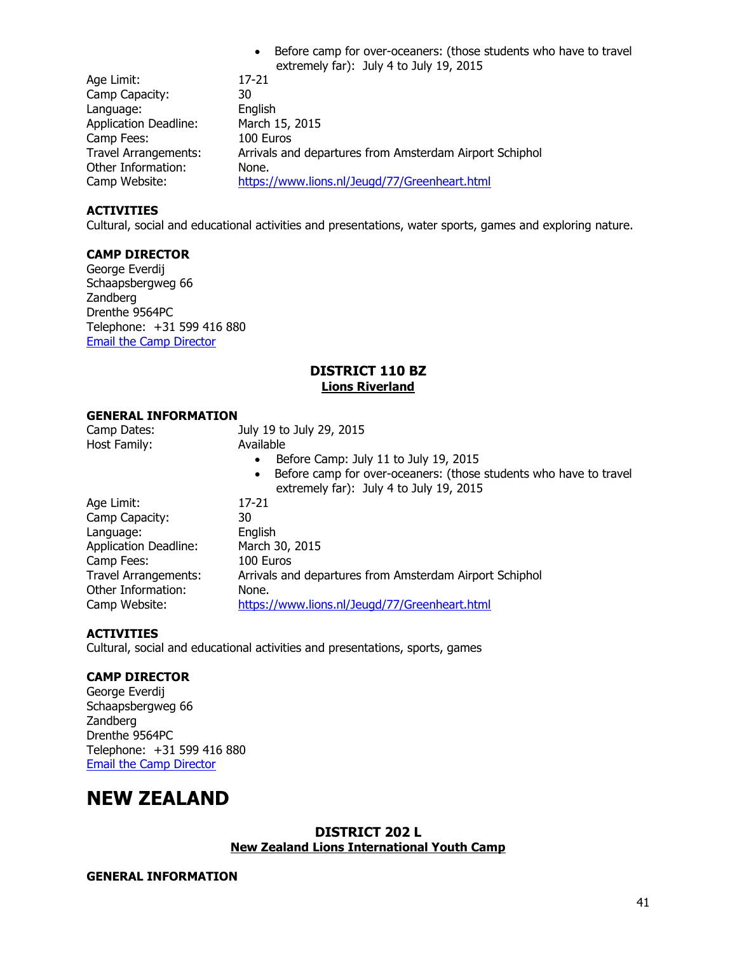• Before camp for over-oceaners: (those students who have to travel extremely far): July 4 to July 19, 2015

| Age Limit:                   | 17-21                                                   |
|------------------------------|---------------------------------------------------------|
| Camp Capacity:               | 30                                                      |
| Language:                    | English                                                 |
| <b>Application Deadline:</b> | March 15, 2015                                          |
| Camp Fees:                   | 100 Euros                                               |
| <b>Travel Arrangements:</b>  | Arrivals and departures from Amsterdam Airport Schiphol |
| Other Information:           | None.                                                   |
| Camp Website:                | https://www.lions.nl/Jeugd/77/Greenheart.html           |

#### **ACTIVITIES**

Cultural, social and educational activities and presentations, water sports, games and exploring nature.

#### **CAMP DIRECTOR**

George Everdij Schaapsbergweg 66 Zandberg Drenthe 9564PC Telephone: +31 599 416 880 [Email the Camp Director](mailto:George.everdij@kpnmail.nl)

### **DISTRICT 110 BZ Lions Riverland**

#### **GENERAL INFORMATION**

| Camp Dates:                  | July 19 to July 29, 2015                                                                                                  |
|------------------------------|---------------------------------------------------------------------------------------------------------------------------|
| Host Family:                 | Available                                                                                                                 |
|                              | Before Camp: July 11 to July 19, 2015<br>$\bullet$                                                                        |
|                              | Before camp for over-oceaners: (those students who have to travel<br>$\bullet$<br>extremely far): July 4 to July 19, 2015 |
| Age Limit:                   | 17-21                                                                                                                     |
| Camp Capacity:               | 30                                                                                                                        |
| Language:                    | English                                                                                                                   |
| <b>Application Deadline:</b> | March 30, 2015                                                                                                            |
| Camp Fees:                   | 100 Euros                                                                                                                 |
| Travel Arrangements:         | Arrivals and departures from Amsterdam Airport Schiphol                                                                   |
| Other Information:           | None.                                                                                                                     |
| Camp Website:                | https://www.lions.nl/Jeugd/77/Greenheart.html                                                                             |

#### **ACTIVITIES**

Cultural, social and educational activities and presentations, sports, games

#### **CAMP DIRECTOR**

George Everdij Schaapsbergweg 66 Zandberg Drenthe 9564PC Telephone: +31 599 416 880 [Email the Camp Director](mailto:George.everdij@kpnmail.nl)

## **NEW ZEALAND**

#### **DISTRICT 202 L New Zealand Lions International Youth Camp**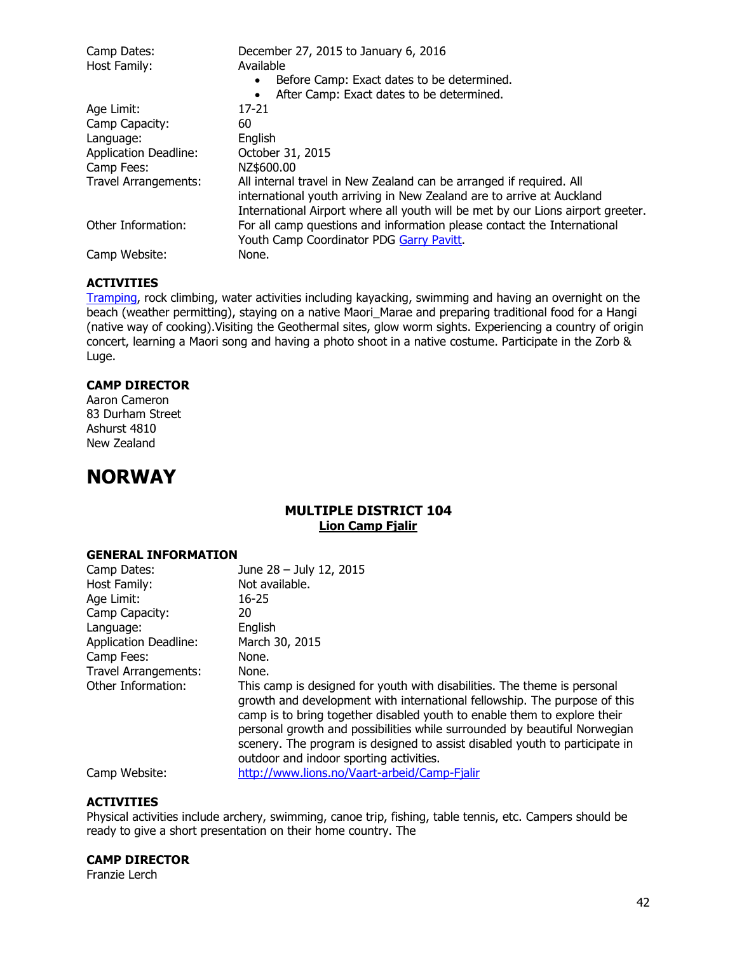| Camp Dates:                  | December 27, 2015 to January 6, 2016                                            |  |
|------------------------------|---------------------------------------------------------------------------------|--|
| Host Family:                 | Available                                                                       |  |
|                              | Before Camp: Exact dates to be determined.                                      |  |
|                              | After Camp: Exact dates to be determined.                                       |  |
| Age Limit:                   | 17-21                                                                           |  |
| Camp Capacity:               | 60                                                                              |  |
| Language:                    | English                                                                         |  |
| <b>Application Deadline:</b> | October 31, 2015                                                                |  |
| Camp Fees:                   | NZ\$600.00                                                                      |  |
| <b>Travel Arrangements:</b>  | All internal travel in New Zealand can be arranged if required. All             |  |
|                              | international youth arriving in New Zealand are to arrive at Auckland           |  |
|                              | International Airport where all youth will be met by our Lions airport greeter. |  |
| Other Information:           | For all camp questions and information please contact the International         |  |
|                              | Youth Camp Coordinator PDG Garry Pavitt.                                        |  |
| Camp Website:                | None.                                                                           |  |

[Tramping,](http://en.wikipedia.org/wiki/Tramping_in_New_Zealand) rock climbing, water activities including kayacking, swimming and having an overnight on the beach (weather permitting), staying on a native Maori\_Marae and preparing traditional food for a Hangi (native way of cooking).Visiting the Geothermal sites, glow worm sights. Experiencing a country of origin concert, learning a Maori song and having a photo shoot in a native costume. Participate in the Zorb & Luge.

#### **CAMP DIRECTOR**

Aaron Cameron 83 Durham Street Ashurst 4810 New Zealand

## **NORWAY**

## **MULTIPLE DISTRICT 104 Lion Camp Fjalir**

#### **GENERAL INFORMATION**

| Camp Dates:                  | June 28 - July 12, 2015                                                                                                                                                                                                                                                                                                                                                                                                                  |
|------------------------------|------------------------------------------------------------------------------------------------------------------------------------------------------------------------------------------------------------------------------------------------------------------------------------------------------------------------------------------------------------------------------------------------------------------------------------------|
| Host Family:                 | Not available.                                                                                                                                                                                                                                                                                                                                                                                                                           |
| Age Limit:                   | $16 - 25$                                                                                                                                                                                                                                                                                                                                                                                                                                |
| Camp Capacity:               | 20                                                                                                                                                                                                                                                                                                                                                                                                                                       |
| Language:                    | English                                                                                                                                                                                                                                                                                                                                                                                                                                  |
| <b>Application Deadline:</b> | March 30, 2015                                                                                                                                                                                                                                                                                                                                                                                                                           |
| Camp Fees:                   | None.                                                                                                                                                                                                                                                                                                                                                                                                                                    |
| <b>Travel Arrangements:</b>  | None.                                                                                                                                                                                                                                                                                                                                                                                                                                    |
| Other Information:           | This camp is designed for youth with disabilities. The theme is personal<br>growth and development with international fellowship. The purpose of this<br>camp is to bring together disabled youth to enable them to explore their<br>personal growth and possibilities while surrounded by beautiful Norwegian<br>scenery. The program is designed to assist disabled youth to participate in<br>outdoor and indoor sporting activities. |
| Camp Website:                | http://www.lions.no/Vaart-arbeid/Camp-Fjalir                                                                                                                                                                                                                                                                                                                                                                                             |

#### **ACTIVITIES**

Physical activities include archery, swimming, canoe trip, fishing, table tennis, etc. Campers should be ready to give a short presentation on their home country. The

#### **CAMP DIRECTOR**

Franzie Lerch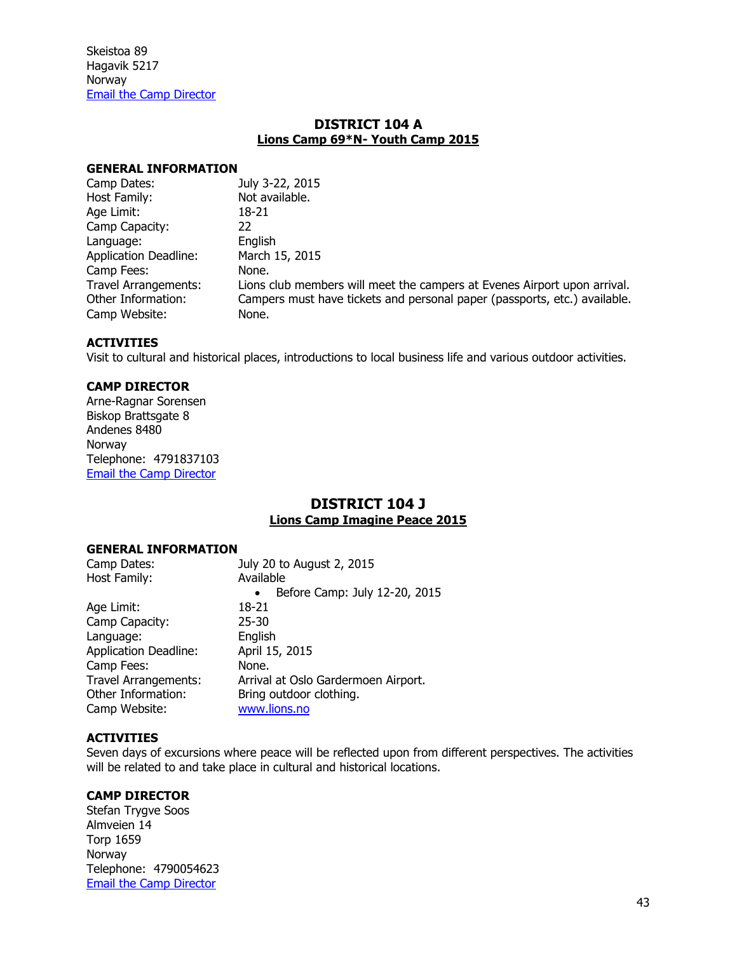### **DISTRICT 104 A Lions Camp 69\*N- Youth Camp 2015**

#### **GENERAL INFORMATION**

| Camp Dates:                  | July 3-22, 2015                                                           |
|------------------------------|---------------------------------------------------------------------------|
| Host Family:                 | Not available.                                                            |
| Age Limit:                   | 18-21                                                                     |
| Camp Capacity:               | 22                                                                        |
| Language:                    | English                                                                   |
| <b>Application Deadline:</b> | March 15, 2015                                                            |
| Camp Fees:                   | None.                                                                     |
| <b>Travel Arrangements:</b>  | Lions club members will meet the campers at Evenes Airport upon arrival.  |
| Other Information:           | Campers must have tickets and personal paper (passports, etc.) available. |
| Camp Website:                | None.                                                                     |
|                              |                                                                           |

#### **ACTIVITIES**

Visit to cultural and historical places, introductions to local business life and various outdoor activities.

#### **CAMP DIRECTOR**

Arne-Ragnar Sorensen Biskop Brattsgate 8 Andenes 8480 Norway Telephone: 4791837103 [Email the Camp Director](mailto:arne.r.sorensen@gmail.com)

## **DISTRICT 104 J Lions Camp Imagine Peace 2015**

#### **GENERAL INFORMATION**

| Camp Dates:                  | July 20 to August 2, 2015                  |
|------------------------------|--------------------------------------------|
| Host Family:                 | Available                                  |
|                              | Before Camp: July 12-20, 2015<br>$\bullet$ |
| Age Limit:                   | 18-21                                      |
| Camp Capacity:               | $25 - 30$                                  |
| Language:                    | English                                    |
| <b>Application Deadline:</b> | April 15, 2015                             |
| Camp Fees:                   | None.                                      |
| <b>Travel Arrangements:</b>  | Arrival at Oslo Gardermoen Airport.        |
| Other Information:           | Bring outdoor clothing.                    |
| Camp Website:                | www.lions.no                               |
|                              |                                            |

#### **ACTIVITIES**

Seven days of excursions where peace will be reflected upon from different perspectives. The activities will be related to and take place in cultural and historical locations.

## **CAMP DIRECTOR**

Stefan Trygve Soos Almveien 14 Torp 1659 Norway Telephone: 4790054623 [Email the Camp Director](mailto:stefan.soos@getmail.no)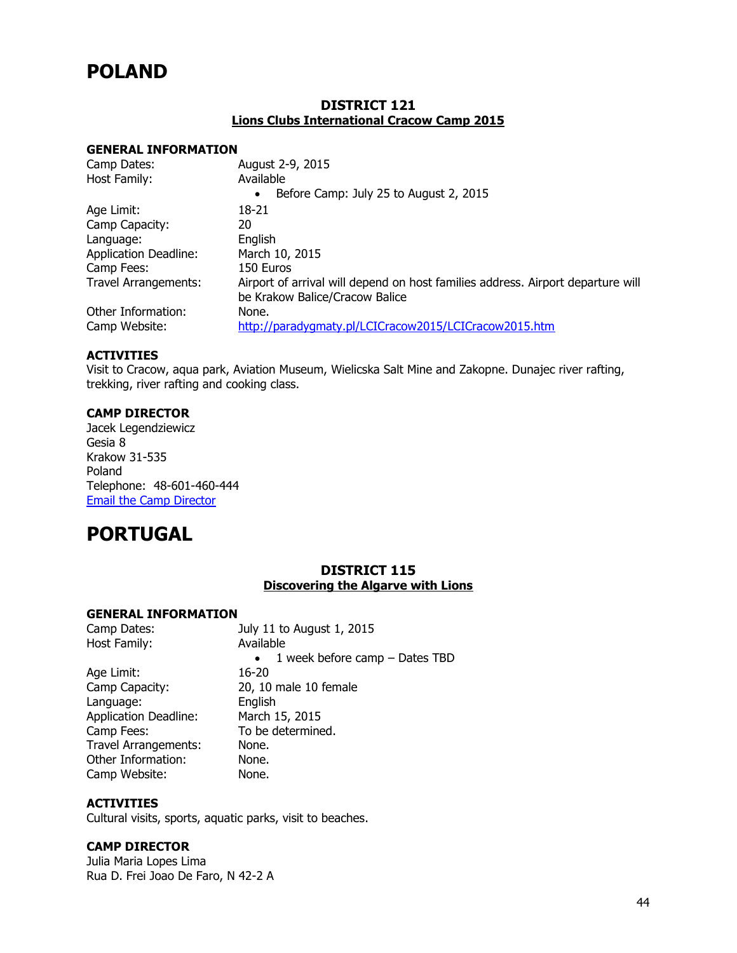## **POLAND**

### **DISTRICT 121 Lions Clubs International Cracow Camp 2015**

#### **GENERAL INFORMATION**

| Camp Dates:                  | August 2-9, 2015                                                                |
|------------------------------|---------------------------------------------------------------------------------|
| Host Family:                 | Available                                                                       |
|                              | Before Camp: July 25 to August 2, 2015<br>$\bullet$                             |
| Age Limit:                   | 18-21                                                                           |
| Camp Capacity:               | 20                                                                              |
| Language:                    | English                                                                         |
| <b>Application Deadline:</b> | March 10, 2015                                                                  |
| Camp Fees:                   | 150 Euros                                                                       |
| <b>Travel Arrangements:</b>  | Airport of arrival will depend on host families address. Airport departure will |
|                              | be Krakow Balice/Cracow Balice                                                  |
| Other Information:           | None.                                                                           |
| Camp Website:                | http://paradygmaty.pl/LCICracow2015/LCICracow2015.htm                           |

#### **ACTIVITIES**

Visit to Cracow, aqua park, Aviation Museum, Wielicska Salt Mine and Zakopne. Dunajec river rafting, trekking, river rafting and cooking class.

#### **CAMP DIRECTOR**

Jacek Legendziewicz Gesia 8 Krakow 31-535 Poland Telephone: 48-601-460-444 [Email the Camp Director](mailto:j.l@jordan.pl)

## **PORTUGAL**

## **DISTRICT 115 Discovering the Algarve with Lions**

#### **GENERAL INFORMATION**

| Camp Dates:                  | July 11 to August 1, 2015                     |
|------------------------------|-----------------------------------------------|
| Host Family:                 | Available                                     |
|                              | 1 week before camp $-$ Dates TBD<br>$\bullet$ |
| Age Limit:                   | 16-20                                         |
| Camp Capacity:               | 20, 10 male 10 female                         |
| Language:                    | English                                       |
| <b>Application Deadline:</b> | March 15, 2015                                |
| Camp Fees:                   | To be determined.                             |
| <b>Travel Arrangements:</b>  | None.                                         |
| Other Information:           | None.                                         |
| Camp Website:                | None.                                         |

## **ACTIVITIES**

Cultural visits, sports, aquatic parks, visit to beaches.

#### **CAMP DIRECTOR**

Julia Maria Lopes Lima Rua D. Frei Joao De Faro, N 42-2 A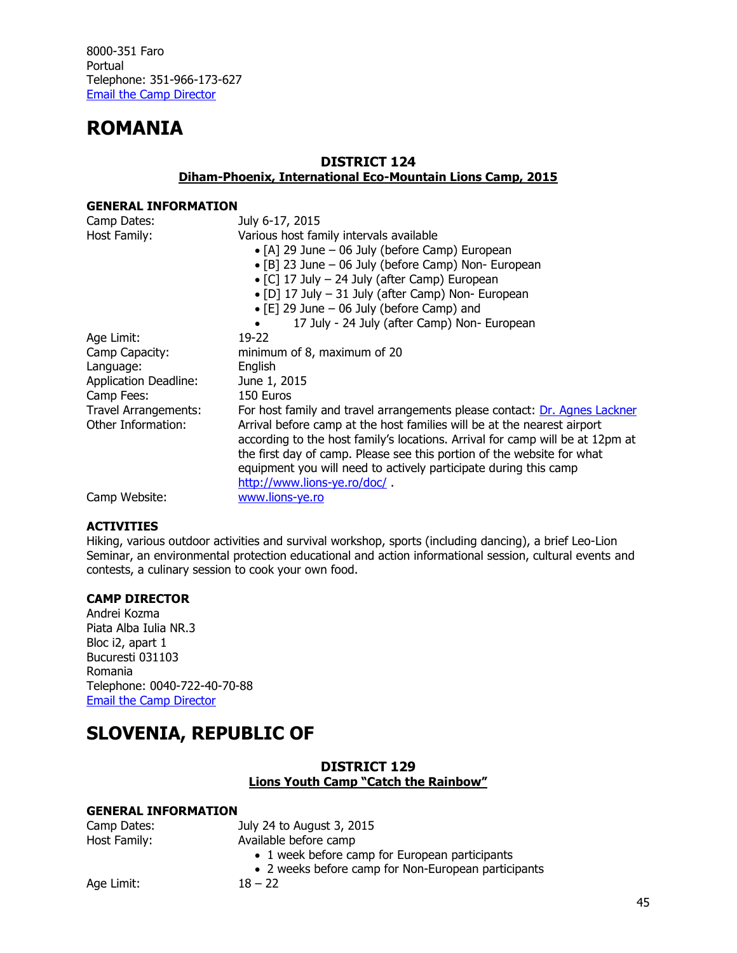## **ROMANIA**

## **DISTRICT 124**

**Diham-Phoenix, International Eco-Mountain Lions Camp, 2015**

### **GENERAL INFORMATION**

| Camp Dates:                 | July 6-17, 2015                                                               |
|-----------------------------|-------------------------------------------------------------------------------|
| Host Family:                | Various host family intervals available                                       |
|                             | • [A] 29 June $-$ 06 July (before Camp) European                              |
|                             | • [B] 23 June – 06 July (before Camp) Non- European                           |
|                             | • [C] 17 July - 24 July (after Camp) European                                 |
|                             | • [D] 17 July - 31 July (after Camp) Non- European                            |
|                             | $\bullet$ [E] 29 June - 06 July (before Camp) and                             |
|                             | 17 July - 24 July (after Camp) Non- European                                  |
| Age Limit:                  | 19-22                                                                         |
| Camp Capacity:              | minimum of 8, maximum of 20                                                   |
| Language:                   | English                                                                       |
| Application Deadline:       | June 1, 2015                                                                  |
| Camp Fees:                  | 150 Euros                                                                     |
| <b>Travel Arrangements:</b> | For host family and travel arrangements please contact: Dr. Agnes Lackner     |
| Other Information:          | Arrival before camp at the host families will be at the nearest airport       |
|                             | according to the host family's locations. Arrival for camp will be at 12pm at |
|                             | the first day of camp. Please see this portion of the website for what        |
|                             | equipment you will need to actively participate during this camp              |
|                             | http://www.lions-ye.ro/doc/                                                   |
| Camp Website:               | www.lions-ye.ro                                                               |

#### **ACTIVITIES**

Hiking, various outdoor activities and survival workshop, sports (including dancing), a brief Leo-Lion Seminar, an environmental protection educational and action informational session, cultural events and contests, a culinary session to cook your own food.

#### **CAMP DIRECTOR**

Andrei Kozma Piata Alba Iulia NR.3 Bloc i2, apart 1 Bucuresti 031103 Romania Telephone: 0040-722-40-70-88 [Email the Camp Director](mailto:yec.romania@gmail.com)

## **SLOVENIA, REPUBLIC OF**

## **DISTRICT 129 Lions Youth Camp "Catch the Rainbow"**

| Camp Dates:  | July 24 to August 3, 2015                           |
|--------------|-----------------------------------------------------|
| Host Family: | Available before camp                               |
|              | • 1 week before camp for European participants      |
|              | • 2 weeks before camp for Non-European participants |
| Age Limit:   | $18 - 22$                                           |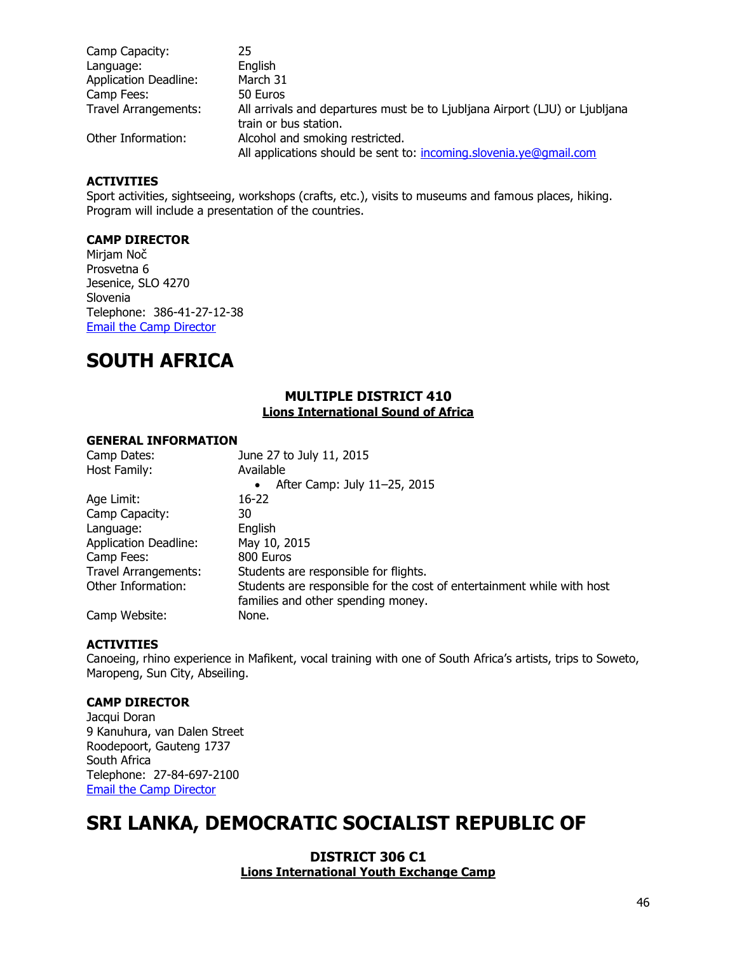| Camp Capacity:               | 25                                                                          |
|------------------------------|-----------------------------------------------------------------------------|
| Language:                    | English                                                                     |
| <b>Application Deadline:</b> | March 31                                                                    |
| Camp Fees:                   | 50 Euros                                                                    |
| <b>Travel Arrangements:</b>  | All arrivals and departures must be to Ljubljana Airport (LJU) or Ljubljana |
|                              | train or bus station.                                                       |
| Other Information:           | Alcohol and smoking restricted.                                             |
|                              | All applications should be sent to: incoming.slovenia.ye@qmail.com          |

Sport activities, sightseeing, workshops (crafts, etc.), visits to museums and famous places, hiking. Program will include a presentation of the countries.

#### **CAMP DIRECTOR**

Mirjam Noč Prosvetna 6 Jesenice, SLO 4270 Slovenia Telephone: 386-41-27-12-38 [Email the Camp Director](mailto:Incoming.slovenia.ye@gmail.com)

## **SOUTH AFRICA**

#### **MULTIPLE DISTRICT 410 Lions International Sound of Africa**

#### **GENERAL INFORMATION**

| Camp Dates:                  | June 27 to July 11, 2015                                               |
|------------------------------|------------------------------------------------------------------------|
| Host Family:                 | Available                                                              |
|                              | After Camp: July 11-25, 2015<br>٠                                      |
| Age Limit:                   | $16 - 22$                                                              |
| Camp Capacity:               | 30                                                                     |
| Language:                    | English                                                                |
| <b>Application Deadline:</b> | May 10, 2015                                                           |
| Camp Fees:                   | 800 Euros                                                              |
| <b>Travel Arrangements:</b>  | Students are responsible for flights.                                  |
| Other Information:           | Students are responsible for the cost of entertainment while with host |
|                              | families and other spending money.                                     |
| Camp Website:                | None.                                                                  |

#### **ACTIVITIES**

Canoeing, rhino experience in Mafikent, vocal training with one of South Africa's artists, trips to Soweto, Maropeng, Sun City, Abseiling.

#### **CAMP DIRECTOR**

Jacqui Doran 9 Kanuhura, van Dalen Street Roodepoort, Gauteng 1737 South Africa Telephone: 27-84-697-2100 [Email the Camp Director](mailto:Swasion2@gmail.com)

## **SRI LANKA, DEMOCRATIC SOCIALIST REPUBLIC OF**

#### **DISTRICT 306 C1 Lions International Youth Exchange Camp**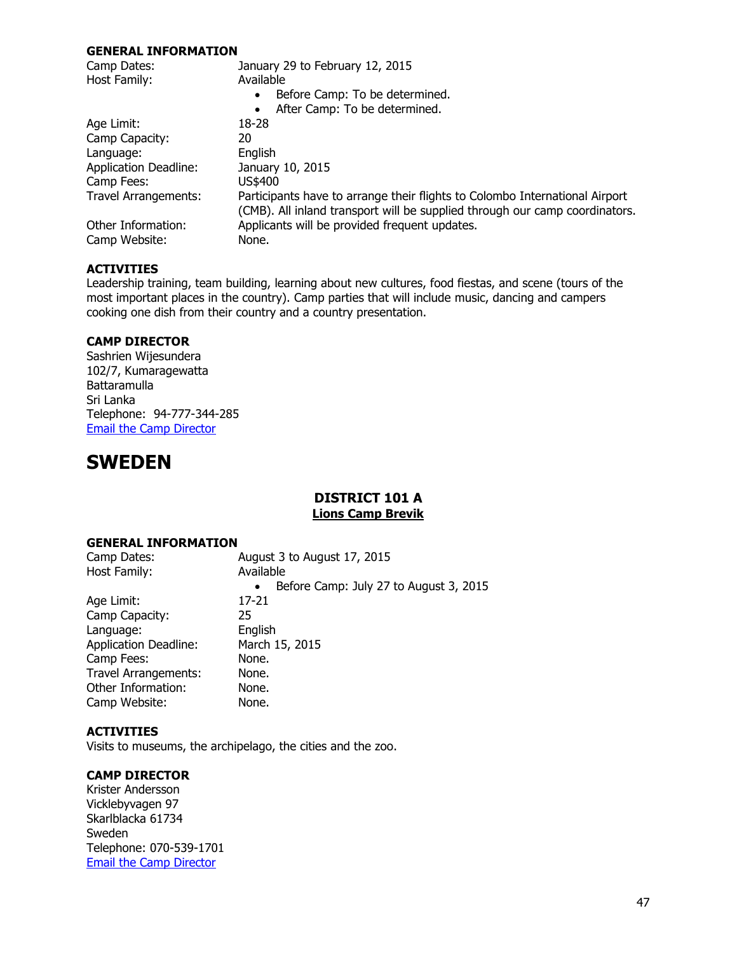#### **GENERAL INFORMATION**

| Camp Dates:                  | January 29 to February 12, 2015                                                                                                                            |  |
|------------------------------|------------------------------------------------------------------------------------------------------------------------------------------------------------|--|
| Host Family:                 | Available                                                                                                                                                  |  |
|                              | Before Camp: To be determined.<br>$\bullet$                                                                                                                |  |
|                              | After Camp: To be determined.<br>$\bullet$                                                                                                                 |  |
| Age Limit:                   | 18-28                                                                                                                                                      |  |
| Camp Capacity:               | 20                                                                                                                                                         |  |
| Language:                    | English                                                                                                                                                    |  |
| <b>Application Deadline:</b> | January 10, 2015                                                                                                                                           |  |
| Camp Fees:                   | US\$400                                                                                                                                                    |  |
| Travel Arrangements:         | Participants have to arrange their flights to Colombo International Airport<br>(CMB). All inland transport will be supplied through our camp coordinators. |  |
| Other Information:           | Applicants will be provided frequent updates.                                                                                                              |  |
| Camp Website:                | None.                                                                                                                                                      |  |

#### **ACTIVITIES**

Leadership training, team building, learning about new cultures, food fiestas, and scene (tours of the most important places in the country). Camp parties that will include music, dancing and campers cooking one dish from their country and a country presentation.

#### **CAMP DIRECTOR**

Sashrien Wijesundera 102/7, Kumaragewatta Battaramulla Sri Lanka Telephone: 94-777-344-285 [Email the Camp Director](mailto:manjubest@hotmail.com)

## **SWEDEN**

## **DISTRICT 101 A Lions Camp Brevik**

#### **GENERAL INFORMATION**

| Camp Dates:                  | August 3 to August 17, 2015                         |
|------------------------------|-----------------------------------------------------|
| Host Family:                 | Available                                           |
|                              | Before Camp: July 27 to August 3, 2015<br>$\bullet$ |
| Age Limit:                   | 17-21                                               |
| Camp Capacity:               | 25                                                  |
| Language:                    | English                                             |
| <b>Application Deadline:</b> | March 15, 2015                                      |
| Camp Fees:                   | None.                                               |
| Travel Arrangements:         | None.                                               |
| Other Information:           | None.                                               |
| Camp Website:                | None.                                               |

#### **ACTIVITIES**

Visits to museums, the archipelago, the cities and the zoo.

#### **CAMP DIRECTOR**

Krister Andersson Vicklebyvagen 97 Skarlblacka 61734 Sweden Telephone: 070-539-1701 [Email the Camp Director](mailto:Kriander_97@hotmail.com)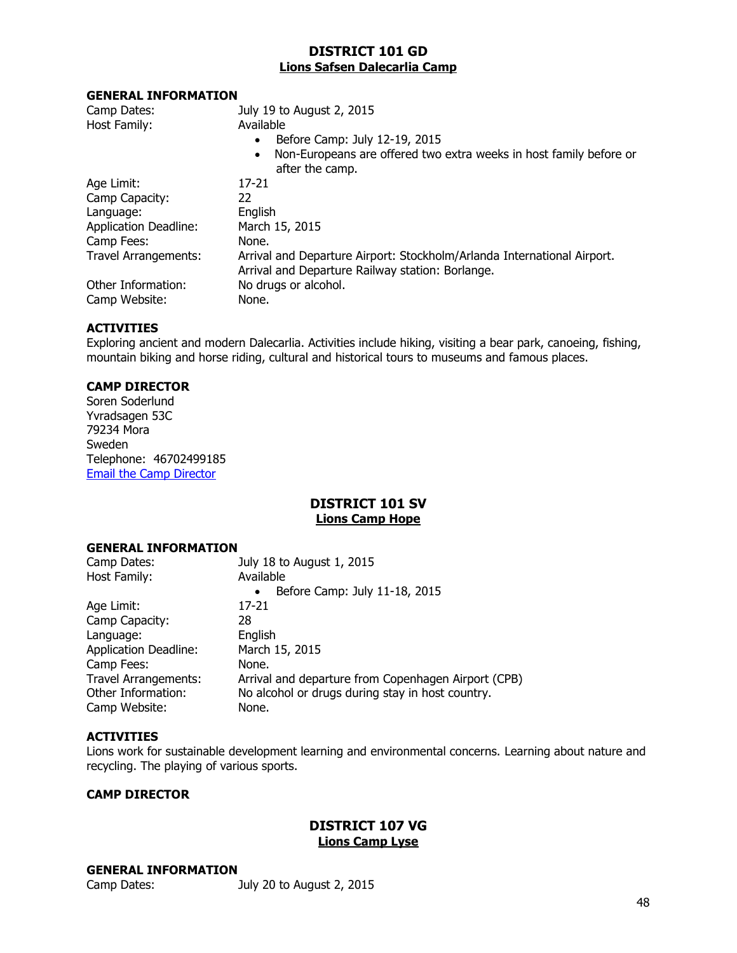## **DISTRICT 101 GD Lions Safsen Dalecarlia Camp**

#### **GENERAL INFORMATION**

| Camp Dates:                  | July 19 to August 2, 2015                                                                                                   |
|------------------------------|-----------------------------------------------------------------------------------------------------------------------------|
| Host Family:                 | Available                                                                                                                   |
|                              | Before Camp: July 12-19, 2015                                                                                               |
|                              | Non-Europeans are offered two extra weeks in host family before or<br>$\bullet$<br>after the camp.                          |
| Age Limit:                   | 17-21                                                                                                                       |
| Camp Capacity:               | 22                                                                                                                          |
| Language:                    | English                                                                                                                     |
| <b>Application Deadline:</b> | March 15, 2015                                                                                                              |
| Camp Fees:                   | None.                                                                                                                       |
| Travel Arrangements:         | Arrival and Departure Airport: Stockholm/Arlanda International Airport.<br>Arrival and Departure Railway station: Borlange. |
| Other Information:           | No drugs or alcohol.                                                                                                        |
| Camp Website:                | None.                                                                                                                       |

#### **ACTIVITIES**

Exploring ancient and modern Dalecarlia. Activities include hiking, visiting a bear park, canoeing, fishing, mountain biking and horse riding, cultural and historical tours to museums and famous places.

## **CAMP DIRECTOR**

Soren Soderlund Yvradsagen 53C 79234 Mora Sweden Telephone: 46702499185 [Email the Camp Director](mailto:cs@safsen.se)

## **DISTRICT 101 SV Lions Camp Hope**

#### **GENERAL INFORMATION**

| July 18 to August 1, 2015                           |
|-----------------------------------------------------|
| Available                                           |
| Before Camp: July 11-18, 2015<br>$\bullet$          |
| 17-21                                               |
| 28                                                  |
| English                                             |
| March 15, 2015                                      |
| None.                                               |
| Arrival and departure from Copenhagen Airport (CPB) |
| No alcohol or drugs during stay in host country.    |
| None.                                               |
|                                                     |

#### **ACTIVITIES**

Lions work for sustainable development learning and environmental concerns. Learning about nature and recycling. The playing of various sports.

#### **CAMP DIRECTOR**

## **DISTRICT 107 VG Lions Camp Lyse**

#### **GENERAL INFORMATION**

Camp Dates: July 20 to August 2, 2015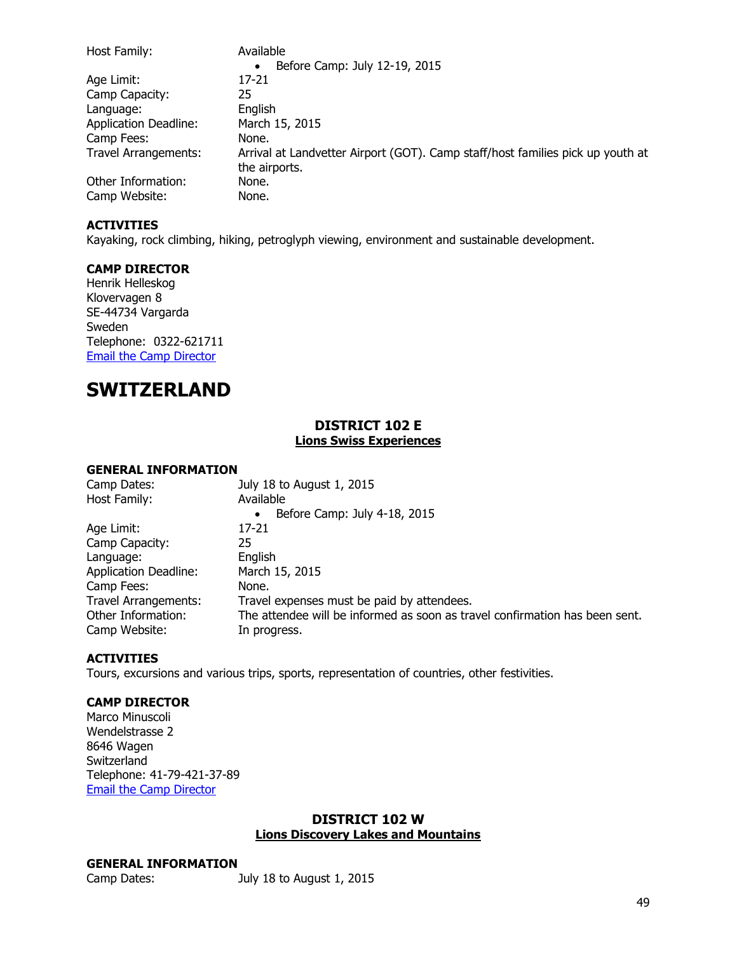| Host Family:                 | Available                                                                                       |
|------------------------------|-------------------------------------------------------------------------------------------------|
|                              | Before Camp: July 12-19, 2015<br>$\bullet$                                                      |
| Age Limit:                   | 17-21                                                                                           |
| Camp Capacity:               | 25                                                                                              |
| Language:                    | English                                                                                         |
| <b>Application Deadline:</b> | March 15, 2015                                                                                  |
| Camp Fees:                   | None.                                                                                           |
| <b>Travel Arrangements:</b>  | Arrival at Landvetter Airport (GOT). Camp staff/host families pick up youth at<br>the airports. |
| Other Information:           | None.                                                                                           |
| Camp Website:                | None.                                                                                           |

Kayaking, rock climbing, hiking, petroglyph viewing, environment and sustainable development.

#### **CAMP DIRECTOR**

Henrik Helleskog Klovervagen 8 SE-44734 Vargarda Sweden Telephone: 0322-621711 [Email the Camp Director](mailto:Henrik.helleskog@qamcom.se)

## **SWITZERLAND**

## **DISTRICT 102 E Lions Swiss Experiences**

#### **GENERAL INFORMATION**

| Camp Dates:                  | July 18 to August 1, 2015                                                   |
|------------------------------|-----------------------------------------------------------------------------|
| Host Family:                 | Available                                                                   |
|                              | Before Camp: July 4-18, 2015<br>$\bullet$                                   |
| Age Limit:                   | 17-21                                                                       |
| Camp Capacity:               | 25                                                                          |
| Language:                    | English                                                                     |
| <b>Application Deadline:</b> | March 15, 2015                                                              |
| Camp Fees:                   | None.                                                                       |
| <b>Travel Arrangements:</b>  | Travel expenses must be paid by attendees.                                  |
| Other Information:           | The attendee will be informed as soon as travel confirmation has been sent. |
| Camp Website:                | In progress.                                                                |

#### **ACTIVITIES**

Tours, excursions and various trips, sports, representation of countries, other festivities.

### **CAMP DIRECTOR**

Marco Minuscoli Wendelstrasse 2 8646 Wagen Switzerland Telephone: 41-79-421-37-89 [Email the Camp Director](mailto:info@vrmbroker.ch)

#### **DISTRICT 102 W Lions Discovery Lakes and Mountains**

#### **GENERAL INFORMATION**

Camp Dates: July 18 to August 1, 2015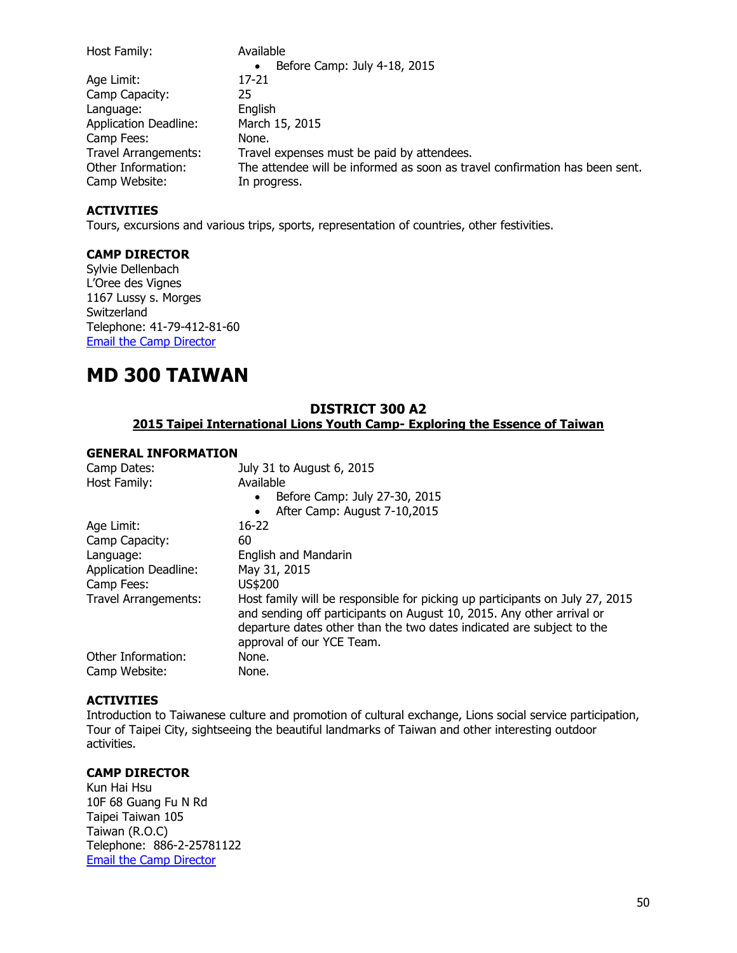| Host Family:                 | Available                                                                   |
|------------------------------|-----------------------------------------------------------------------------|
|                              | Before Camp: July 4-18, 2015<br>$\bullet$                                   |
| Age Limit:                   | 17-21                                                                       |
| Camp Capacity:               | 25                                                                          |
| Language:                    | English                                                                     |
| <b>Application Deadline:</b> | March 15, 2015                                                              |
| Camp Fees:                   | None.                                                                       |
| <b>Travel Arrangements:</b>  | Travel expenses must be paid by attendees.                                  |
| Other Information:           | The attendee will be informed as soon as travel confirmation has been sent. |
| Camp Website:                | In progress.                                                                |

Tours, excursions and various trips, sports, representation of countries, other festivities.

#### **CAMP DIRECTOR**

Sylvie Dellenbach L'Oree des Vignes 1167 Lussy s. Morges **Switzerland** Telephone: 41-79-412-81-60 [Email the Camp Director](mailto:Sylvie.dellenbacj@credit-suisse.com)

## **MD 300 TAIWAN**

## **DISTRICT 300 A2 2015 Taipei International Lions Youth Camp- Exploring the Essence of Taiwan**

#### **GENERAL INFORMATION**

| Camp Dates:<br>Host Family:  | July 31 to August 6, 2015<br>Available                                                                                                                                                                                                                      |
|------------------------------|-------------------------------------------------------------------------------------------------------------------------------------------------------------------------------------------------------------------------------------------------------------|
|                              | Before Camp: July 27-30, 2015<br>$\bullet$                                                                                                                                                                                                                  |
|                              | After Camp: August 7-10,2015<br>$\bullet$                                                                                                                                                                                                                   |
| Age Limit:                   | $16-22$                                                                                                                                                                                                                                                     |
| Camp Capacity:               | 60                                                                                                                                                                                                                                                          |
| Language:                    | <b>English and Mandarin</b>                                                                                                                                                                                                                                 |
| <b>Application Deadline:</b> | May 31, 2015                                                                                                                                                                                                                                                |
| Camp Fees:                   | US\$200                                                                                                                                                                                                                                                     |
| Travel Arrangements:         | Host family will be responsible for picking up participants on July 27, 2015<br>and sending off participants on August 10, 2015. Any other arrival or<br>departure dates other than the two dates indicated are subject to the<br>approval of our YCE Team. |
| Other Information:           | None.                                                                                                                                                                                                                                                       |
| Camp Website:                | None.                                                                                                                                                                                                                                                       |

#### **ACTIVITIES**

Introduction to Taiwanese culture and promotion of cultural exchange, Lions social service participation, Tour of Taipei City, sightseeing the beautiful landmarks of Taiwan and other interesting outdoor activities.

#### **CAMP DIRECTOR**

Kun Hai Hsu 10F 68 Guang Fu N Rd Taipei Taiwan 105 Taiwan (R.O.C) Telephone: 886-2-25781122 [Email the Camp Director](mailto:Lci300a2@so-net.net.tw)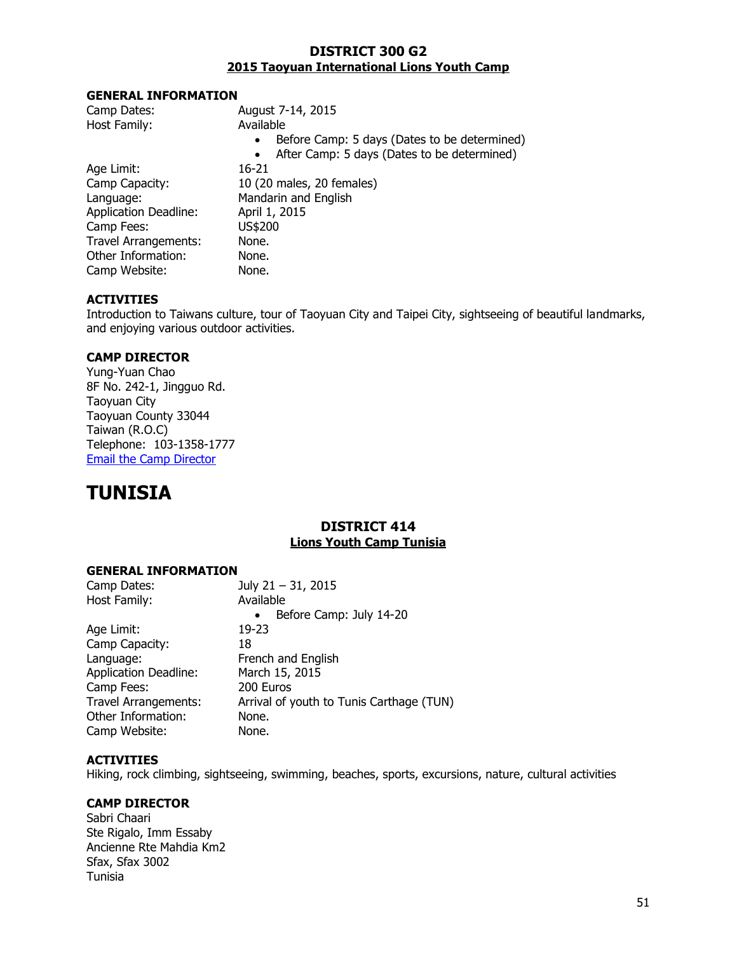#### **DISTRICT 300 G2 2015 Taoyuan International Lions Youth Camp**

#### **GENERAL INFORMATION**

| Camp Dates:                  | August 7-14, 2015                                         |
|------------------------------|-----------------------------------------------------------|
| Host Family:                 | Available                                                 |
|                              | Before Camp: 5 days (Dates to be determined)<br>$\bullet$ |
|                              | After Camp: 5 days (Dates to be determined)<br>$\bullet$  |
| Age Limit:                   | $16 - 21$                                                 |
| Camp Capacity:               | 10 (20 males, 20 females)                                 |
| Language:                    | Mandarin and English                                      |
| <b>Application Deadline:</b> | April 1, 2015                                             |
| Camp Fees:                   | US\$200                                                   |
| <b>Travel Arrangements:</b>  | None.                                                     |
| Other Information:           | None.                                                     |
| Camp Website:                | None.                                                     |

### **ACTIVITIES**

Introduction to Taiwans culture, tour of Taoyuan City and Taipei City, sightseeing of beautiful landmarks, and enjoying various outdoor activities.

## **CAMP DIRECTOR**

Yung-Yuan Chao 8F No. 242-1, Jingguo Rd. Taoyuan City Taoyuan County 33044 Taiwan (R.O.C) Telephone: 103-1358-1777 [Email the Camp Director](mailto:lionsg2@gmail.com)

# **TUNISIA**

## **DISTRICT 414 Lions Youth Camp Tunisia**

## **GENERAL INFORMATION**

| July 21 - 31, 2015                       |
|------------------------------------------|
| Available                                |
| Before Camp: July 14-20<br>$\bullet$     |
| $19 - 23$                                |
| 18                                       |
| French and English                       |
| March 15, 2015                           |
| 200 Euros                                |
| Arrival of youth to Tunis Carthage (TUN) |
| None.                                    |
| None.                                    |
|                                          |

### **ACTIVITIES**

Hiking, rock climbing, sightseeing, swimming, beaches, sports, excursions, nature, cultural activities

## **CAMP DIRECTOR**

Sabri Chaari Ste Rigalo, Imm Essaby Ancienne Rte Mahdia Km2 Sfax, Sfax 3002 Tunisia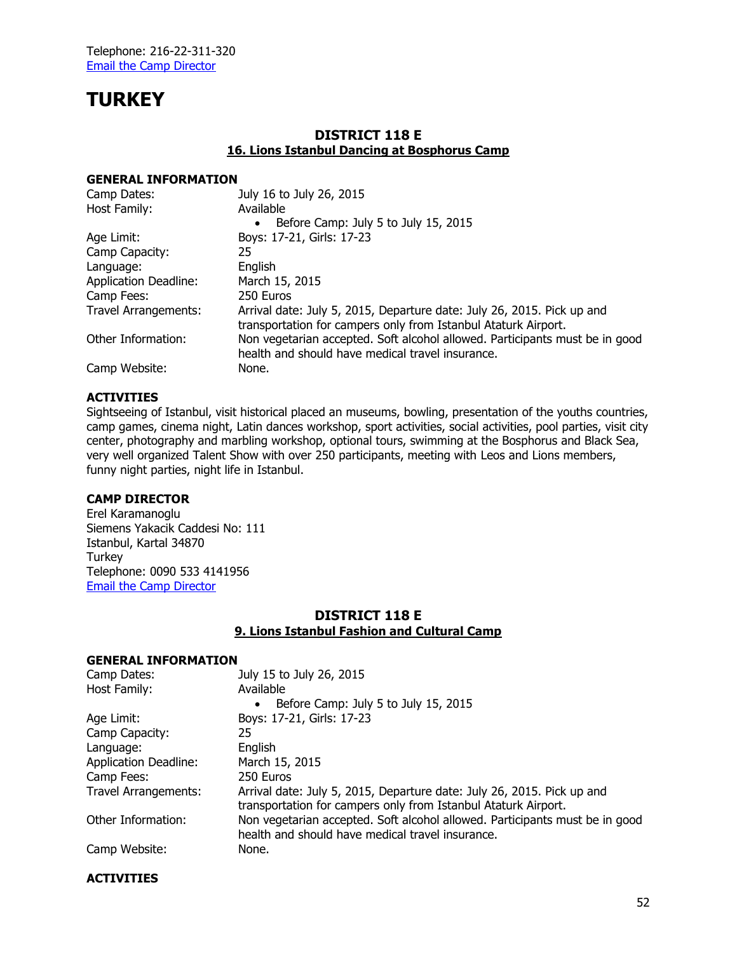# **TURKEY**

### **DISTRICT 118 E 16. Lions Istanbul Dancing at Bosphorus Camp**

#### **GENERAL INFORMATION**

| Camp Dates:                  | July 16 to July 26, 2015                                                                                                                 |
|------------------------------|------------------------------------------------------------------------------------------------------------------------------------------|
| Host Family:                 | Available                                                                                                                                |
|                              | Before Camp: July 5 to July 15, 2015                                                                                                     |
| Age Limit:                   | Boys: 17-21, Girls: 17-23                                                                                                                |
| Camp Capacity:               | 25                                                                                                                                       |
| Language:                    | English                                                                                                                                  |
| <b>Application Deadline:</b> | March 15, 2015                                                                                                                           |
| Camp Fees:                   | 250 Euros                                                                                                                                |
| <b>Travel Arrangements:</b>  | Arrival date: July 5, 2015, Departure date: July 26, 2015. Pick up and<br>transportation for campers only from Istanbul Ataturk Airport. |
| Other Information:           | Non vegetarian accepted. Soft alcohol allowed. Participants must be in good<br>health and should have medical travel insurance.          |
| Camp Website:                | None.                                                                                                                                    |

#### **ACTIVITIES**

Sightseeing of Istanbul, visit historical placed an museums, bowling, presentation of the youths countries, camp games, cinema night, Latin dances workshop, sport activities, social activities, pool parties, visit city center, photography and marbling workshop, optional tours, swimming at the Bosphorus and Black Sea, very well organized Talent Show with over 250 participants, meeting with Leos and Lions members, funny night parties, night life in Istanbul.

#### **CAMP DIRECTOR**

Erel Karamanoglu Siemens Yakacik Caddesi No: 111 Istanbul, Kartal 34870 **Turkey** Telephone: 0090 533 4141956 [Email the Camp Director](mailto:Erel.karamanoglu@siemens.com)

## **DISTRICT 118 E 9. Lions Istanbul Fashion and Cultural Camp**

#### **GENERAL INFORMATION**

| Camp Dates:                  | July 15 to July 26, 2015                                                                                                                 |
|------------------------------|------------------------------------------------------------------------------------------------------------------------------------------|
| Host Family:                 | Available                                                                                                                                |
|                              | Before Camp: July 5 to July 15, 2015<br>$\bullet$                                                                                        |
| Age Limit:                   | Boys: 17-21, Girls: 17-23                                                                                                                |
| Camp Capacity:               | 25                                                                                                                                       |
| Language:                    | English                                                                                                                                  |
| <b>Application Deadline:</b> | March 15, 2015                                                                                                                           |
| Camp Fees:                   | 250 Euros                                                                                                                                |
| <b>Travel Arrangements:</b>  | Arrival date: July 5, 2015, Departure date: July 26, 2015. Pick up and<br>transportation for campers only from Istanbul Ataturk Airport. |
| Other Information:           | Non vegetarian accepted. Soft alcohol allowed. Participants must be in good<br>health and should have medical travel insurance.          |
| Camp Website:                | None.                                                                                                                                    |

#### **ACTIVITIES**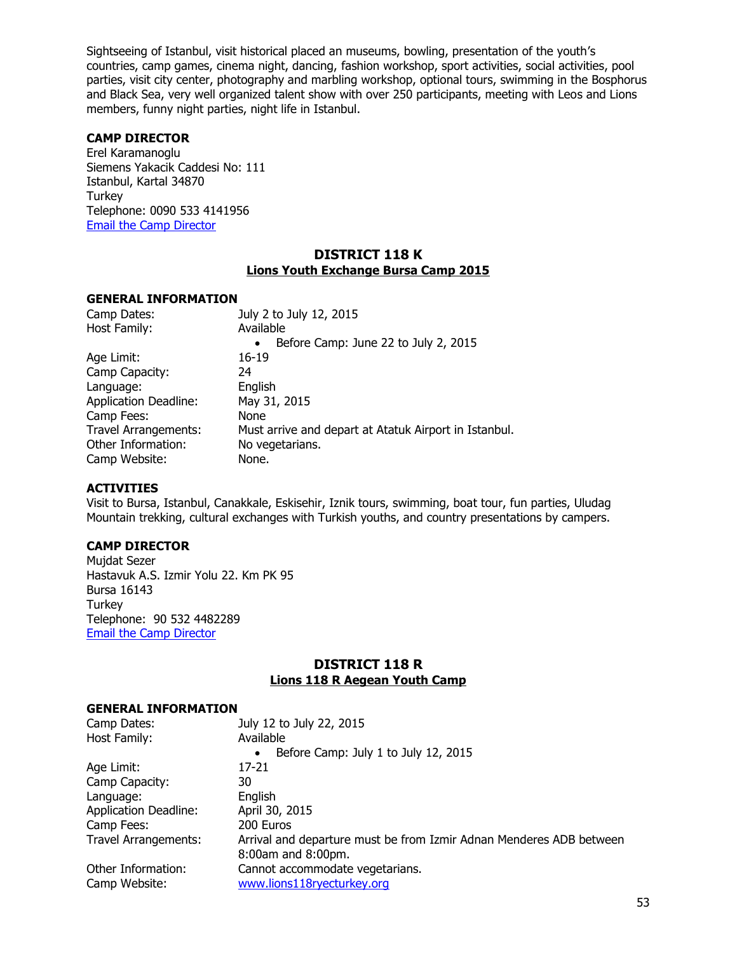Sightseeing of Istanbul, visit historical placed an museums, bowling, presentation of the youth's countries, camp games, cinema night, dancing, fashion workshop, sport activities, social activities, pool parties, visit city center, photography and marbling workshop, optional tours, swimming in the Bosphorus and Black Sea, very well organized talent show with over 250 participants, meeting with Leos and Lions members, funny night parties, night life in Istanbul.

#### **CAMP DIRECTOR**

Erel Karamanoglu Siemens Yakacik Caddesi No: 111 Istanbul, Kartal 34870 **Turkey** Telephone: 0090 533 4141956 [Email the Camp Director](mailto:Erel.karamanoglu@siemens.com)

#### **DISTRICT 118 K Lions Youth Exchange Bursa Camp 2015**

#### **GENERAL INFORMATION**

| Camp Dates:                  | July 2 to July 12, 2015                               |
|------------------------------|-------------------------------------------------------|
| Host Family:                 | Available                                             |
|                              | Before Camp: June 22 to July 2, 2015<br>$\bullet$     |
| Age Limit:                   | $16 - 19$                                             |
| Camp Capacity:               | 24                                                    |
| Language:                    | English                                               |
| <b>Application Deadline:</b> | May 31, 2015                                          |
| Camp Fees:                   | None                                                  |
| <b>Travel Arrangements:</b>  | Must arrive and depart at Atatuk Airport in Istanbul. |
| Other Information:           | No vegetarians.                                       |
| Camp Website:                | None.                                                 |

#### **ACTIVITIES**

Visit to Bursa, Istanbul, Canakkale, Eskisehir, Iznik tours, swimming, boat tour, fun parties, Uludag Mountain trekking, cultural exchanges with Turkish youths, and country presentations by campers.

#### **CAMP DIRECTOR**

Mujdat Sezer Hastavuk A.S. Izmir Yolu 22. Km PK 95 Bursa 16143 **Turkey** Telephone: 90 532 4482289 [Email the Camp Director](mailto:sezerlion@gmail.com)

## **DISTRICT 118 R Lions 118 R Aegean Youth Camp**

| Camp Dates:                  | July 12 to July 22, 2015                                            |
|------------------------------|---------------------------------------------------------------------|
| Host Family:                 | Available                                                           |
|                              | Before Camp: July 1 to July 12, 2015<br>$\bullet$                   |
| Age Limit:                   | 17-21                                                               |
| Camp Capacity:               | 30                                                                  |
| Language:                    | English                                                             |
| <b>Application Deadline:</b> | April 30, 2015                                                      |
| Camp Fees:                   | 200 Euros                                                           |
| <b>Travel Arrangements:</b>  | Arrival and departure must be from Izmir Adnan Menderes ADB between |
|                              | 8:00am and 8:00pm.                                                  |
| Other Information:           | Cannot accommodate vegetarians.                                     |
| Camp Website:                | www.lions118ryecturkey.org                                          |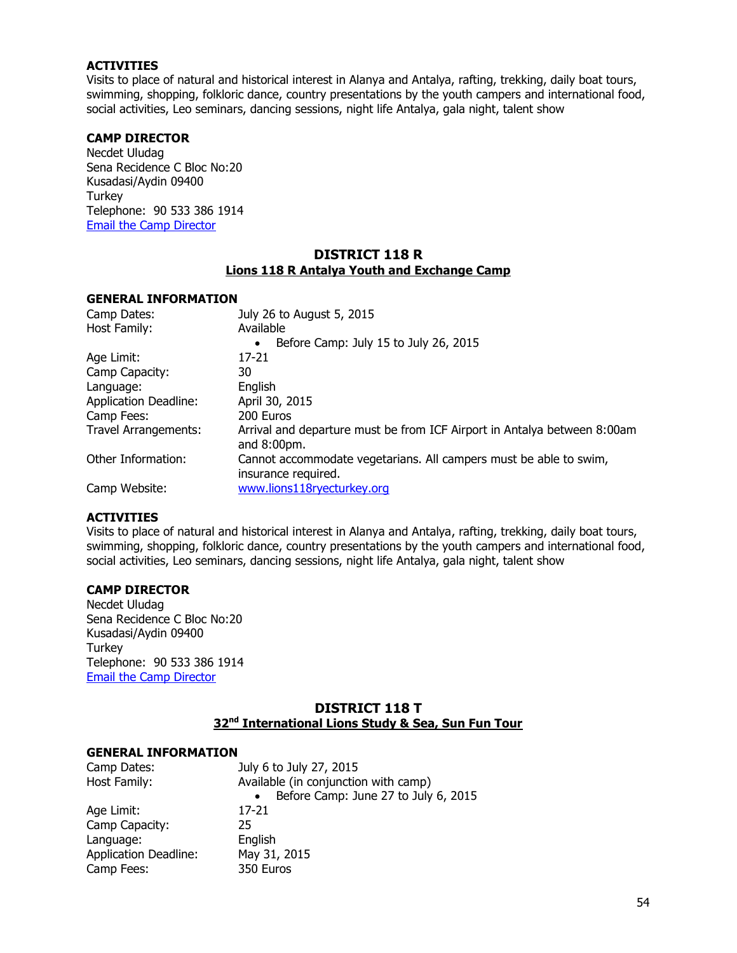Visits to place of natural and historical interest in Alanya and Antalya, rafting, trekking, daily boat tours, swimming, shopping, folkloric dance, country presentations by the youth campers and international food, social activities, Leo seminars, dancing sessions, night life Antalya, gala night, talent show

#### **CAMP DIRECTOR**

Necdet Uludag Sena Recidence C Bloc No:20 Kusadasi/Aydin 09400 **Turkey** Telephone: 90 533 386 1914 [Email the Camp Director](mailto:necdet@lions118ryecturkey.com)

#### **DISTRICT 118 R Lions 118 R Antalya Youth and Exchange Camp**

#### **GENERAL INFORMATION**

| Camp Dates:                  | July 26 to August 5, 2015                                                                |
|------------------------------|------------------------------------------------------------------------------------------|
| Host Family:                 | Available                                                                                |
|                              | Before Camp: July 15 to July 26, 2015<br>٠                                               |
| Age Limit:                   | 17-21                                                                                    |
| Camp Capacity:               | 30                                                                                       |
| Language:                    | English                                                                                  |
| <b>Application Deadline:</b> | April 30, 2015                                                                           |
| Camp Fees:                   | 200 Euros                                                                                |
| <b>Travel Arrangements:</b>  | Arrival and departure must be from ICF Airport in Antalya between 8:00am<br>and 8:00pm.  |
| Other Information:           | Cannot accommodate vegetarians. All campers must be able to swim,<br>insurance required. |
| Camp Website:                | www.lions118ryecturkey.org                                                               |

#### **ACTIVITIES**

Visits to place of natural and historical interest in Alanya and Antalya, rafting, trekking, daily boat tours, swimming, shopping, folkloric dance, country presentations by the youth campers and international food, social activities, Leo seminars, dancing sessions, night life Antalya, gala night, talent show

#### **CAMP DIRECTOR**

Necdet Uludag Sena Recidence C Bloc No:20 Kusadasi/Aydin 09400 **Turkey** Telephone: 90 533 386 1914 [Email the Camp Director](mailto:necdet@lions118ryecturkey.com)

## **DISTRICT 118 T 32nd International Lions Study & Sea, Sun Fun Tour**

| Camp Dates:                  | July 6 to July 27, 2015              |
|------------------------------|--------------------------------------|
| Host Family:                 | Available (in conjunction with camp) |
|                              | Before Camp: June 27 to July 6, 2015 |
| Age Limit:                   | 17-21                                |
| Camp Capacity:               | 25                                   |
| Language:                    | English                              |
| <b>Application Deadline:</b> | May 31, 2015                         |
| Camp Fees:                   | 350 Euros                            |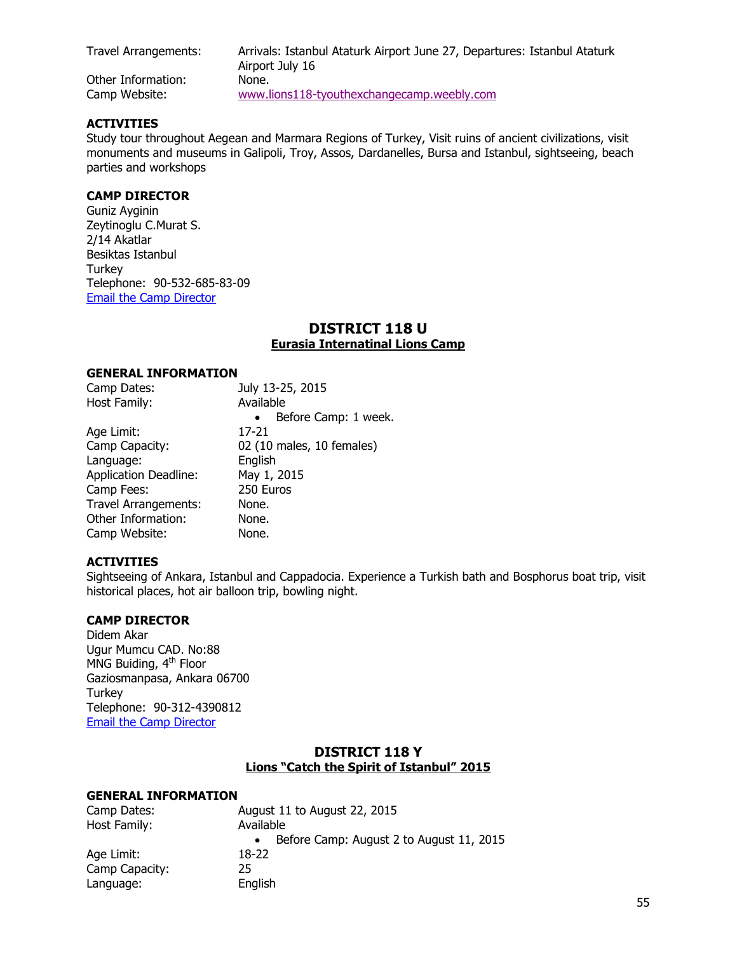Travel Arrangements: Arrivals: Istanbul Ataturk Airport June 27, Departures: Istanbul Ataturk Airport July 16 Other Information: None. Camp Website: [www.lions118-tyouthexchangecamp.weebly.com](http://www.lions118-tyouthexchangecamp.weebly.com/)

#### **ACTIVITIES**

Study tour throughout Aegean and Marmara Regions of Turkey, Visit ruins of ancient civilizations, visit monuments and museums in Galipoli, Troy, Assos, Dardanelles, Bursa and Istanbul, sightseeing, beach parties and workshops

### **CAMP DIRECTOR**

Guniz Ayginin Zeytinoglu C.Murat S. 2/14 Akatlar Besiktas Istanbul Turkey Telephone: 90-532-685-83-09 [Email the Camp Director](mailto:gayginin@aol.com)

#### **DISTRICT 118 U Eurasia Internatinal Lions Camp**

#### **GENERAL INFORMATION**

| Camp Dates:                  | July 13-25, 2015                  |
|------------------------------|-----------------------------------|
| Host Family:                 | Available                         |
|                              | Before Camp: 1 week.<br>$\bullet$ |
| Age Limit:                   | 17-21                             |
| Camp Capacity:               | 02 (10 males, 10 females)         |
| Language:                    | English                           |
| <b>Application Deadline:</b> | May 1, 2015                       |
| Camp Fees:                   | 250 Euros                         |
| <b>Travel Arrangements:</b>  | None.                             |
| Other Information:           | None.                             |
| Camp Website:                | None.                             |

#### **ACTIVITIES**

Sightseeing of Ankara, Istanbul and Cappadocia. Experience a Turkish bath and Bosphorus boat trip, visit historical places, hot air balloon trip, bowling night.

#### **CAMP DIRECTOR**

Didem Akar Ugur Mumcu CAD. No:88 MNG Buiding, 4<sup>th</sup> Floor Gaziosmanpasa, Ankara 06700 **Turkey** Telephone: 90-312-4390812 [Email the Camp Director](mailto:didem_akar@yahoo.com)

## **DISTRICT 118 Y Lions "Catch the Spirit of Istanbul" 2015**

| Camp Dates:    | August 11 to August 22, 2015             |
|----------------|------------------------------------------|
| Host Family:   | Available                                |
|                | Before Camp: August 2 to August 11, 2015 |
| Age Limit:     | 18-22                                    |
| Camp Capacity: | 25                                       |
| Language:      | English                                  |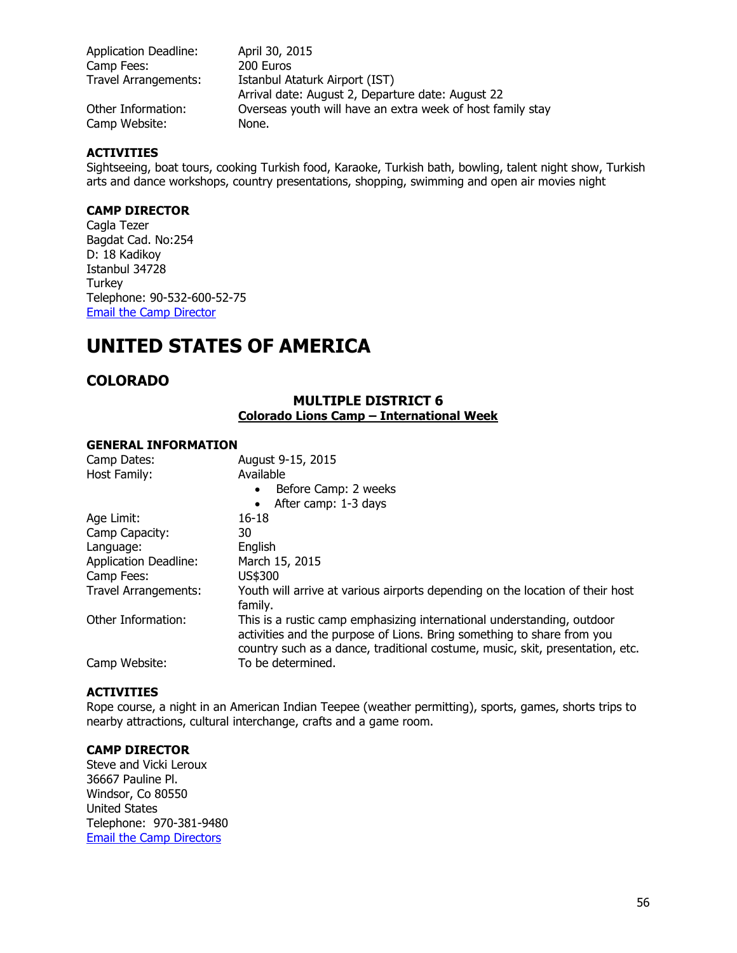| <b>Application Deadline:</b> | April 30, 2015                                                                      |
|------------------------------|-------------------------------------------------------------------------------------|
| Camp Fees:                   | 200 Euros                                                                           |
| <b>Travel Arrangements:</b>  | Istanbul Ataturk Airport (IST)<br>Arrival date: August 2, Departure date: August 22 |
| Other Information:           | Overseas youth will have an extra week of host family stay                          |
| Camp Website:                | None.                                                                               |

Sightseeing, boat tours, cooking Turkish food, Karaoke, Turkish bath, bowling, talent night show, Turkish arts and dance workshops, country presentations, shopping, swimming and open air movies night

#### **CAMP DIRECTOR**

Cagla Tezer Bagdat Cad. No:254 D: 18 Kadikoy Istanbul 34728 Turkey Telephone: 90-532-600-52-75 [Email the Camp](mailto:caglatezer@gmail.com) Director

## **UNITED STATES OF AMERICA**

## **COLORADO**

#### **MULTIPLE DISTRICT 6 Colorado Lions Camp – International Week**

#### **GENERAL INFORMATION**

| Camp Dates:                  | August 9-15, 2015                                                                                                                                                                                                                 |
|------------------------------|-----------------------------------------------------------------------------------------------------------------------------------------------------------------------------------------------------------------------------------|
| Host Family:                 | Available                                                                                                                                                                                                                         |
|                              | Before Camp: 2 weeks<br>$\bullet$                                                                                                                                                                                                 |
|                              | After camp: 1-3 days                                                                                                                                                                                                              |
| Age Limit:                   | 16-18                                                                                                                                                                                                                             |
| Camp Capacity:               | 30                                                                                                                                                                                                                                |
| Language:                    | English                                                                                                                                                                                                                           |
| <b>Application Deadline:</b> | March 15, 2015                                                                                                                                                                                                                    |
| Camp Fees:                   | US\$300                                                                                                                                                                                                                           |
| Travel Arrangements:         | Youth will arrive at various airports depending on the location of their host<br>family.                                                                                                                                          |
| Other Information:           | This is a rustic camp emphasizing international understanding, outdoor<br>activities and the purpose of Lions. Bring something to share from you<br>country such as a dance, traditional costume, music, skit, presentation, etc. |
| Camp Website:                | To be determined.                                                                                                                                                                                                                 |

#### **ACTIVITIES**

Rope course, a night in an American Indian Teepee (weather permitting), sports, games, shorts trips to nearby attractions, cultural interchange, crafts and a game room.

#### **CAMP DIRECTOR**

Steve and Vicki Leroux 36667 Pauline Pl. Windsor, Co 80550 United States Telephone: 970-381-9480 [Email the Camp Directors](mailto:Colo.yep@gmail.com)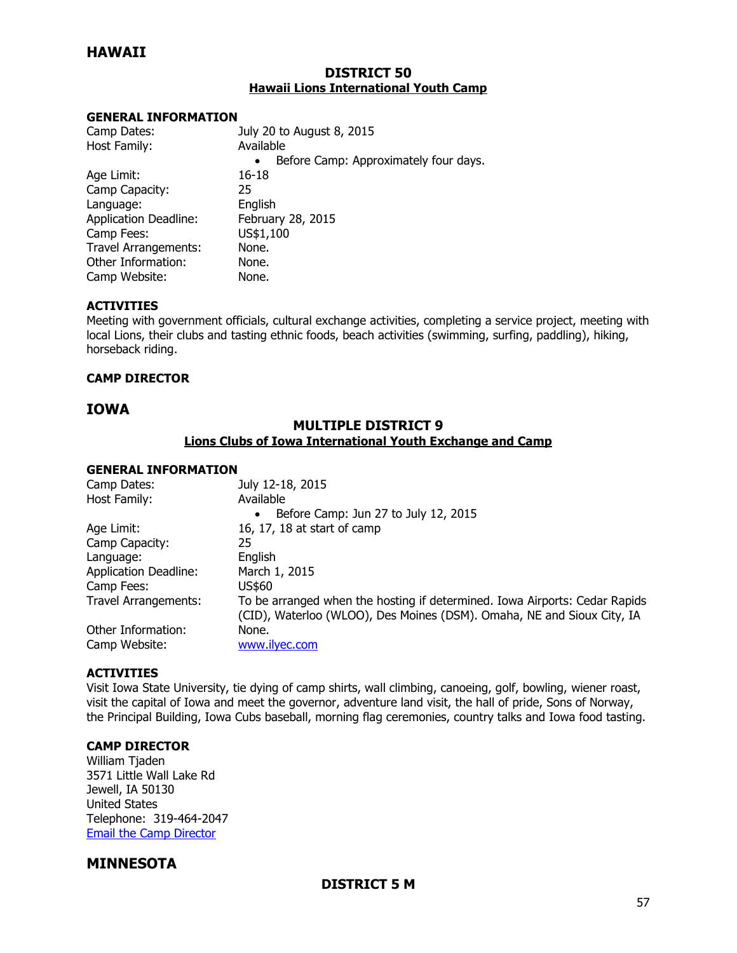## **HAWAII**

### **DISTRICT 50 Hawaii Lions International Youth Camp**

#### **GENERAL INFORMATION**

| Camp Dates:                  | July 20 to August 8, 2015                          |
|------------------------------|----------------------------------------------------|
| Host Family:                 | Available                                          |
|                              | Before Camp: Approximately four days.<br>$\bullet$ |
| Age Limit:                   | 16-18                                              |
| Camp Capacity:               | 25                                                 |
| Language:                    | English                                            |
| <b>Application Deadline:</b> | February 28, 2015                                  |
| Camp Fees:                   | US\$1,100                                          |
| <b>Travel Arrangements:</b>  | None.                                              |
| Other Information:           | None.                                              |
| Camp Website:                | None.                                              |

#### **ACTIVITIES**

Meeting with government officials, cultural exchange activities, completing a service project, meeting with local Lions, their clubs and tasting ethnic foods, beach activities (swimming, surfing, paddling), hiking, horseback riding.

#### **CAMP DIRECTOR**

## **IOWA**

## **MULTIPLE DISTRICT 9 Lions Clubs of Iowa International Youth Exchange and Camp**

#### **GENERAL INFORMATION**

| Camp Dates:                  | July 12-18, 2015                                                           |
|------------------------------|----------------------------------------------------------------------------|
| Host Family:                 | Available                                                                  |
|                              | Before Camp: Jun 27 to July 12, 2015<br>$\bullet$                          |
| Age Limit:                   | 16, 17, 18 at start of camp                                                |
| Camp Capacity:               | 25                                                                         |
| Language:                    | English                                                                    |
| <b>Application Deadline:</b> | March 1, 2015                                                              |
| Camp Fees:                   | US\$60                                                                     |
| Travel Arrangements:         | To be arranged when the hosting if determined. Iowa Airports: Cedar Rapids |
|                              | (CID), Waterloo (WLOO), Des Moines (DSM). Omaha, NE and Sioux City, IA     |
| Other Information:           | None.                                                                      |
| Camp Website:                | www.ilyec.com                                                              |

#### **ACTIVITIES**

Visit Iowa State University, tie dying of camp shirts, wall climbing, canoeing, golf, bowling, wiener roast, visit the capital of Iowa and meet the governor, adventure land visit, the hall of pride, Sons of Norway, the Principal Building, Iowa Cubs baseball, morning flag ceremonies, country talks and Iowa food tasting.

#### **CAMP DIRECTOR**

William Tjaden 3571 Little Wall Lake Rd Jewell, IA 50130 United States Telephone: 319-464-2047 Email the [Camp Director](mailto:wtjaden@ilyec.com)

## **MINNESOTA**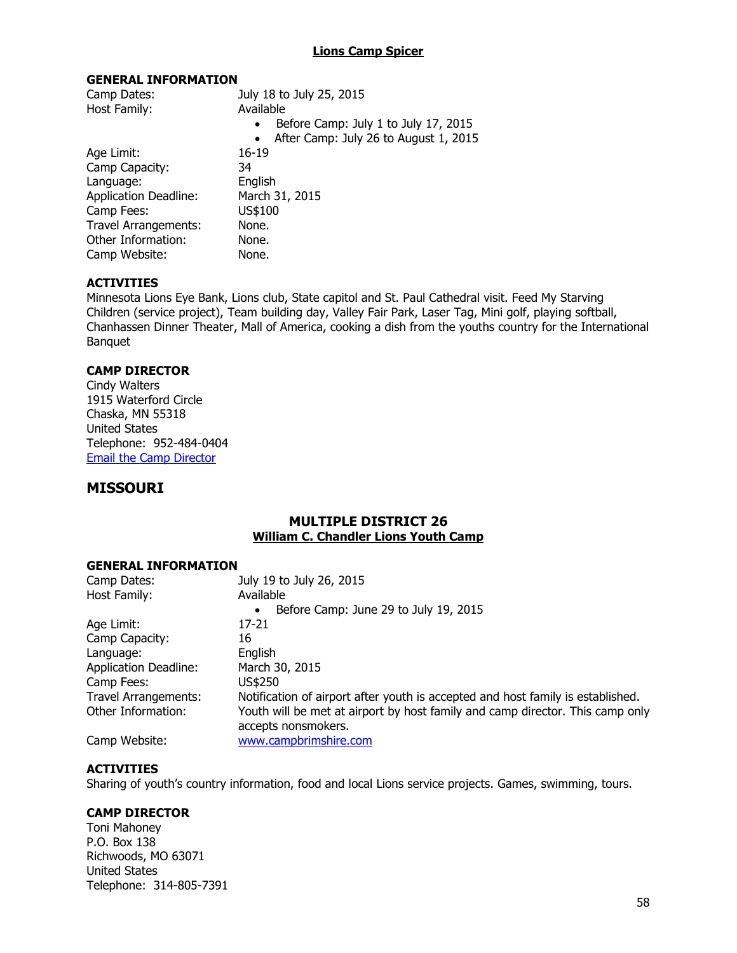### **Lions Camp Spicer**

#### **GENERAL INFORMATION**

| July 18 to July 25, 2015                           |
|----------------------------------------------------|
| Available                                          |
| Before Camp: July 1 to July 17, 2015<br>$\bullet$  |
| After Camp: July 26 to August 1, 2015<br>$\bullet$ |
| $16 - 19$                                          |
| 34                                                 |
| English                                            |
| March 31, 2015                                     |
| US\$100                                            |
| None.                                              |
| None.                                              |
| None.                                              |
|                                                    |

#### **ACTIVITIES**

Minnesota Lions Eye Bank, Lions club, State capitol and St. Paul Cathedral visit. Feed My Starving Children (service project), Team building day, Valley Fair Park, Laser Tag, Mini golf, playing softball, Chanhassen Dinner Theater, Mall of America, cooking a dish from the youths country for the International Banquet

## **CAMP DIRECTOR**

| Cindy Walters                  |
|--------------------------------|
| 1915 Waterford Circle          |
| Chaska, MN 55318               |
| <b>United States</b>           |
| Telephone: 952-484-0404        |
| <b>Email the Camp Director</b> |

## **MISSOURI**

## **MULTIPLE DISTRICT 26 William C. Chandler Lions Youth Camp**

#### **GENERAL INFORMATION**

| Camp Dates:                  | July 19 to July 26, 2015                                                        |
|------------------------------|---------------------------------------------------------------------------------|
| Host Family:                 | Available                                                                       |
|                              | Before Camp: June 29 to July 19, 2015<br>$\bullet$                              |
| Age Limit:                   | 17-21                                                                           |
| Camp Capacity:               | 16                                                                              |
| Language:                    | English                                                                         |
| <b>Application Deadline:</b> | March 30, 2015                                                                  |
| Camp Fees:                   | US\$250                                                                         |
| <b>Travel Arrangements:</b>  | Notification of airport after youth is accepted and host family is established. |
| Other Information:           | Youth will be met at airport by host family and camp director. This camp only   |
|                              | accepts nonsmokers.                                                             |
| Camp Website:                | www.campbrimshire.com                                                           |

#### **ACTIVITIES**

Sharing of youth's country information, food and local Lions service projects. Games, swimming, tours.

#### **CAMP DIRECTOR**

Toni Mahoney P.O. Box 138 Richwoods, MO 63071 United States Telephone: 314-805-7391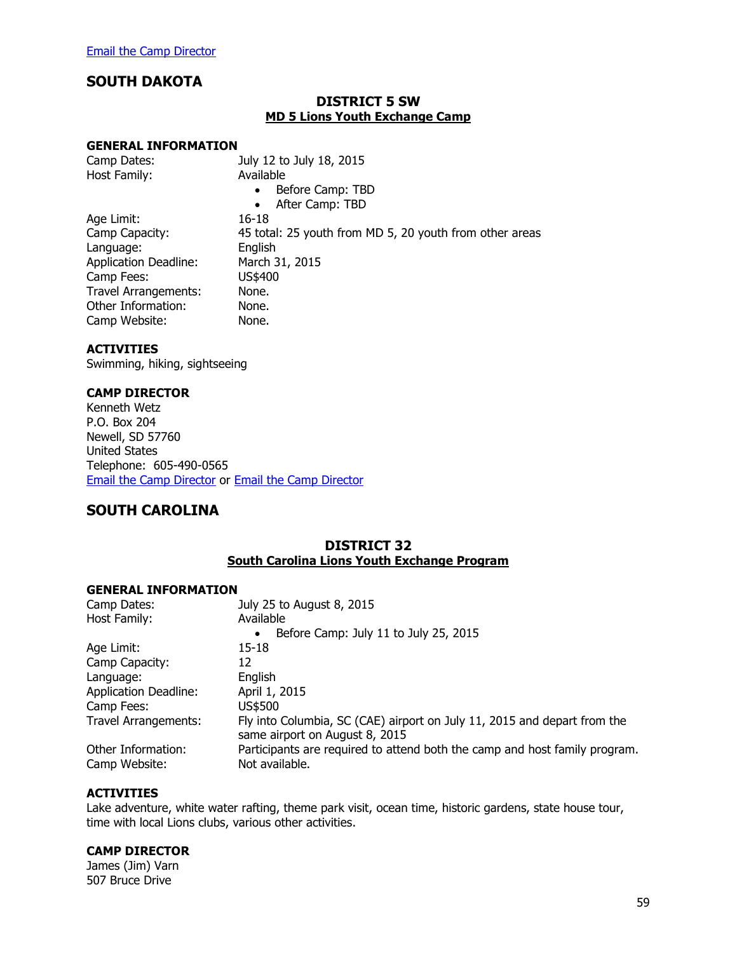## **SOUTH DAKOTA**

### **DISTRICT 5 SW MD 5 Lions Youth Exchange Camp**

#### **GENERAL INFORMATION**

| Camp Dates:                  | July 12 to July 18, 2015                                |
|------------------------------|---------------------------------------------------------|
| Host Family:                 | Available                                               |
|                              | Before Camp: TBD<br>$\bullet$                           |
|                              | After Camp: TBD<br>$\bullet$                            |
| Age Limit:                   | 16-18                                                   |
| Camp Capacity:               | 45 total: 25 youth from MD 5, 20 youth from other areas |
| Language:                    | English                                                 |
| <b>Application Deadline:</b> | March 31, 2015                                          |
| Camp Fees:                   | US\$400                                                 |
| Travel Arrangements:         | None.                                                   |
| Other Information:           | None.                                                   |
| Camp Website:                | None.                                                   |

#### **ACTIVITIES**

Swimming, hiking, sightseeing

## **CAMP DIRECTOR**

Kenneth Wetz P.O. Box 204 Newell, SD 57760 United States Telephone: 605-490-0565 [Email the Camp Director](mailto:knew@sdplains.com) or [Email the Camp Director](mailto:dowetz@yahoo.com)

## **SOUTH CAROLINA**

## **DISTRICT 32 South Carolina Lions Youth Exchange Program**

#### **GENERAL INFORMATION**

| Camp Dates:                         | July 25 to August 8, 2015                                                                                  |
|-------------------------------------|------------------------------------------------------------------------------------------------------------|
| Host Family:                        | Available                                                                                                  |
|                                     | Before Camp: July 11 to July 25, 2015<br>$\bullet$                                                         |
| Age Limit:                          | 15-18                                                                                                      |
| Camp Capacity:                      | 12                                                                                                         |
| Language:                           | English                                                                                                    |
| <b>Application Deadline:</b>        | April 1, 2015                                                                                              |
| Camp Fees:                          | US\$500                                                                                                    |
| <b>Travel Arrangements:</b>         | Fly into Columbia, SC (CAE) airport on July 11, 2015 and depart from the<br>same airport on August 8, 2015 |
| Other Information:<br>Camp Website: | Participants are required to attend both the camp and host family program.<br>Not available.               |

#### **ACTIVITIES**

Lake adventure, white water rafting, theme park visit, ocean time, historic gardens, state house tour, time with local Lions clubs, various other activities.

#### **CAMP DIRECTOR**

James (Jim) Varn 507 Bruce Drive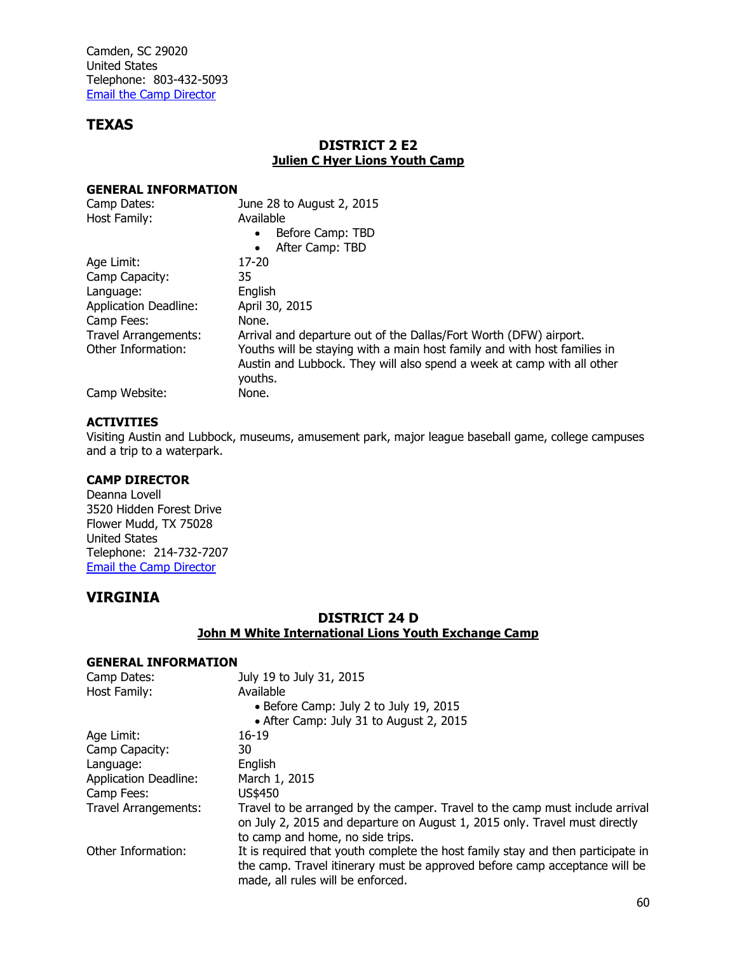Camden, SC 29020 United States Telephone: 803-432-5093 [Email the Camp Director](mailto:jimvarn@varnhaus.net)

## **TEXAS**

## **DISTRICT 2 E2 Julien C Hyer Lions Youth Camp**

#### **GENERAL INFORMATION**

| Camp Dates:                  | June 28 to August 2, 2015                                                                                                                                     |
|------------------------------|---------------------------------------------------------------------------------------------------------------------------------------------------------------|
| Host Family:                 | Available                                                                                                                                                     |
|                              | Before Camp: TBD<br>$\bullet$                                                                                                                                 |
|                              | After Camp: TBD<br>$\bullet$                                                                                                                                  |
| Age Limit:                   | $17 - 20$                                                                                                                                                     |
| Camp Capacity:               | 35                                                                                                                                                            |
| Language:                    | English                                                                                                                                                       |
| <b>Application Deadline:</b> | April 30, 2015                                                                                                                                                |
| Camp Fees:                   | None.                                                                                                                                                         |
| Travel Arrangements:         | Arrival and departure out of the Dallas/Fort Worth (DFW) airport.                                                                                             |
| Other Information:           | Youths will be staying with a main host family and with host families in<br>Austin and Lubbock. They will also spend a week at camp with all other<br>youths. |
| Camp Website:                | None.                                                                                                                                                         |

### **ACTIVITIES**

Visiting Austin and Lubbock, museums, amusement park, major league baseball game, college campuses and a trip to a waterpark.

## **CAMP DIRECTOR**

Deanna Lovell 3520 Hidden Forest Drive Flower Mudd, TX 75028 United States Telephone: 214-732-7207 [Email the Camp Director](mailto:deannallt@yahoo.com)

## **VIRGINIA**

## **DISTRICT 24 D John M White International Lions Youth Exchange Camp**

| Camp Dates:                  | July 19 to July 31, 2015                                                                                                                                                                           |
|------------------------------|----------------------------------------------------------------------------------------------------------------------------------------------------------------------------------------------------|
| Host Family:                 | Available                                                                                                                                                                                          |
|                              | • Before Camp: July 2 to July 19, 2015                                                                                                                                                             |
|                              | • After Camp: July 31 to August 2, 2015                                                                                                                                                            |
| Age Limit:                   | $16 - 19$                                                                                                                                                                                          |
| Camp Capacity:               | 30                                                                                                                                                                                                 |
| Language:                    | English                                                                                                                                                                                            |
| <b>Application Deadline:</b> | March 1, 2015                                                                                                                                                                                      |
| Camp Fees:                   | US\$450                                                                                                                                                                                            |
| Travel Arrangements:         | Travel to be arranged by the camper. Travel to the camp must include arrival<br>on July 2, 2015 and departure on August 1, 2015 only. Travel must directly<br>to camp and home, no side trips.     |
| Other Information:           | It is required that youth complete the host family stay and then participate in<br>the camp. Travel itinerary must be approved before camp acceptance will be<br>made, all rules will be enforced. |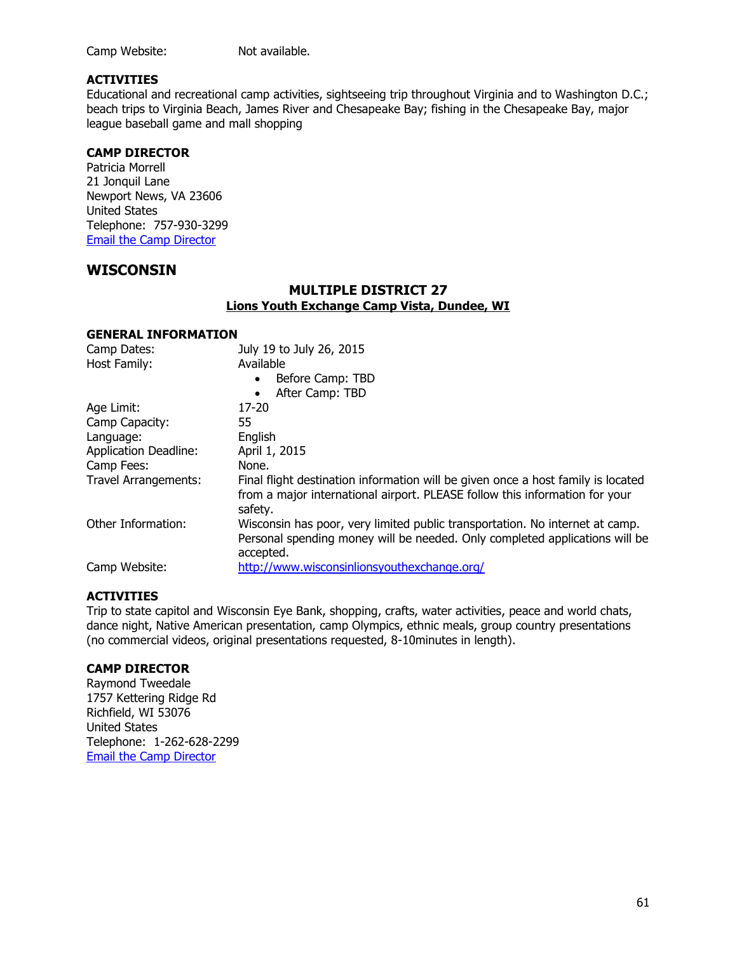Camp Website: Not available.

### **ACTIVITIES**

Educational and recreational camp activities, sightseeing trip throughout Virginia and to Washington D.C.; beach trips to Virginia Beach, James River and Chesapeake Bay; fishing in the Chesapeake Bay, major league baseball game and mall shopping

### **CAMP DIRECTOR**

Patricia Morrell 21 Jonquil Lane Newport News, VA 23606 United States Telephone: 757-930-3299 [Email the Camp Director](mailto:Pmsm56@aol.com)

## **WISCONSIN**

## **MULTIPLE DISTRICT 27 Lions Youth Exchange Camp Vista, Dundee, WI**

#### **GENERAL INFORMATION**

| Camp Dates:                  | July 19 to July 26, 2015                                                                                                                                                   |
|------------------------------|----------------------------------------------------------------------------------------------------------------------------------------------------------------------------|
| Host Family:                 | Available                                                                                                                                                                  |
|                              | Before Camp: TBD<br>$\bullet$                                                                                                                                              |
|                              | After Camp: TBD<br>$\bullet$                                                                                                                                               |
| Age Limit:                   | $17 - 20$                                                                                                                                                                  |
| Camp Capacity:               | 55                                                                                                                                                                         |
| Language:                    | English                                                                                                                                                                    |
| <b>Application Deadline:</b> | April 1, 2015                                                                                                                                                              |
| Camp Fees:                   | None.                                                                                                                                                                      |
| <b>Travel Arrangements:</b>  | Final flight destination information will be given once a host family is located<br>from a major international airport. PLEASE follow this information for your<br>safety. |
| Other Information:           | Wisconsin has poor, very limited public transportation. No internet at camp.<br>Personal spending money will be needed. Only completed applications will be<br>accepted.   |
| Camp Website:                | http://www.wisconsinlionsyouthexchange.org/                                                                                                                                |

### **ACTIVITIES**

Trip to state capitol and Wisconsin Eye Bank, shopping, crafts, water activities, peace and world chats, dance night, Native American presentation, camp Olympics, ethnic meals, group country presentations (no commercial videos, original presentations requested, 8-10minutes in length).

## **CAMP DIRECTOR**

Raymond Tweedale 1757 Kettering Ridge Rd Richfield, WI 53076 United States Telephone: 1-262-628-2299 [Email the Camp Director](mailto:tweedale@charter.net)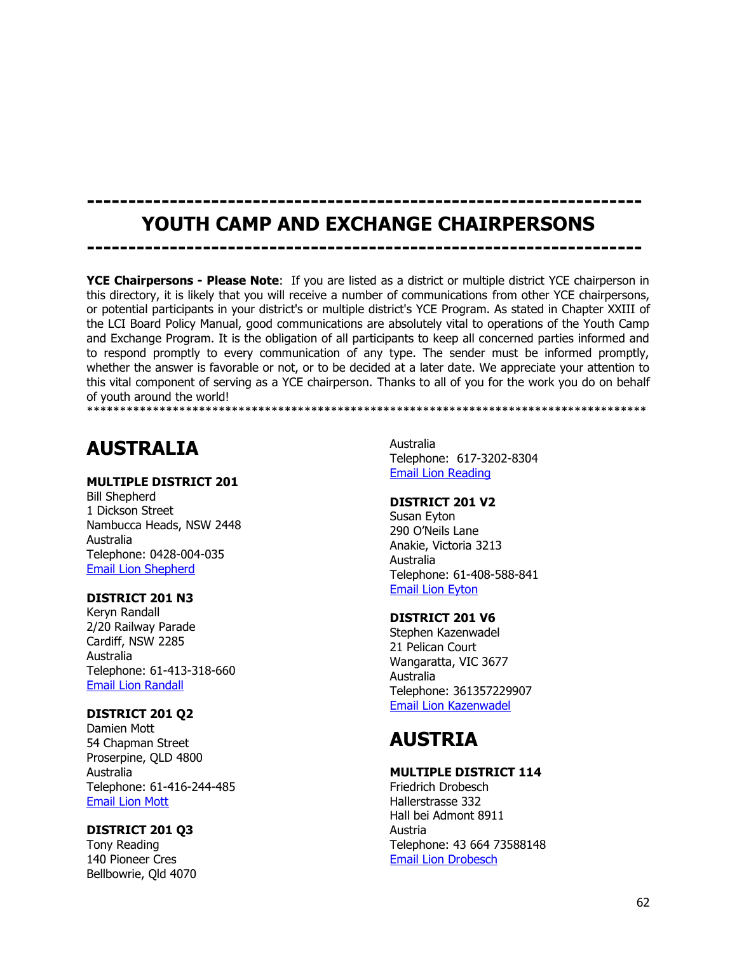## **------------------------------------------------------------------- YOUTH CAMP AND EXCHANGE CHAIRPERSONS**

**-------------------------------------------------------------------**

**YCE Chairpersons - Please Note**: If you are listed as a district or multiple district YCE chairperson in this directory, it is likely that you will receive a number of communications from other YCE chairpersons, or potential participants in your district's or multiple district's YCE Program. As stated in Chapter XXIII of the LCI Board Policy Manual, good communications are absolutely vital to operations of the Youth Camp and Exchange Program. It is the obligation of all participants to keep all concerned parties informed and to respond promptly to every communication of any type. The sender must be informed promptly, whether the answer is favorable or not, or to be decided at a later date. We appreciate your attention to this vital component of serving as a YCE chairperson. Thanks to all of you for the work you do on behalf of youth around the world! \*\*\*\*\*\*\*\*\*\*\*\*\*\*\*\*\*\*\*\*\*\*\*\*\*\*\*\*\*\*\*\*\*\*\*\*\*\*\*\*\*\*\*\*\*\*\*\*\*\*\*\*\*\*\*\*\*\*\*\*\*\*\*\*\*\*\*\*\*\*\*\*\*\*\*\*\*\*\*\*\*\*\*\*\*

## **AUSTRALIA**

## **MULTIPLE DISTRICT 201**

Bill Shepherd 1 Dickson Street Nambucca Heads, NSW 2448 Australia Telephone: 0428-004-035 [Email Lion Shepherd](mailto:md201ye@gmail.com)

## **DISTRICT 201 N3**

Keryn Randall 2/20 Railway Parade Cardiff, NSW 2285 Australia Telephone: 61-413-318-660 [Email Lion Randall](mailto:md201ye@gmail.com)

## **DISTRICT 201 Q2**

Damien Mott 54 Chapman Street Proserpine, QLD 4800 Australia Telephone: 61-416-244-485 [Email Lion Mott](mailto:md201ye@gmail.com)

## **DISTRICT 201 Q3**

Tony Reading 140 Pioneer Cres Bellbowrie, Qld 4070 Australia Telephone: 617-3202-8304 [Email Lion Reading](mailto:md201ye@gmail.com)

## **DISTRICT 201 V2**

Susan Eyton 290 O'Neils Lane Anakie, Victoria 3213 Australia Telephone: 61-408-588-841 [Email Lion Eyton](mailto:md201ye@gmail.com)

## **DISTRICT 201 V6**

Stephen Kazenwadel 21 Pelican Court Wangaratta, VIC 3677 Australia Telephone: 361357229907 [Email Lion Kazenwadel](mailto:akazenwa@bigpond.net.au)

# **AUSTRIA**

## **MULTIPLE DISTRICT 114**

Friedrich Drobesch Hallerstrasse 332 Hall bei Admont 8911 Austria Telephone: 43 664 73588148 [Email Lion Drobesch](mailto:Yce.austria@gmail.com)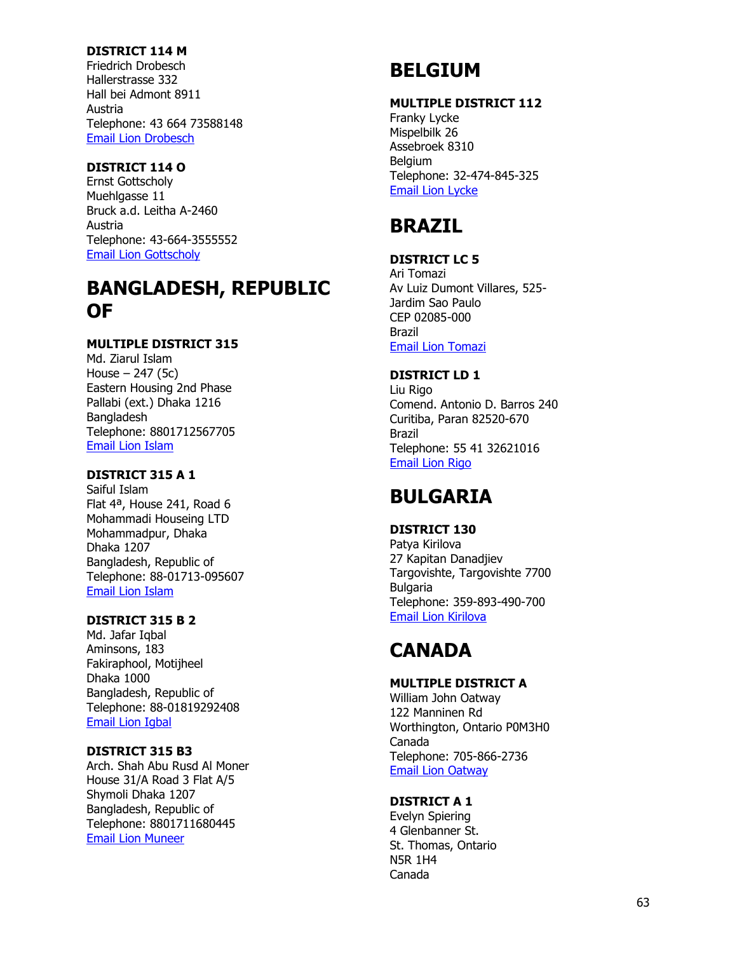## **DISTRICT 114 M**

Friedrich Drobesch Hallerstrasse 332 Hall bei Admont 8911 Austria Telephone: 43 664 73588148 [Email Lion Drobesch](mailto:Yce.austria@gmail.com)

## **DISTRICT 114 O**

Ernst Gottscholy Muehlgasse 11 Bruck a.d. Leitha A -2460 Austria Telephone: 43 -664 -3555552 [Email Lion Gottscholy](mailto:Ernst.gottscholy@lc-bruckleitha.at)

## **BANGLADESH, REPUBLIC OF**

## **MULTIPLE DISTRICT 315**

Md. Ziarul Islam House – 247 (5c) Eastern Housing 2nd Phase Pallabi (ext.) Dhaka 1216 Bangladesh Telephone: 8801712567705 [Email Lion Islam](mailto:Ziarul567@yahoo.com)

### **DISTRICT 315 A 1**

Saiful Islam Flat 4ª, House 241, Road 6 Mohammadi Houseing LTD Mohammadpur, Dhaka Dhaka 1207 Bangladesh, Republic of Telephone: 88 -01713 -095607 [Email Lion Islam](mailto:Saiful.islum@gmail.com)

#### **DISTRICT 315 B 2**

Md. Jafar I qbal Aminsons, 183 Fakiraphool, Motijheel Dhaka 1000 Bangladesh, Republic of Telephone: 88 -01819292408 [Email Lion Igbal](mailto:Aminsons72@gmail.com)

## **DISTRICT 315 B3**

Arch. Shah Abu Rusd Al Moner House 31/A Road 3 Flat A/5 Shymoli Dhaka 1207 Bangladesh, Republic of Telephone: 8801711680445 [Email Lion Muneer](mailto:archmuneer@yahoo.com)

## **BELGIUM**

#### **MULTIPLE DISTRICT 112**

Franky Lycke Mispelbilk 26 Assebroek 8310 **Belgium** Telephone: 32 -474 -845 -325 [Email Lion Lycke](mailto:franky.lycke@telenet.be)

## **BRAZIL**

## **DISTRICT LC 5**

Ari Tomazi Av Luiz Dumont Villares, 525 - Jardim Sao Paulo CEP 02085 -000 Brazil [Email Lion Tomazi](mailto:aritomazi@uol.com.br)

#### **DISTRICT LD 1**

Liu Rigo Comend. Antonio D. Barros 240 Curitiba, Paran 82520 -670 Brazil Telephone: 55 41 32621016 [Email Lion Rigo](mailto:rigoliu@gmail.com)

## **BULGARIA**

## **DISTRICT 130**

Patya Kirilova 27 Kapitan Danadjiev Targovishte, Targovishte 7700 **Bulgaria** Telephone: 359 -893 -490 -700 [Email Lion Kirilova](mailto:pnkirilova@abv.bg)

## **CANADA**

#### **MULTIPLE DISTRICT A**

William John Oatway 122 Manninen Rd Worthington, Ontario P0M3H0 Canada Telephone: 705 -866 -2736 [Email Lion Oatway](mailto:Sharon.jacko@yahoo.ca)

#### **DISTRICT A 1**

Evelyn Spiering 4 Glenbanner St. St. Thomas, Ontario N5R 1H4 Canada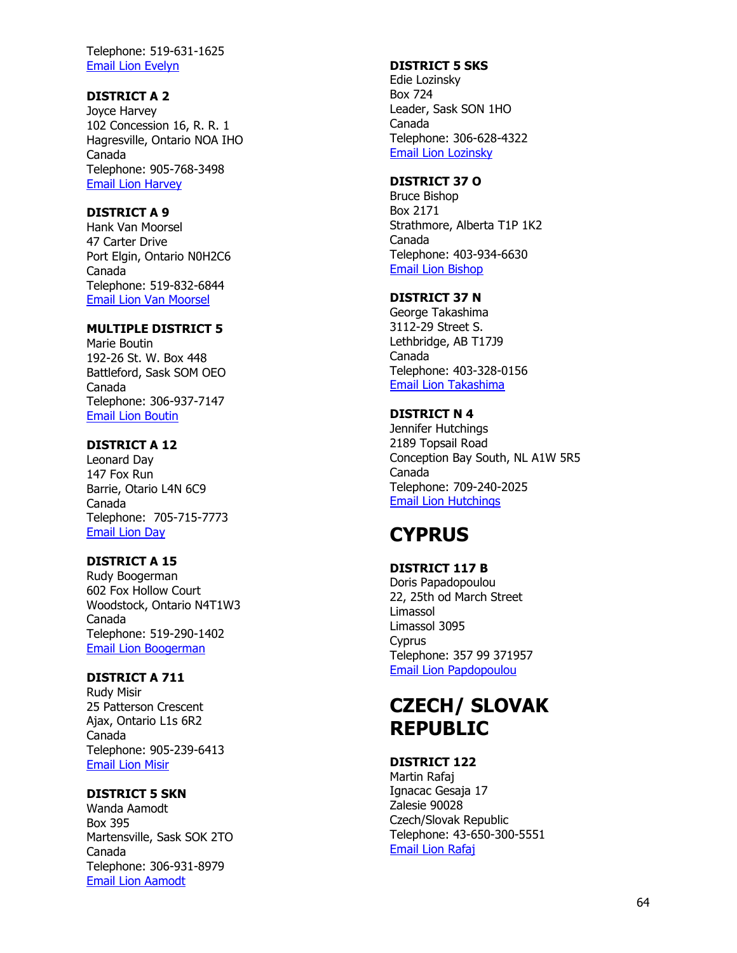Telephone: 519 -631 -1625 [Email Lion Evelyn](mailto:pdglionev@gmail.com)

## **DISTRICT A 2**

Joyce Harvey 102 Concession 16, R. R. 1 Hagresville, Ontario NOA IHO Canada Telephone: 905 -768 -3498 [Email Lion Harvey](mailto:harv@optionsdsl.ca)

## **DISTRICT A 9**

Hank Van Moorsel 47 Carter Drive Port Elgin, Ontario N0H2C6 Canada Telephone: 519 -832 -6844 [Email Lion Van Moorsel](mailto:hvanm@eastlink.ca)

## **MULTIPLE DISTRICT 5**

Marie Boutin 192 -26 St. W. Box 448 Battleford, Sask SOM OEO Canada Telephone: 306 -937 -7147 [Email Lion Boutin](mailto:Mbdg.2008@sasktel.net)

## **DISTRICT A 12**

Leonard Day 147 Fox Run Barrie, Otario L4N 6C9 Canada Telephone: 705 -715 -7773 [Email Lion Day](mailto:exchange@a12lions.org)

## **DISTRICT A 15**

Rudy Boogerman 602 Fox Hollow Court Woodstock, Ontario N4T1W3 Canada Telephone: 519 -290 -1402 [Email Lion Boogerman](mailto:ycex@a15lions.org)

## **DISTRICT A 711**

Rudy Misir 25 Patterson Crescent Ajax, Ontario L1s 6R2 Canada Telephone: 905 -239 -6413 [Email Lion Misir](mailto:kaiteurlions@gmail.com)

### **DISTRICT 5 SKN**

Wanda Aamodt Box 395 Martensville, Sask SOK 2TO Canada Telephone: 306 -931 -8979 [Email Lion Aamodt](mailto:waarnodt@sasktel.net)

## **DISTRICT 5 SKS**

Edie Lozinsky Box 724 Leader, Sask SON 1HO Canada Telephone: 306 -628 -4322 [Email Lion Lozinsky](mailto:t.e.lozy@sasktel.net)

## **DISTRICT 37 O**

Bruce Bishop Box 2171 Strathmore, Alberta T1P 1K2 Canada Telephone : 403 -934 -6630 [Email Lion Bishop](mailto:b.b.bishop@shaw.ca)

## **DISTRICT 37 N**

George Takashima 3112 -29 Street S. Lethbridge, AB T17J9 Canada Telephone: 403 -328 -0156 [Email Lion Takashima](mailto:gptak@shaw.ca)

## **DISTRICT N 4**

Jennifer Hutchings 2189 Topsail Road Conception Bay South, NL A1W 5R5 Canada Telephone: 709 -240 -2025 [Email Lion Hutchings](mailto:jennifer_pennell21@hotmail.com)

# **CYPRUS**

#### **DISTRICT 117 B**

Doris Papadopoulou 22, 25th od March Street Limassol Limassol 3095 Cyprus Telephone: 357 99 371957 [Email Lion Papdopoulou](mailto:dorisafp@gmail.com)

## **CZECH / SLOVAK REPUBLIC**

## **DISTRICT 122**

Martin Rafaj Ignacac Gesaja 17 Zalesie 90028 Czech/Slovak Republic Telephone: 43 -650 -300 -5551 [Email Lion Rafaj](mailto:Youthexchanged122@gmail.com)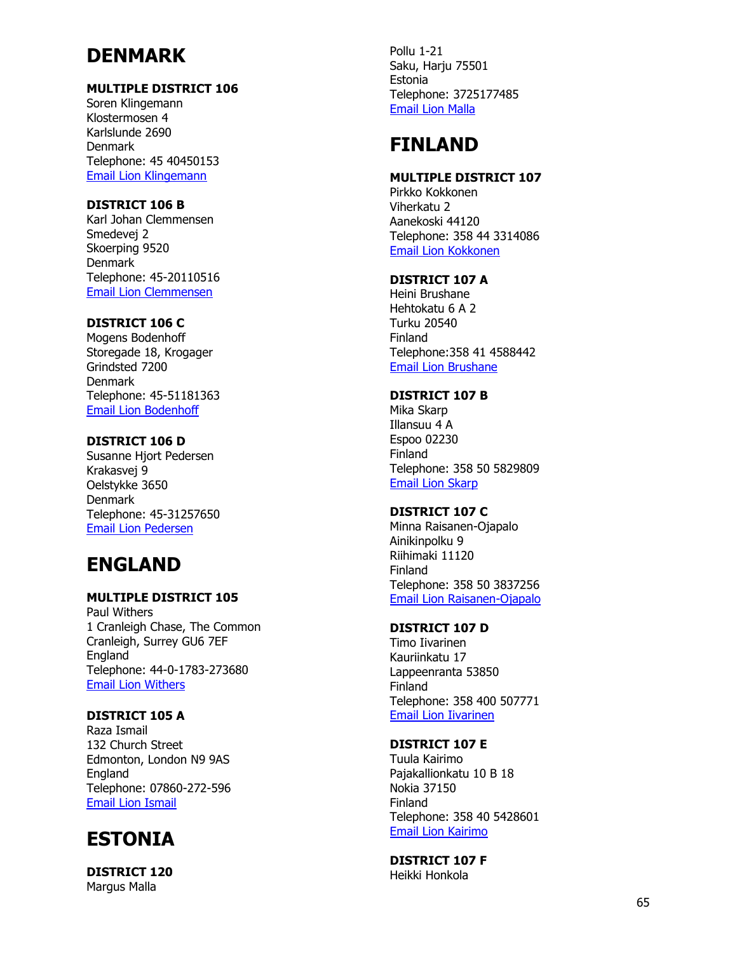# **DENMARK**

## **MULTIPLE DISTRICT 106**

Soren Klingemann Klostermosen 4 Karlslunde 2690 Denmark Telephone: 45 40450153 [Email Lion Klingemann](mailto:Yced.md@lions.dk)

## **DISTRICT 106 B**

Karl Joh an Clemmensen Smedevej 2 Skoerping 9520 Denmark Telephone: 45 -20110516 [Email Lion Clemmensen](mailto:Ycec.b@lions.dk)

## **DISTRICT 106 C**

Mogens Bodenhoff Storegade 18, Krogager Grindsted 7200 Denmark Telephone: 45 -51181363 [Email Lion Bodenhoff](mailto:Ycec.c@lions.dk)

## **DISTRICT 106 D**

Susanne Hjort Pedersen Krakasvej 9 Oelstykke 3650 Denmark Telephone: 45 -31257650 [Email Lion Pedersen](mailto:Ycec.d@lions.dk)

## **ENGLAND**

## **MULTIPLE DISTRICT 105**

Paul Withers 1 Cranleigh Chase, The Commo n Cranleigh, Surrey GU6 7EF **England** Telephone: 44 - 0 -1783 -273680 [Email Lion Withers](mailto:lionpaulwithers@msn.com)

## **DISTRICT 105 A**

Raza Ismail 132 Church Street Edmonton, London N9 9AS England Telephone: 07860 -272 -596 [Email Lion Ismail](mailto:Lionraza132@yahoo.co.uk)

# **ESTONIA**

**DISTRICT 120** Margus Malla

Pollu 1 -21 Saku, Harju 75501 Estonia Telephone: 3725177485 [Email Lion Malla](mailto:margus@kaidukorraldaja.ee)

# **FINLAND**

## **MULTIPLE DISTRICT 107**

Pirkko Kokkonen Viherkatu 2 Aanekoski 44120 Telephone: 358 44 3314086 [Email Lion Kokkonen](mailto:Pirkko.kokkonen@lions.fi)

## **DISTRICT 107 A**

Heini Brushane Hehtokatu 6 A 2 Turku 20540 Finland Telephone:358 41 4588442 [Email Lion Brushane](mailto:Heini.brushane@lions.fi)

## **DISTRICT 107 B**

Mika Skarp Illansuu 4 A Espoo 02230 Finland Telephone: 358 50 5829809 [Email Lion Skarp](mailto:Mika.skarp@lions.fi)

## **DISTRICT 107 C**

Minna Raisanen -Ojapalo Ainikinpolku 9 Riihimaki 11120 Finland Telephone: 358 50 3837256 [Email Lion Raisanen](mailto:Minna.raisnanen-ojapalo@outlook.com) -Ojapalo

## **DISTRICT 107 D**

Timo Iivarinen Kauriinkatu 17 Lappeenranta 53850 Finland Telephone: 358 400 507771 [Email Lion](mailto:Time.iivarinen@lions.fi) Iivarinen

## **DISTRICT 107 E**

Tuula Kairimo Pajakallionkatu 10 B 18 Nokia 37150 Finland Telephone: 358 40 5428601 [Email Lion Kairimo](mailto:Tuula.kairimo@lions.fi)

## **DISTRICT 107 F**

Heikki Honkola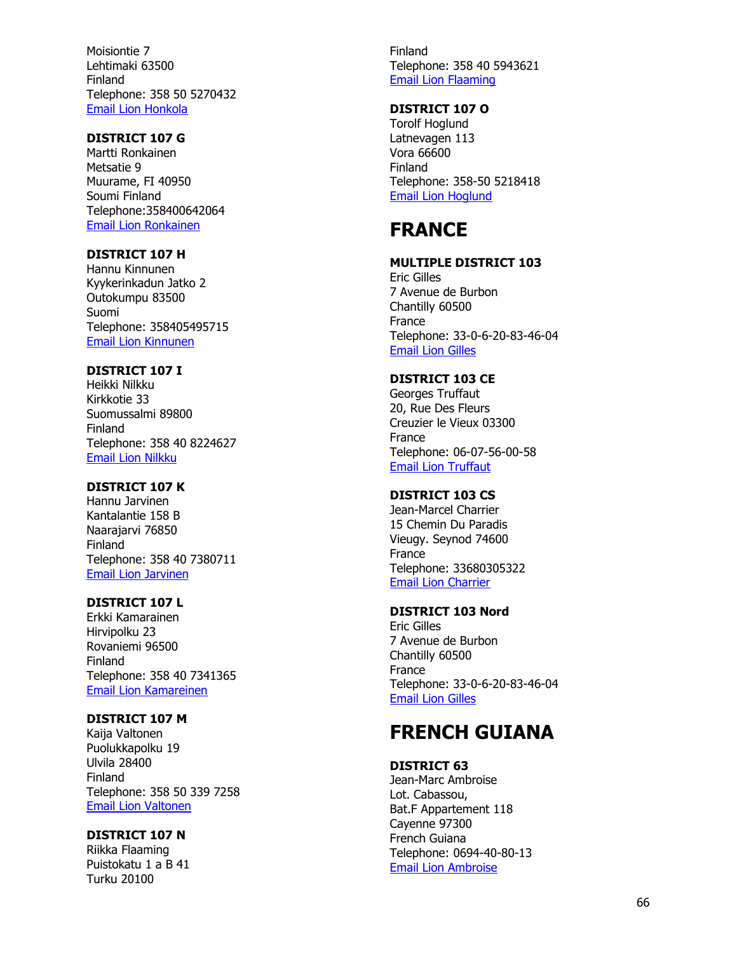Moisiontie 7 Lehtimaki 63500 Finland Telephone: 358 50 5270432 [Email Lion Honkola](mailto:hhonkola@msn.com)

## **DISTRICT 107 G**

Martti Ronkainen Metsatie 9 Muurame, FI 40950 Soumi Finland Telephone:358400642064 [Email Lion Ronkainen](mailto:Martti.ronkainen@lions.fi)

## **DISTRICT 107 H**

Hannu Kinnunen Kyykerinkadun Jatko 2 Outokumpu 83500 Suomi Telephone: 358405495715 [Email Lion Kinnunen](mailto:Hannu.kinnunen@lions.fi)

## **DISTRICT 107 I**

Heikki Nilkku Kirkkotie 33 Suomussalmi 89800 Finland Telephone: 358 40 8224627 [Email Lion Nilkku](mailto:Heikki.nilkku@edu.suomussalmi.fi)

## **DISTRICT 107 K**

Hannu Jarvinen Kantalantie 158 B Naarajarvi 76850 Finland Telephone: 358 40 7380711 [Email Lion Jarvinen](mailto:Hande.jarvinen@gmail.com)

## **DISTRICT 107 L**

Erkki Kamarainen Hirvipolku 23 Rovaniemi 96500 Finland Telephone: 358 40 7341365 [Email Lion Kamareinen](mailto:Erkki.kamarainen@pp.inet.fi)

## **DISTRICT 107 M**

Kaija Valtonen Puolukkapolku 19 Ulvila 28400 Finland Telephone: 358 50 339 7258 [Email Lion Valtonen](mailto:Kaija.valtonen@lions.fi)

#### **DISTRICT 107 N**

Riikka Flaaming Puistokatu 1 a B 41 Turku 20100

Finland Telephone: 358 40 5943621 [Email Lion Flaaming](mailto:Riikka.flaaming@lions.fi)

## **DISTRICT 107 O**

Torolf Hoglund Latnevagen 113 Vora 66600 Finland Telephone: 358 -50 5218418 [Email Lion Hoglund](mailto:torolfhoglund@netikka.fi)

# **FRANCE**

## **MULTIPLE DISTRICT 103**

Eric Gilles 7 Avenue de Burbon Chantilly 60500 France Telephone: 33 - 0 - 6 -20 -83 -46 -04 [Email Lion Gilles](mailto:Ericgilles23@sfr.fr)

## **DISTRICT 103 CE**

Georges Truffaut 20, Rue Des Fleurs Creuzier le Vieux 03300 France Telephone: 06 -07 -56 -00 -58 [Email Lion Truffaut](mailto:Georges.truffaut@wanadoo.fr)

## **DISTRICT 103 CS**

Jean -Marcel Charrier 15 Chemin Du Paradis Vieugy. Seynod 74600 **France** Telephone: 33680305322 [Email Lion Charrier](mailto:jmcharrier@charrier.fr)

## **DISTRICT 103 Nord**

Eric Gilles 7 Avenue de Burbon Chantilly 60500 France Telephone: 33 - 0 - 6 -20 -83 -46 -04 [Email Lion Gilles](mailto:Ericgilles23@sfr.fr)

## **FRENCH GUIANA**

#### **DISTRICT 63**

Jean -Marc Ambroise Lot. Cabassou, Bat.F Appartement 118 Cayenne 97300 French Guiana Telephone: 0694-40-80-13 [Email Lion Ambroise](mailto:ambroisejeanmarc24@yahoo.fr)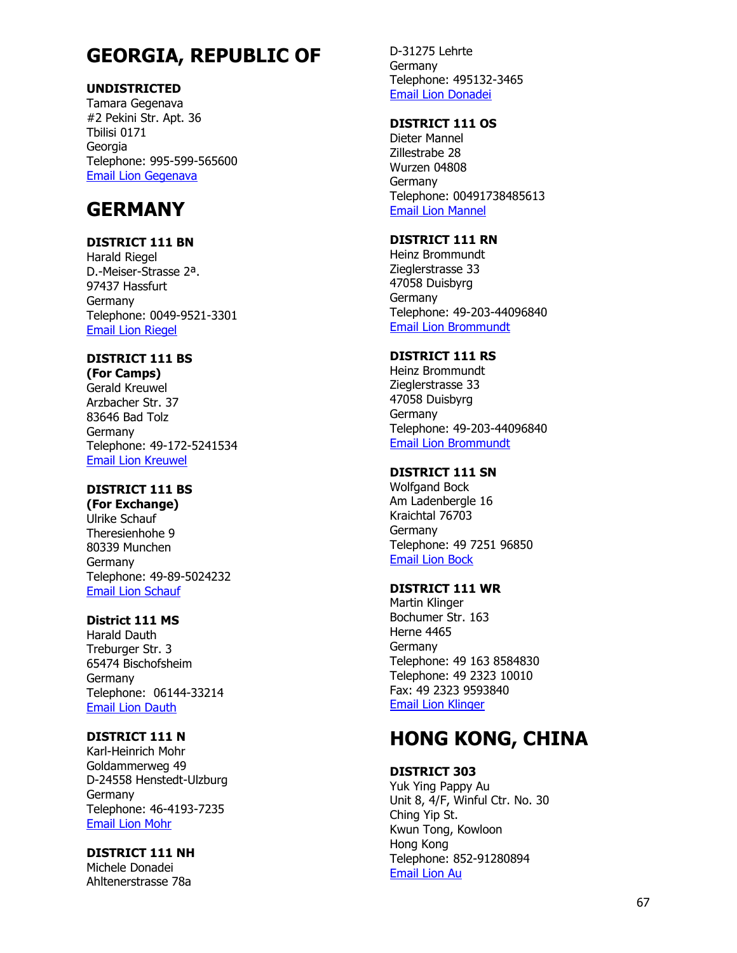# **GEORGIA, REPUBLIC OF**

## **UNDISTRICTED**

Tamara Gegenava #2 Pekini Str. Apt. 36 Tbilisi 0171 Georgia Telephone: 995 -599 -565600 [Email Lion Gegenava](mailto:lions_tgegenava@yahoo.com)

## **GERMANY**

## **DISTRICT 111 BN**

Harald Riegel D. -Meiser -Strasse 2ª. 97437 Hassfurt Germany Telephone: 0049 -9521 -3301 [Email Lion Riegel](mailto:Herald.riegel@gmail.com)

## **DISTRICT 111 BS**

**(For Camps)** Gerald Kreuwel Arzbacher Str. 37 83646 Bad Tolz **Germany** Telephone: 49 -172 -5241534 [Email Lion Kreuwel](mailto:Gerald.kreuwel@lions-bayern-sued.de)

## **DISTRICT 111 BS**

**(For Exchange)** Ulrike Schauf Theresienhohe 9 80339 Munchen Germany Telephone: 49 -89 -5024232 [Email Lion Schauf](mailto:Ulrike.schauf@lions-bayern-sued.de)

## **District 111 MS**

Haral d Dauth Treburger Str. 3 65474 Bischofsheim Germany Telephone: 06144 -33214 [Email Lion Dauth](mailto:Harald.dauth@googlemail.com)

## **DISTRICT 111 N**

Karl -Heinrich Mohr Goldammerweg 49 D-24558 Henstedt-Ulzburg Germany Telephone: 46 -4193 -723 5 [Email Lion Mohr](mailto:kia@111n.de)

## **DISTRICT 111 NH**

Michele Donadei Ahltenerstrasse 78a

D -31275 Lehrte Germany Telephone: 495132 -3465 [Email Lion Donadei](mailto:ginosa@live.de)

## **DISTRICT 111 OS**

Dieter Mannel Zillestrabe 28 Wurzen 04808 Germany Telephone: 00491738485613 [Email Lion Mannel](mailto:k.d.mannel@online.de)

## **DISTRICT 111 RN**

Heinz Brommundt Zieglerstrasse 33 47058 Duisbyrg **Germany** Telephone: 49 -203 -44096840 Email [Lion Brommundt](mailto:heinzb@brommundt.com)

## **DISTRICT 111 RS**

Heinz Brommundt Zieglerstrasse 33 47058 Duisbyrg **Germany** Telephone: 49 -203 -44096840 [Email Lion Brommundt](mailto:heinzb@brommundt.com)

## **DISTRICT 111 SN**

Wolfgand Bock Am Ladenbergle 16 Kraichtal 76703 Germany Telephone: 49 7251 96850 [Email Lion Bock](mailto:Wolfgang-bock@t-online.de)

## **DISTRICT 111 WR**

Martin Klinger Bochumer Str. 163 Herne 4465 Germany Telephone: 49 163 8584830 Telephone: 49 2323 10010 Fax: 49 2323 9593840 [Email Lion Klinger](mailto:klinger-mail@t-online.de)

# **HONG KONG, CHINA**

## **DISTRICT 303**

Yuk Ying Pappy Au Unit 8, 4/F, Winful Ctr. No. 30 Ching Yip St. Kwun Tong, Kowloon Hong Kong Telephone: 852 -91280894 [Email Lion](mailto:%20youthexchange2015@gmail.com) Au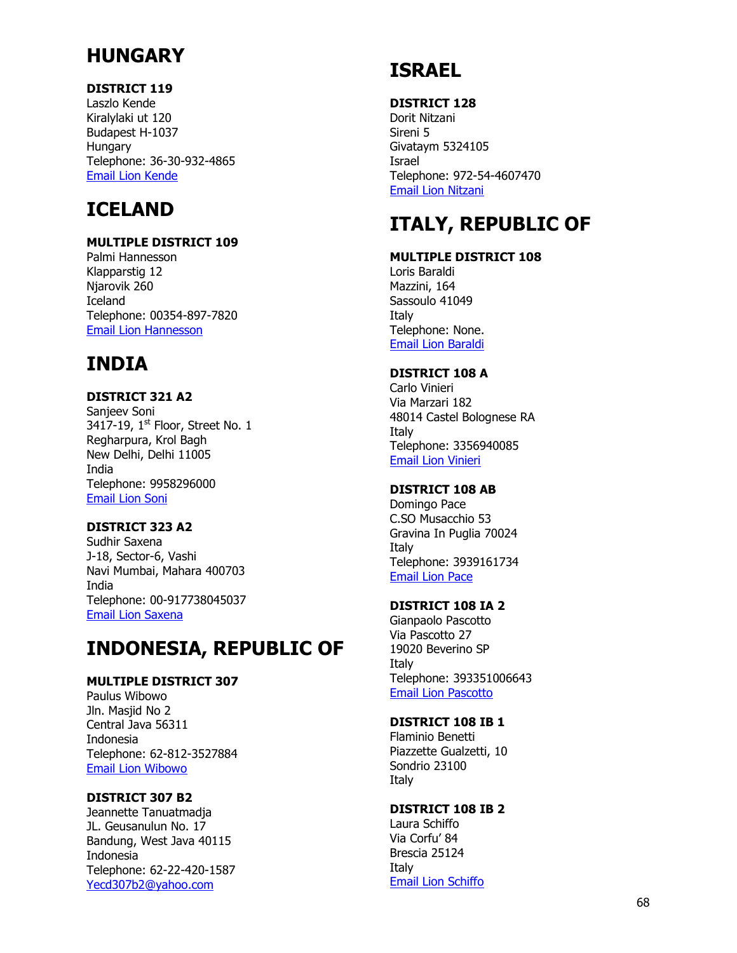# **HUNGARY**

## **DISTRICT 119**

Laszlo Kende Kiralylaki ut 120 Budapest H-1037 **Hungary** Telephone: 36-30-932-4865 [Email Lion Kende](mailto:Kende-laszlo@t-online.hu)

# **ICELAND**

## **MULTIPLE DISTRICT 109**

Palmi Hannesson Klapparstig 12 Njarovik 260 Iceland Telephone: 00354-897-7820 [Email Lion Hannesson](mailto:palmiha@simnet.is)

# **INDIA**

## **DISTRICT 321 A2**

Sanjeev Soni 3417-19,  $1<sup>st</sup>$  Floor, Street No. 1 Regharpura, Krol Bagh New Delhi, Delhi 11005 India Telephone: 9958296000 [Email Lion Soni](mailto:Sanjeev007soni@gmail.com)

## **DISTRICT 323 A2**

Sudhir Saxena J-18, Sector-6, Vashi Navi Mumbai, Mahara 400703 India Telephone: 00-917738045037 [Email Lion Saxena](mailto:Sudh_blast@yahoo.co.in)

# **INDONESIA, REPUBLIC OF**

## **MULTIPLE DISTRICT 307**

Paulus Wibowo Jln. Masjid No 2 Central Java 56311 Indonesia Telephone: 62-812-3527884 [Email Lion Wibowo](mailto:%20ppwibowo@yahoo.com)

## **DISTRICT 307 B2**

Jeannette Tanuatmadja JL. Geusanulun No. 17 Bandung, West Java 40115 Indonesia Telephone: 62-22-420-1587 [Yecd307b2@yahoo.com](mailto:Yecd307b2@yahoo.com)

# **ISRAEL**

## **DISTRICT 128**

Dorit Nitzani Sireni 5 Givataym 5324105 Israel Telephone: 972-54-4607470 [Email Lion Nitzani](mailto:Nit_chen@netvision.net.il)

# **ITALY, REPUBLIC OF**

## **MULTIPLE DISTRICT 108**

Loris Baraldi Mazzini, 164 Sassoulo 41049 Italy Telephone: None. [Email Lion Baraldi](mailto:lorisbaraldi@gmail.com)

## **DISTRICT 108 A**

Carlo Vinieri Via Marzari 182 48014 Castel Bolognese RA Italy Telephone: 3356940085 [Email Lion Vinieri](mailto:cvinieri@libero.it)

## **DISTRICT 108 AB**

Domingo Pace C.SO Musacchio 53 Gravina In Puglia 70024 Italy Telephone: 3939161734 [Email Lion Pace](mailto:ingdomingopace@gmail.com)

## **DISTRICT 108 IA 2**

Gianpaolo Pascotto Via Pascotto 27 19020 Beverino SP Italy Telephone: 393351006643 [Email Lion Pascotto](mailto:g.pascotto@integrazlone.blz)

## **DISTRICT 108 IB 1**

Flaminio Benetti Piazzette Gualzetti, 10 Sondrio 23100 Italy

## **DISTRICT 108 IB 2**

Laura Schiffo Via Corfu' 84 Brescia 25124 Italy [Email Lion Schiffo](mailto:studiolegalelsgm@interfree.it)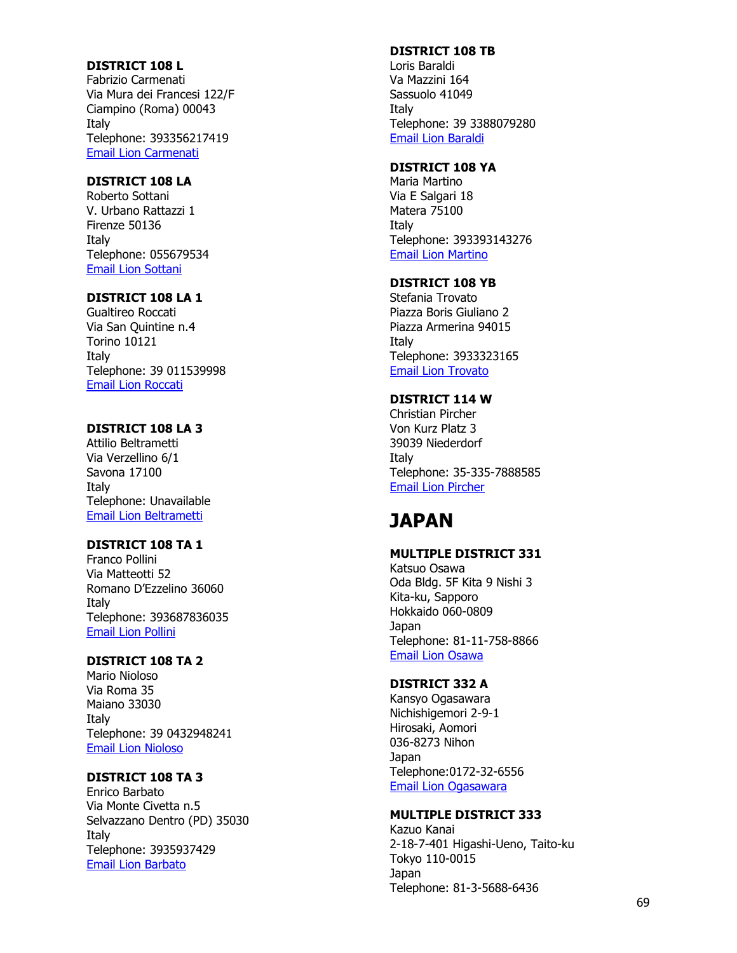#### **DISTRICT 108 L**

Fabrizio Carmenati Via Mura dei Francesi 122/F Ciampino (Roma) 00043 Italy Telephone: 393356217419 [Email Lion Carmenati](mailto:fabrizio@carmenati.it)

## **DISTRICT 108 LA**

Roberto Sottani V. Urbano Rattazzi 1 Firenze 50136 Italy Telephone: 055679534 [Email Lion Sottani](mailto:sottani@alice.it)

## **DISTRICT 108 LA 1**

Gualtireo Roccati Via San Quintine n. 4 Torino 10121 Italy Telephone: 39 011539998 [Email Lion Roccati](mailto:gualtroc@tin.it)

#### **DISTRICT 108 LA 3**

Attilio Beltrametti Via Verzellino 6/1 Savona 17100 Italy Telephone: Unavailable [Email Lion Beltrametti](mailto:attilio@beltrametti.it)

## **DISTRICT 108 TA 1**

Franco Pollini Via Matteotti 52 Romano D'Ezzelino 36060 Italy Telephone: 393687836035 [Email Lion Pollini](mailto:carlottagiolai60@hotmail.com) 

## **DISTRICT 108 TA 2**

Mario Nioloso Via Roma 35 Maiano 33030 Italy Telephone: 39 0432948241 [Email Lion Nioloso](mailto:marionicoloso@alice.it)

## **DISTRICT 108 TA 3**

Enrico Barbato Via Monte Civetta n.5 Selvazzano Dentro (PD) 35030 Italy Telephone: 3935937429 [Email Lion Barbato](mailto:avvbarbatoe@interfree.it)

## **DISTRICT 108 TB**

Loris Baraldi Va Mazzini 164 Sassuolo 41049 Italy Telephone: 39 3388079280 [Email Lion Baraldi](mailto:lorisbaraldi@gamil.com)

## **DISTRICT 108 YA**

Maria Martino Via E Salgari 18 Matera 75100 Italy Telephone: 393393143276 [Email Lion Martino](mailto:Martino.maria@gmail.com)

#### **DISTRICT 108 YB**

Stefania Trovato Piazza Boris Giuliano 2 Piazza Armerina 94015 Italy Telephone: 3933323165 [Email Lion Trovato](mailto:acordaro2@alice.irt)

## **DISTRICT 114 W**

Christian Pircher Von Kurz Platz 3 39039 Niederdorf Italy Telephone: 35 -335 -7888585 [Email Lion Pircher](mailto:Yce.114w@lions.at)

## **JAPAN**

### **MULTIPLE DISTRICT 331**

Katsuo Osawa Oda Bldg. 5F Kita 9 Nishi 3 Kita -ku, Sapporo Hokkaido 060 -0809 Japan Telephone: 81 -11 -758 -8866 [Email Lion Osawa](mailto:Md331@ruby.ocn.ne.jp)

## **DISTRICT 332 A**

Kansyo Ogasawara Nichishigemori 2 - 9 - 1 Hirosaki, Aomori 036 -8273 Nihon Japan Telephone:0172 -32 -6556 [Email Lion Ogasawara](mailto:Ayano3@seagreen.ocn.ne.jp)

## **MULTIPLE DISTRICT 333**

Kazuo Kanai 2-18-7-401 Higashi -Ueno, Taito -ku Tokyo 110 -0015 Japan Telephone: 81 - 3 -5688 -6436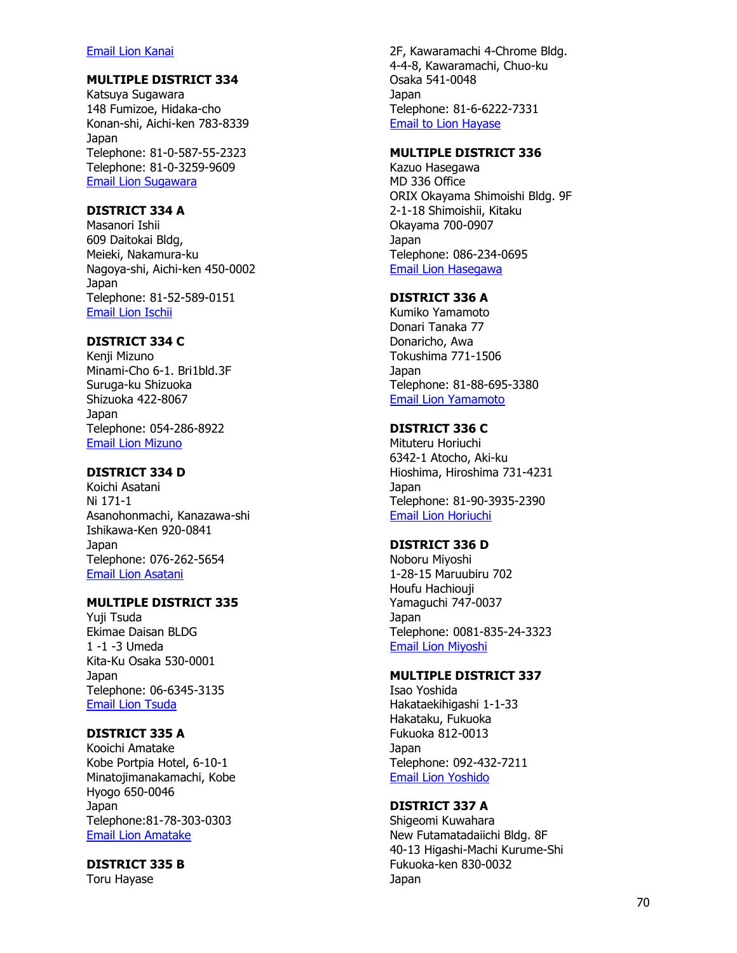#### [Email Lion Kanai](mailto:Md333@nifty.com)

## **MULTIPLE DISTRICT 334**

Katsuya Sugawara 148 Fumizoe, Hidaka-cho Konan-shi, Aichi-ken 783-8339 Japan Telephone: 81 - 0 -587 -55 -2323 Telephone: 81 - 0 -3259 -9609 [Email Lion Sugawara](mailto:Union-kiki@mui.biglobe.ne.jp)

## **DISTRICT 334 A**

Masanori Ishii 609 Daitokai Bldg, Meieki, Nakamura -ku Nagoya-shi, Aichi-ken 450-0002 Japan Telephone: 81 -52 -589 -0151 [Email Lion Ischii](mailto:cabinet@lc334a.gr.jp)

## **DISTRICT 334 C**

Kenji Mizuno Minami -Cho 6 -1. Bri1bld.3F Suruga -ku Shizuoka Shizuoka 422 -8067 Japan Telephone: 054 -286 -8922 [Email Lion Mizuno](mailto:webmaster-yce@lions334-c.org)

## **DISTRICT 334 D**

Koichi Asatani Ni 171 -1 Asanohonmachi, Kanazawa -shi Ishikawa -Ken 920 -0841 Japan Telephone: 076 -262 -5654 [Email Lion Asatani](mailto:kouichi@bkt.jp)

## **MULTIPLE DISTRICT 335**

Yuji Tsuda Ekimae Daisan BLDG 1 -1 -3 Umeda Kita -Ku Osaka 530 -0001 Japan Telephone: 06 -6345 -3135 [Email Lion Tsuda](mailto:Md335@lionsclubs.gr.jp)

## **DISTRICT 335 A**

Kooichi Amatake Kobe Portpia Hotel, 6 -10 - 1 Minatojimanakamachi, Kobe Hyogo 650 -0046 Japan Telephone:81 -78 -303 -0303 [Email Lion Amatake](mailto:Cabinet335a@lc335a.gr.jp)

#### **DISTRICT 335 B**

Toru Hayase

2F, Kawaramachi 4 -Chrome Bldg. 4 - 4 -8, Kawaramachi, Chuo -ku Osaka 541 -0048 Japan Telephone: 81 - 6 -6222 -7331 [Email to Lion Hayase](mailto:ye@lc335b.gr.jp)

## **MULTIPLE DISTRICT 336**

Kazuo Hasegawa MD 336 Office ORIX Okayama Shimoishi Bldg. 9F 2-1-18 Shimoishii, Kitaku Okayama 700 -0907 Japan Telephone: 086 -234 -0695 [Email Lion Hasegawa](mailto:yce@lions-md336.org)

### **DISTRICT 336 A**

Kumiko Yamamoto Donari T anaka 77 Donaricho, Awa Tokushima 771 -1506 Japan Telephone: 81 -88 -695 -3380 [Email Lion Yamamoto](mailto:yamamoto@nihon-bio.jp)

#### **DISTRICT 336 C**

Mituteru Horiuchi 6342 -1 Atocho, Aki -ku Hioshima, Hiroshima 731 -4231 Japan Telephone: 81 -90 -3935 -2390 [Email Lion Horiuchi](mailto:hokennsennta-higasihirosima@nifty.com)

#### **DISTRICT 336 D**

Noboru Miyoshi 1-28-15 Maruubiru 702 Houfu Hachiouji Yamaguchi 747 -0037 Japan Telephone: 0081 -835 -24 -3323 [Email Lion Miyoshi](mailto:Izk07515@nifty.ne.jp)

### **MULTIPLE DISTRICT 337**

Isao Yoshida Hakataekihigashi 1 - 1 -33 Hakataku, Fukuoka Fukuoka 812 -0013 Japan Telephone: 092 -432 -7211 [Email Lion Yoshido](mailto:Md337@ceres.ocn.ne.jp)

#### **DISTRICT 337 A**

Shigeomi Kuwahara New Futamatadaiichi Bldg. 8F 40 -13 Higashi -Machi Kurume -Shi Fukuoka -ken 830 -0032 Japan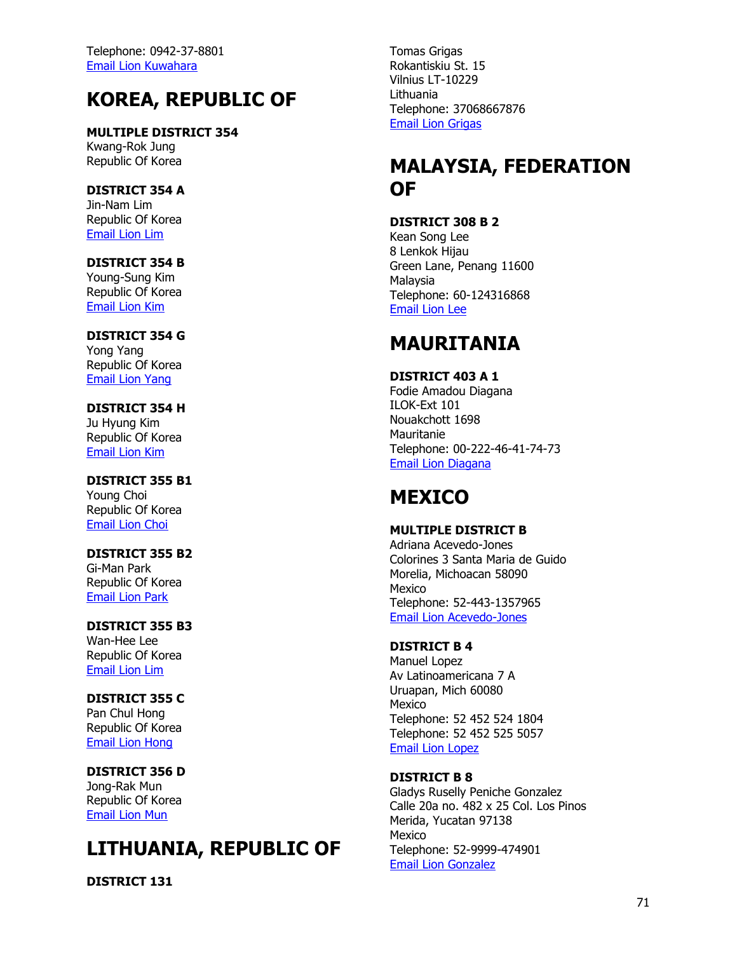Telephone: 0942-37-8801 [Email Lion Kuwahara](mailto:Lions337a@mx3.tiki.ne.jp)

# **KOREA, REPUBLIC OF**

**MULTIPLE DISTRICT 354** Kwang-Rok Jung Republic Of Korea

**DISTRICT 354 A** Jin-Nam Lim Republic Of Korea [Email Lion Lim](mailto:master@lionsclub354a.org)

#### **DISTRICT 354 B** Young-Sung Kim Republic Of Korea [Email Lion Kim](mailto:dist354b@hanmail.net)

**DISTRICT 354 G** Yong Yang Republic Of Korea [Email Lion Yang](mailto:lions354g@naver.com)

**DISTRICT 354 H** Ju Hyung Kim Republic Of Korea [Email Lion Kim](mailto:dist354h@hanmail.net)

**DISTRICT 355 B1** Young Choi Republic Of Korea [Email Lion Choi](mailto:355b1@hanmail.net)

**DISTRICT 355 B2** Gi-Man Park Republic Of Korea [Email Lion Park](mailto:lions355b2@hanmail.net)

**DISTRICT 355 B3** Wan-Hee Lee Republic Of Korea [Email Lion Lim](mailto:lions@lions355-b3.kr)

**DISTRICT 355 C** Pan Chul Hong Republic Of Korea [Email Lion Hong](mailto:lions355c@hanmail.net)

**DISTRICT 356 D** Jong-Rak Mun Republic Of Korea [Email Lion Mun](mailto:356-d@hanmail.net)

# **LITHUANIA, REPUBLIC OF**

**DISTRICT 131**

Tomas Grigas Rokantiskiu St. 15 Vilnius LT-10229 Lithuania Telephone: 37068667876 [Email Lion Grigas](mailto:yce@lionsclubs.lt)

# **MALAYSIA, FEDERATION OF**

## **DISTRICT 308 B 2**

Kean Song Lee 8 Lenkok Hijau Green Lane, Penang 11600 Malaysia Telephone: 60-124316868 [Email Lion Lee](mailto:Yce308b2@gmail.com)

# **MAURITANIA**

**DISTRICT 403 A 1** Fodie Amadou Diagana

ILOK-Ext 101 Nouakchott 1698 Mauritanie Telephone: 00-222-46-41-74-73 [Email Lion Diagana](mailto:fodiediagana@yahoo.fr)

# **MEXICO**

## **MULTIPLE DISTRICT B**

Adriana Acevedo-Jones Colorines 3 Santa Maria de Guido Morelia, Michoacan 58090 Mexico Telephone: 52-443-1357965 [Email Lion Acevedo-Jones](mailto:lionsmexicoye@hotmail.com)

## **DISTRICT B 4**

Manuel Lopez Av Latinoamericana 7 A Uruapan, Mich 60080 Mexico Telephone: 52 452 524 1804 Telephone: 52 452 525 5057 [Email Lion Lopez](mailto:viajescupaseo@prodigy.net.mx)

## **DISTRICT B 8**

Gladys Ruselly Peniche Gonzalez Calle 20a no. 482 x 25 Col. Los Pinos Merida, Yucatan 97138 Mexico Telephone: 52-9999-474901 [Email Lion Gonzalez](mailto:Eduglad.cem@hotmail.com)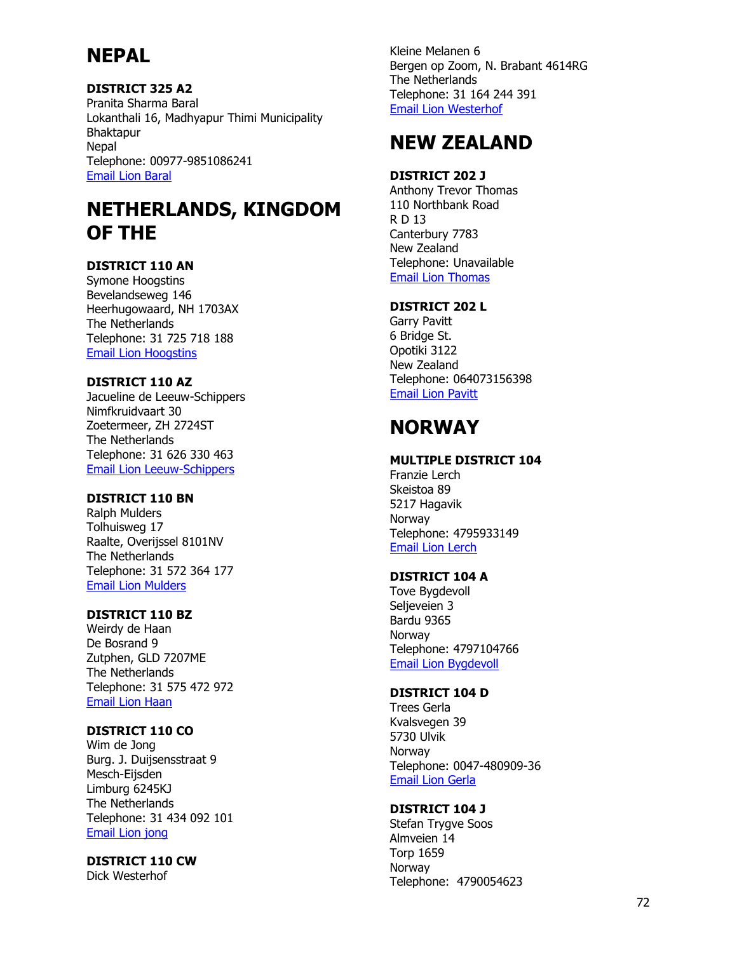# **NEPAL**

## **DISTRICT 325 A2**

Pranita Sharma Baral Lokanthali 16, Madhyapur Thimi Municipality Bhaktapur Nepal Telephone: 00977-9851086241 [Email Lion Baral](mailto:Psbaral1248@gmail.com)

# **NETHERLANDS, KINGDOM OF THE**

## **DISTRICT 110 AN**

Symone Hoogstins Bevelandseweg 146 Heerhugowaard, NH 1703AX The Netherlands Telephone: 31 725 718 188 [Email Lion Hoogstins](mailto:symone@hoogstinstravel.nl)

## **DISTRICT 110 AZ**

Jacueline de Leeuw-Schippers Nimfkruidvaart 30 Zoetermeer, ZH 2724ST The Netherlands Telephone: 31 626 330 463 [Email Lion Leeuw-Schippers](mailto:Leeuw.lions@gmail.com)

## **DISTRICT 110 BN**

Ralph Mulders Tolhuisweg 17 Raalte, Overijssel 8101NV The Netherlands Telephone: 31 572 364 177 [Email Lion Mulders](mailto:Venemans.mulders@hccnet.nl)

## **DISTRICT 110 BZ**

Weirdy de Haan De Bosrand 9 Zutphen, GLD 7207ME The Netherlands Telephone: 31 575 472 972 [Email Lion Haan](mailto:w.dehaan@me.com)

## **DISTRICT 110 CO**

Wim de Jong Burg. J. Duijsensstraat 9 Mesch-Eijsden Limburg 6245KJ The Netherlands Telephone: 31 434 092 101 [Email Lion jong](mailto:Wim.de.jong1@home.nl)

## **DISTRICT 110 CW**

Dick Westerhof

Kleine Melanen 6 Bergen op Zoom, N. Brabant 4614RG The Netherlands Telephone: 31 164 244 391 [Email Lion Westerhof](mailto:denlwesterhof@home.nl)

# **NEW ZEALAND**

## **DISTRICT 202 J**

Anthony Trevor Thomas 110 Northbank Road R D 13 Canterbury 7783 New Zealand Telephone: Unavailable [Email Lion Thomas](mailto:at.sa.thomas@xtra.co.nz)

## **DISTRICT 202 L**

Garry Pavitt 6 Bridge St. Opotiki 3122 New Zealand Telephone: 064073156398 [Email Lion Pavitt](mailto:gpavitt@xtra.co.nz)

# **NORWAY**

## **MULTIPLE DISTRICT 104**

Franzie Lerch Skeistoa 89 5217 Hagavik Norway Telephone: 4795933149 [Email Lion Lerch](mailto:franzie.lerch@bkkfiber.no)

## **DISTRICT 104 A**

Tove Bygdevoll Seljeveien 3 Bardu 9365 Norway Telephone: 4797104766 [Email Lion Bygdevoll](mailto:ycea@lions.no)

## **DISTRICT 104 D**

Trees Gerla Kvalsvegen 39 5730 Ulvik **Norway** Telephone: 0047-480909-36 [Email Lion Gerla](mailto:Trees.gerla@ulvik.org)

## **DISTRICT 104 J**

Stefan Trygve Soos Almveien 14 Torp 1659 Norway Telephone: 4790054623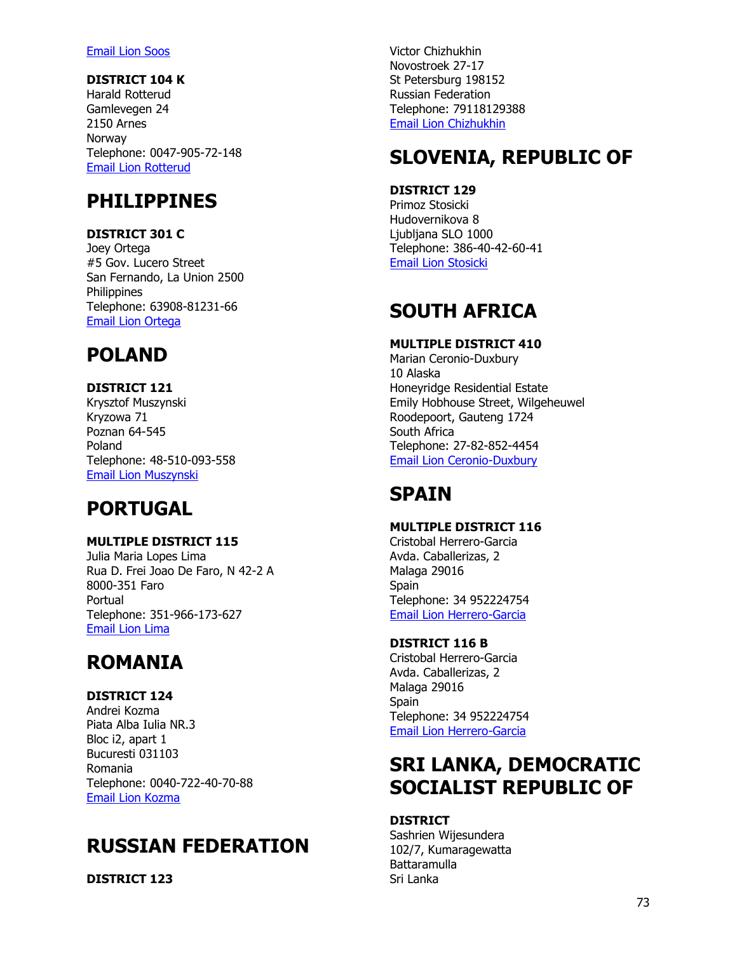#### [Email Lion Soos](mailto:stefan.soos@getmail.no)

## **DISTRICT 104 K**

Harald Rotterud Gamlevegen 24 2150 Arnes Norway Telephone: 0047-905-72-148 [Email Lion Rotterud](mailto:har.tor@online.no)

# **PHILIPPINES**

## **DISTRICT 301 C**

Joey Ortega #5 Gov. Lucero Street San Fernando, La Union 2500 **Philippines** Telephone: 63908-81231-66 [Email Lion Ortega](mailto:jortegahk@yahoo.com)

# **POLAND**

## **DISTRICT 121**

Krysztof Muszynski Kryzowa 71 Poznan 64-545 Poland Telephone: 48-510-093-558 [Email Lion Muszynski](mailto:k.muszynski@lions.org.pl)

# **PORTUGAL**

## **MULTIPLE DISTRICT 115**

Julia Maria Lopes Lima Rua D. Frei Joao De Faro, N 42-2 A 8000-351 Faro Portual Telephone: 351-966-173-627 [Email Lion Lima](mailto:julialopeslima@gmail.com)

# **ROMANIA**

## **DISTRICT 124**

Andrei Kozma Piata Alba Iulia NR.3 Bloc i2, apart 1 Bucuresti 031103 Romania Telephone: 0040-722-40-70-88 [Email Lion Kozma](mailto:dr.ka.mailbox@gmail.com)

# **RUSSIAN FEDERATION**

**DISTRICT 123**

Victor Chizhukhin Novostroek 27-17 St Petersburg 198152 Russian Federation Telephone: 79118129388 [Email Lion Chizhukhin](mailto:chizhukhin@msn.com)

# **SLOVENIA, REPUBLIC OF**

## **DISTRICT 129**

Primoz Stosicki Hudovernikova 8 Ljubljana SLO 1000 Telephone: 386-40-42-60-41 [Email Lion Stosicki](mailto:Lions.ye.slovenia@gmail.com)

# **SOUTH AFRICA**

## **MULTIPLE DISTRICT 410**

Marian Ceronio-Duxbury 10 Alaska Honeyridge Residential Estate Emily Hobhouse Street, Wilgeheuwel Roodepoort, Gauteng 1724 South Africa Telephone: 27-82-852-4454 [Email Lion Ceronio-Duxbury](mailto:Marian.ceronio-duxbury@kpmg.co.za)

# **SPAIN**

## **MULTIPLE DISTRICT 116**

Cristobal Herrero-Garcia Avda. Caballerizas, 2 Malaga 29016 Spain Telephone: 34 952224754 [Email Lion Herrero-Garcia](mailto:lions@arquired.es)

## **DISTRICT 116 B**

Cristobal Herrero-Garcia Avda. Caballerizas, 2 Malaga 29016 **Spain** Telephone: 34 952224754 [Email Lion Herrero-Garcia](mailto:lions@arquired.es)

# **SRI LANKA, DEMOCRATIC SOCIALIST REPUBLIC OF**

## **DISTRICT**

Sashrien Wijesundera 102/7, Kumaragewatta Battaramulla Sri Lanka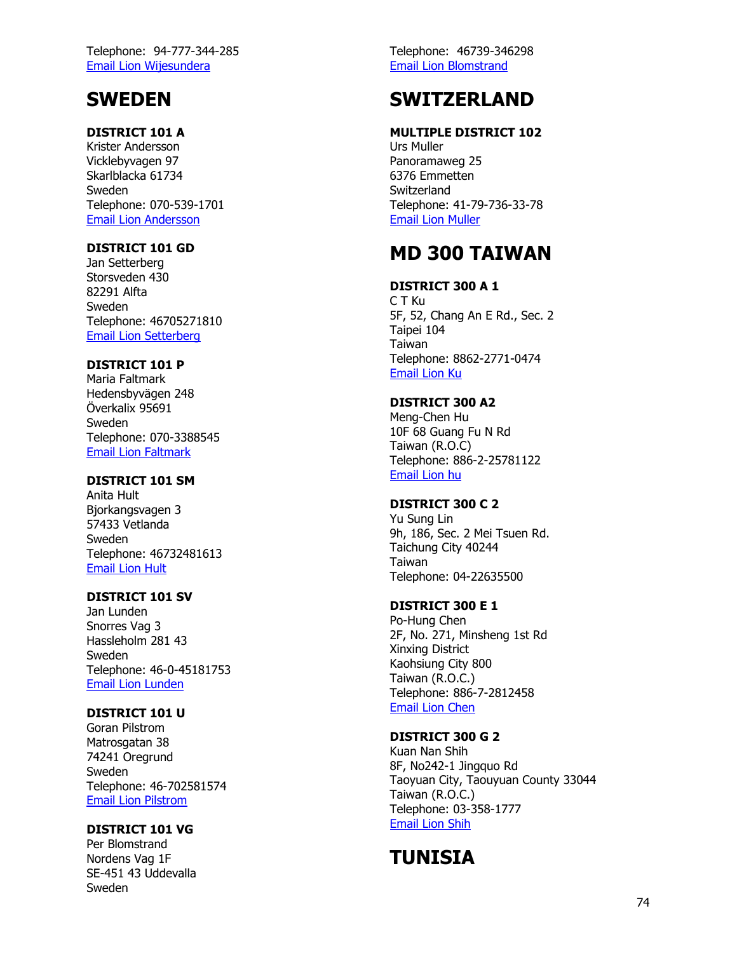Telephone: 94 -777 -344 -285 [Email Lion Wijesundera](mailto:manjubest@hotmail.com)

# **SWEDEN**

## **DISTRICT 101 A**

Krister Andersson Vicklebyvagen 97 Skarlblacka 61734 Sweden Telephone: 070 -539 -1701 [Email Lion Andersson](mailto:Kriander_97@hotmail.com)

## **DISTRICT 101 GD**

Jan Setterberg Storsveden 430 82291 Alfta Sweden Telephone: 46705271810 [Email Lion Setterberg](mailto:Janne.setterberg@gmail.com)

## **DISTRICT 101 P**

Maria Faltmark Hedensbyvägen 248 Överkalix 95691 Sweden Telephone: 070 -3388545 [Email Lion Faltmark](mailto:Maria.faltmark@telia.com)

### **DISTRICT 101 SM**

Anita Hult Bjorkangsvagen 3 57433 Vetlanda Sweden Telephone: 46732481613 [Email Lion Hult](mailto:Hult_anita@hotmail.com)

## **DISTRICT 101 SV**

Jan Lunden Snorres Vag 3 Hassleholm 281 43 Sweden Telephone: 46 - 0 -45181753 [Email Lion Lunden](mailto:Jan.o.lunden@telia.com)

## **DISTRICT 101 U**

Goran Pilstrom Matrosgatan 38 74241 Oregrund Sweden Telephone: 46 -702581574 [Email Lion Pilstrom](mailto:Pilstrom.mapi@telia.com)

## **DISTRICT 101 VG**

Per Blomstrand Nordens Vag 1F SE -451 43 Uddevalla Sweden

Telephone: 46739 -346298 [Email Lion Blomstrand](mailto:Per.blomstrand@gmail.com)

# **SWITZERLAND**

### **MULTIPLE DISTRICT 102**

Urs Muller Panoramaweg 25 6376 Emmetten **Switzerland** Telephone: 41 -79 -736 -33 -78 [Email Lion Muller](mailto:Urs.mueller@zurich-airport.com)

# **MD 300 TAIWAN**

### **DISTRICT 300 A 1**

C T Ku 5F, 52, Chang An E Rd., Sec. 2 Taipei 104 Taiwan Telephone: 8862 -2771 -0474 [Email Lion Ku](mailto:Lc300a1@ms42.hinet.net)

## **DISTRICT 300 A2**

Meng -Chen Hu 10F 68 Guang Fu N Rd Taiwan (R.O.C) Telephone: 886 - 2 -25781122 [Email Lion hu](mailto:Lci300a2@so-net.net.tw)

## **DISTRICT 300 C 2**

Yu Sung Lin 9h, 186, Sec. 2 Mei Tsuen Rd. Taichung City 40244 Taiwan Telephone: 04 -22635500

## **DISTRICT 300 E 1**

Po -Hung Chen 2F, No. 271, Minsheng 1st Rd Xinxing District Kaohsiung City 800 Taiwan (R.O.C.) Telephone: 886 - 7 -2812458 [Email Lion Chen](mailto:Lions.e1300@msa.hine.net)

## **DISTRICT 300 G 2**

Kuan Nan Shih 8F, No242 -1 Jingquo Rd Taoyuan City, Taouyuan County 33044 Taiwan (R.O.C.) Telephone: 03 -358 -1777 [Email Lion Shih](mailto:Bill_shihkuannan@yahoo.com.tw)

# **TUNISIA**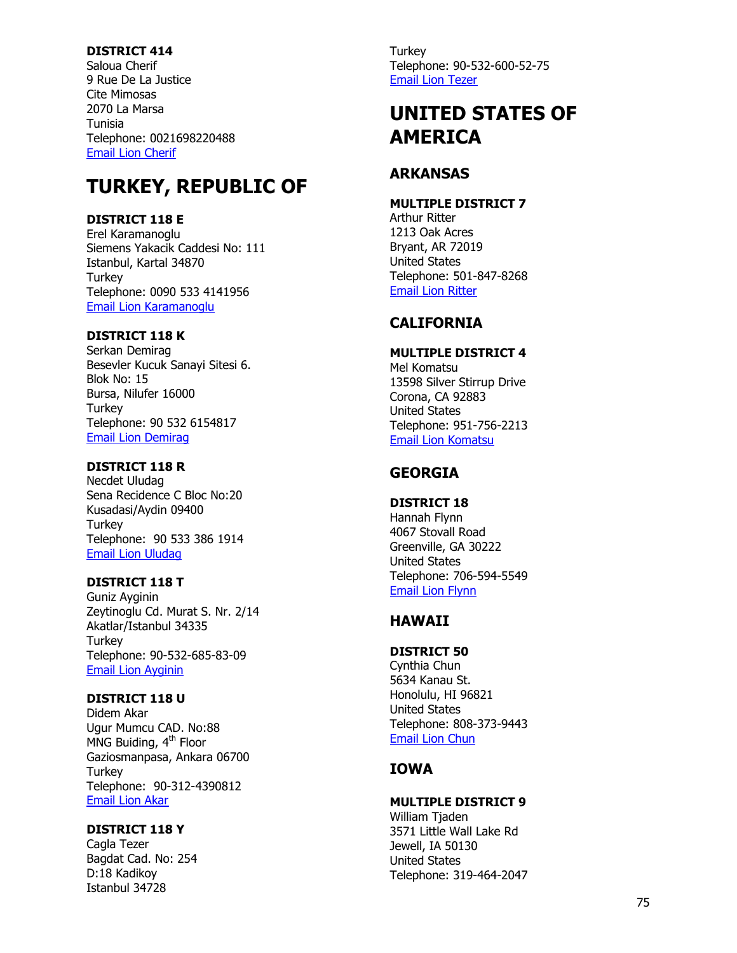#### **DISTRICT 414**

Saloua Cherif 9 Rue De La Justice Cite Mimosas 2070 La Marsa Tunisia Telephone: 0021698220488 [Email Lion Cherif](mailto:cherifsaloua@yahoo.fr)

# **TURKEY, REPUBLIC OF**

## **DISTRICT 118 E**

Erel Karamanoglu Siemens Yakacik Caddesi No: 111 Istanbul, Kartal 34870 **Turkey** Telephone: 0090 533 4141956 [Email Lion Karamanoglu](mailto:Erel.karamanoglu@siemens.com)

## **DISTRICT 118 K**

Serkan Demirag Besevler Kucuk Sanayi Sitesi 6. Blok No: 15 Bursa, Nilufer 16000 **Turkey** Telephone: 90 532 6154817 [Email Lion Demirag](mailto:serkangadkomitesi@gmail.com)

## **DISTRICT 118 R**

Necdet Uludag Sena Recidence C Bloc No:20 Kusadasi/Aydin 09400 **Turkey** Telephone: 90 533 386 1914 [Email Lion Uludag](mailto:necdet@lions118ryecturkey.com)

## **DISTRICT 118 T**

Guniz Ayginin Zeytinoglu Cd. Murat S. Nr. 2/14 Akatlar/Istanbul 34335 **Turkey** Telephone: 90 -532 -685 -83 -09 [Email Lion Ayginin](mailto:gayginin@aol.com)

## **DISTRICT 118 U**

Didem Akar Ugur Mumcu CAD. No:88 MNG Buiding, 4<sup>th</sup> Floor Gaziosmanpasa, Ankara 06700 **Turkey** Telephone: 90 -312 -4390812 [Email Lion Akar](mailto:didem_akar@yahoo.com)

### **DISTRICT 118 Y**

Cagla Tezer Bagdat Cad. No: 254 D:18 Kadikoy Istanbul 34728

**Turkey** Telephone: 90 -532 -600 -52 -75 [Email Lion Tezer](mailto:caglatezer@gmail.com)

# **UNITED STATES OF AMERICA**

## **ARKANSAS**

#### **MULTIPLE DISTRICT 7**

Arthur Ritter 1213 Oak Acres Bryant, AR 72019 United States Telephone: 501 -847 -8268 [Email Lion Ritter](mailto:arritter@ieee.org)

# **CALIFORNIA**

### **MULTIPLE DISTRICT 4**

Mel Komatsu 13598 Silver Stirrup Drive Corona, CA 92883 United States Telephone: 951 -756 -2213 [Email Lion Komatsu](mailto:mhk69@aol.com)

# **GEORGIA**

### **DISTRICT 18**

Hannah Flynn 4067 Stovall Road Greenville, GA 30222 United States Telephone: 706 -594 -5549 [Email Lion Flynn](mailto:Hannah.flynn@att.net)

# **HAWAII**

## **DISTRICT 50**

Cynthia Chun 5634 Kanau St. Honolulu, HI 96821 United States Telephone: 808 - 373 -9443 [Email Lion Chun](mailto:Ckychun47@gmail.com)

# **IOWA**

## **MULTIPLE DISTRICT 9**

William Tjaden 3571 Little Wall Lake Rd Jewell, IA 50130 United States Telephone: 319 -464 -2047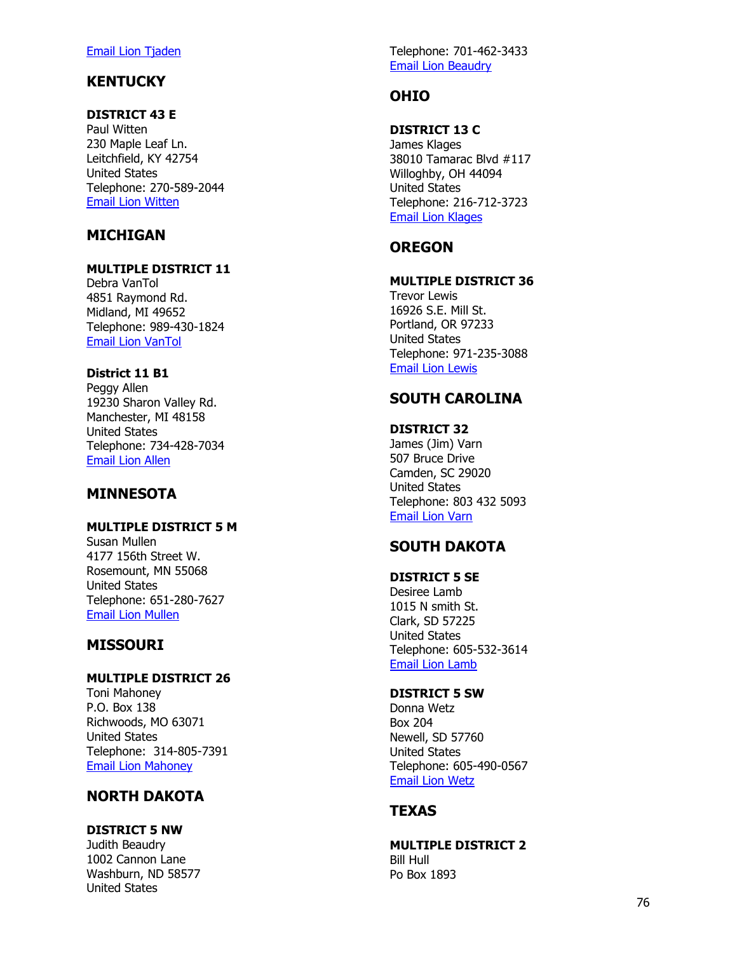#### [Email Lion Tjaden](mailto:wtjaden@ilyec.com)

## **KENTUCKY**

### **DISTRICT 43 E**

Paul Witten 230 Maple Leaf Ln. Leitchfield, KY 42754 United States Telephone: 270 -589 -2044 [Email Lion Witten](mailto:pwitten@hotmail.com)

## **MICHIGAN**

### **MULTIPLE DISTRICT 11**

Debra VanTol 4851 Raymond Rd. Midland, MI 49652 Telephone: 989 -430 -1824 [Email Lion VanTol](mailto:liondebravantol@gmail.com)

### **District 11 B1**

Peggy Allen 19230 Sharon Valley Rd. Manchester, MI 48158 United States Telephone: 734 -428 -7034 [Email Lion Allen](mailto:Peggya7747@aol.com)

## **MINNESOTA**

## **MULTIPLE DISTRICT 5 M**

Susan Mullen 4177 156th Street W. Rosemount, MN 55068 United States Telephone: 651 -280 -7627 [Email Lion Mullen](mailto:semlions@aol.com)

## **MISSOURI**

### **MULTIPLE DISTRICT 26**

Toni Mahoney P.O. Box 138 Richwoods, MO 63071 United States Telephone: 314 -805 -7391 [Email Lion Mahoney](mailto:Tkmahoney54@gmail.com)

# **NORTH DAKOTA**

### **DISTRICT 5 NW**

Judith Beaudry 1002 Cannon Lane Washburn, ND 58577 United States

Telephone: 701 -462 -3433 [Email Lion Beaudry](mailto:jbeaudry@westriv.com)

## **OHIO**

## **DISTRICT 13 C**

James Klages 38010 Tamarac Blvd #117 Willoghby, O H 44094 United States Telephone: 216 -712 -3723 [Email Lion Klages](mailto:jamesklagessr@aol.com)

## **OREGON**

## **MULTIPLE DISTRICT 36**

Trevor Lewis 16926 S.E. Mill St. Portland, OR 97233 United States Telephone: 971 -235 -3088 [Email Lion Lewis](mailto:Trl1005@yahoo.com)

# **SOUTH CAROLINA**

#### **DISTRICT 32** James (Jim) Varn 507 Bruce Drive Camden, SC 29020 United States Telephone: 803 432 5093 [Email Lion Varn](mailto:jimvarn@varnhaus.net)

## **SOUTH DAKOTA**

## **DISTRICT 5 SE**

Desiree Lamb 1015 N smith St. Clark, SD 57225 United States Telephone: 605 -532 -3614 [Email Lion Lamb](mailto:desilamb@itctel.com)

#### **DISTRICT 5 SW**

Donna Wetz Box 204 Newell, SD 57760 United States Telephone: 605 -490 -0567 [Email Lion Wetz](mailto:dowetz@yahoo.com)

## **TEXAS**

### **MULTIPLE DISTRICT 2**

Bill Hull Po Box 1893